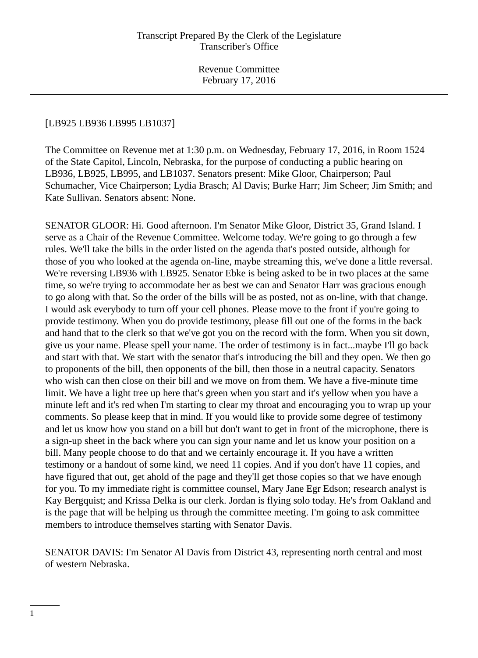## [LB925 LB936 LB995 LB1037]

The Committee on Revenue met at 1:30 p.m. on Wednesday, February 17, 2016, in Room 1524 of the State Capitol, Lincoln, Nebraska, for the purpose of conducting a public hearing on LB936, LB925, LB995, and LB1037. Senators present: Mike Gloor, Chairperson; Paul Schumacher, Vice Chairperson; Lydia Brasch; Al Davis; Burke Harr; Jim Scheer; Jim Smith; and Kate Sullivan. Senators absent: None.

SENATOR GLOOR: Hi. Good afternoon. I'm Senator Mike Gloor, District 35, Grand Island. I serve as a Chair of the Revenue Committee. Welcome today. We're going to go through a few rules. We'll take the bills in the order listed on the agenda that's posted outside, although for those of you who looked at the agenda on-line, maybe streaming this, we've done a little reversal. We're reversing LB936 with LB925. Senator Ebke is being asked to be in two places at the same time, so we're trying to accommodate her as best we can and Senator Harr was gracious enough to go along with that. So the order of the bills will be as posted, not as on-line, with that change. I would ask everybody to turn off your cell phones. Please move to the front if you're going to provide testimony. When you do provide testimony, please fill out one of the forms in the back and hand that to the clerk so that we've got you on the record with the form. When you sit down, give us your name. Please spell your name. The order of testimony is in fact...maybe I'll go back and start with that. We start with the senator that's introducing the bill and they open. We then go to proponents of the bill, then opponents of the bill, then those in a neutral capacity. Senators who wish can then close on their bill and we move on from them. We have a five-minute time limit. We have a light tree up here that's green when you start and it's yellow when you have a minute left and it's red when I'm starting to clear my throat and encouraging you to wrap up your comments. So please keep that in mind. If you would like to provide some degree of testimony and let us know how you stand on a bill but don't want to get in front of the microphone, there is a sign-up sheet in the back where you can sign your name and let us know your position on a bill. Many people choose to do that and we certainly encourage it. If you have a written testimony or a handout of some kind, we need 11 copies. And if you don't have 11 copies, and have figured that out, get ahold of the page and they'll get those copies so that we have enough for you. To my immediate right is committee counsel, Mary Jane Egr Edson; research analyst is Kay Bergquist; and Krissa Delka is our clerk. Jordan is flying solo today. He's from Oakland and is the page that will be helping us through the committee meeting. I'm going to ask committee members to introduce themselves starting with Senator Davis.

SENATOR DAVIS: I'm Senator Al Davis from District 43, representing north central and most of western Nebraska.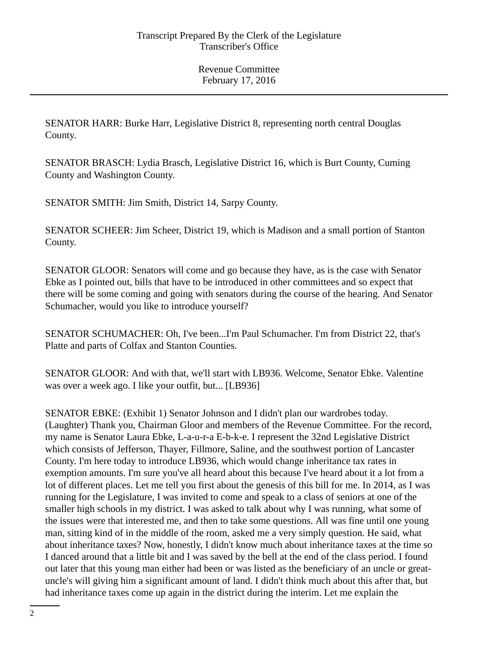SENATOR HARR: Burke Harr, Legislative District 8, representing north central Douglas County.

SENATOR BRASCH: Lydia Brasch, Legislative District 16, which is Burt County, Cuming County and Washington County.

SENATOR SMITH: Jim Smith, District 14, Sarpy County.

SENATOR SCHEER: Jim Scheer, District 19, which is Madison and a small portion of Stanton County.

SENATOR GLOOR: Senators will come and go because they have, as is the case with Senator Ebke as I pointed out, bills that have to be introduced in other committees and so expect that there will be some coming and going with senators during the course of the hearing. And Senator Schumacher, would you like to introduce yourself?

SENATOR SCHUMACHER: Oh, I've been...I'm Paul Schumacher. I'm from District 22, that's Platte and parts of Colfax and Stanton Counties.

SENATOR GLOOR: And with that, we'll start with LB936. Welcome, Senator Ebke. Valentine was over a week ago. I like your outfit, but... [LB936]

SENATOR EBKE: (Exhibit 1) Senator Johnson and I didn't plan our wardrobes today. (Laughter) Thank you, Chairman Gloor and members of the Revenue Committee. For the record, my name is Senator Laura Ebke, L-a-u-r-a E-b-k-e. I represent the 32nd Legislative District which consists of Jefferson, Thayer, Fillmore, Saline, and the southwest portion of Lancaster County. I'm here today to introduce LB936, which would change inheritance tax rates in exemption amounts. I'm sure you've all heard about this because I've heard about it a lot from a lot of different places. Let me tell you first about the genesis of this bill for me. In 2014, as I was running for the Legislature, I was invited to come and speak to a class of seniors at one of the smaller high schools in my district. I was asked to talk about why I was running, what some of the issues were that interested me, and then to take some questions. All was fine until one young man, sitting kind of in the middle of the room, asked me a very simply question. He said, what about inheritance taxes? Now, honestly, I didn't know much about inheritance taxes at the time so I danced around that a little bit and I was saved by the bell at the end of the class period. I found out later that this young man either had been or was listed as the beneficiary of an uncle or greatuncle's will giving him a significant amount of land. I didn't think much about this after that, but had inheritance taxes come up again in the district during the interim. Let me explain the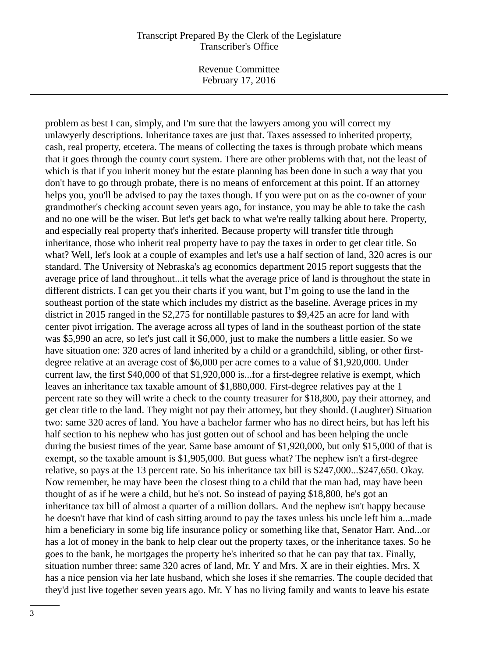Revenue Committee February 17, 2016

problem as best I can, simply, and I'm sure that the lawyers among you will correct my unlawyerly descriptions. Inheritance taxes are just that. Taxes assessed to inherited property, cash, real property, etcetera. The means of collecting the taxes is through probate which means that it goes through the county court system. There are other problems with that, not the least of which is that if you inherit money but the estate planning has been done in such a way that you don't have to go through probate, there is no means of enforcement at this point. If an attorney helps you, you'll be advised to pay the taxes though. If you were put on as the co-owner of your grandmother's checking account seven years ago, for instance, you may be able to take the cash and no one will be the wiser. But let's get back to what we're really talking about here. Property, and especially real property that's inherited. Because property will transfer title through inheritance, those who inherit real property have to pay the taxes in order to get clear title. So what? Well, let's look at a couple of examples and let's use a half section of land, 320 acres is our standard. The University of Nebraska's ag economics department 2015 report suggests that the average price of land throughout...it tells what the average price of land is throughout the state in different districts. I can get you their charts if you want, but I'm going to use the land in the southeast portion of the state which includes my district as the baseline. Average prices in my district in 2015 ranged in the \$2,275 for nontillable pastures to \$9,425 an acre for land with center pivot irrigation. The average across all types of land in the southeast portion of the state was \$5,990 an acre, so let's just call it \$6,000, just to make the numbers a little easier. So we have situation one: 320 acres of land inherited by a child or a grandchild, sibling, or other firstdegree relative at an average cost of \$6,000 per acre comes to a value of \$1,920,000. Under current law, the first \$40,000 of that \$1,920,000 is...for a first-degree relative is exempt, which leaves an inheritance tax taxable amount of \$1,880,000. First-degree relatives pay at the 1 percent rate so they will write a check to the county treasurer for \$18,800, pay their attorney, and get clear title to the land. They might not pay their attorney, but they should. (Laughter) Situation two: same 320 acres of land. You have a bachelor farmer who has no direct heirs, but has left his half section to his nephew who has just gotten out of school and has been helping the uncle during the busiest times of the year. Same base amount of \$1,920,000, but only \$15,000 of that is exempt, so the taxable amount is \$1,905,000. But guess what? The nephew isn't a first-degree relative, so pays at the 13 percent rate. So his inheritance tax bill is \$247,000...\$247,650. Okay. Now remember, he may have been the closest thing to a child that the man had, may have been thought of as if he were a child, but he's not. So instead of paying \$18,800, he's got an inheritance tax bill of almost a quarter of a million dollars. And the nephew isn't happy because he doesn't have that kind of cash sitting around to pay the taxes unless his uncle left him a...made him a beneficiary in some big life insurance policy or something like that, Senator Harr. And...or has a lot of money in the bank to help clear out the property taxes, or the inheritance taxes. So he goes to the bank, he mortgages the property he's inherited so that he can pay that tax. Finally, situation number three: same 320 acres of land, Mr. Y and Mrs. X are in their eighties. Mrs. X has a nice pension via her late husband, which she loses if she remarries. The couple decided that they'd just live together seven years ago. Mr. Y has no living family and wants to leave his estate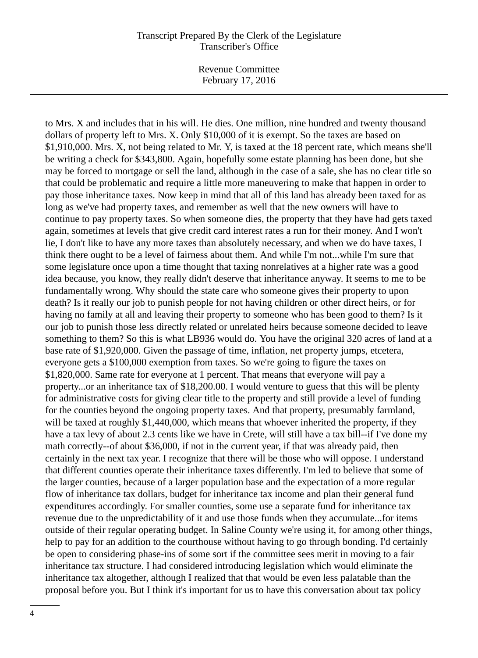Revenue Committee February 17, 2016

to Mrs. X and includes that in his will. He dies. One million, nine hundred and twenty thousand dollars of property left to Mrs. X. Only \$10,000 of it is exempt. So the taxes are based on \$1,910,000. Mrs. X, not being related to Mr. Y, is taxed at the 18 percent rate, which means she'll be writing a check for \$343,800. Again, hopefully some estate planning has been done, but she may be forced to mortgage or sell the land, although in the case of a sale, she has no clear title so that could be problematic and require a little more maneuvering to make that happen in order to pay those inheritance taxes. Now keep in mind that all of this land has already been taxed for as long as we've had property taxes, and remember as well that the new owners will have to continue to pay property taxes. So when someone dies, the property that they have had gets taxed again, sometimes at levels that give credit card interest rates a run for their money. And I won't lie, I don't like to have any more taxes than absolutely necessary, and when we do have taxes, I think there ought to be a level of fairness about them. And while I'm not...while I'm sure that some legislature once upon a time thought that taxing nonrelatives at a higher rate was a good idea because, you know, they really didn't deserve that inheritance anyway. It seems to me to be fundamentally wrong. Why should the state care who someone gives their property to upon death? Is it really our job to punish people for not having children or other direct heirs, or for having no family at all and leaving their property to someone who has been good to them? Is it our job to punish those less directly related or unrelated heirs because someone decided to leave something to them? So this is what LB936 would do. You have the original 320 acres of land at a base rate of \$1,920,000. Given the passage of time, inflation, net property jumps, etcetera, everyone gets a \$100,000 exemption from taxes. So we're going to figure the taxes on \$1,820,000. Same rate for everyone at 1 percent. That means that everyone will pay a property...or an inheritance tax of \$18,200.00. I would venture to guess that this will be plenty for administrative costs for giving clear title to the property and still provide a level of funding for the counties beyond the ongoing property taxes. And that property, presumably farmland, will be taxed at roughly \$1,440,000, which means that whoever inherited the property, if they have a tax levy of about 2.3 cents like we have in Crete, will still have a tax bill--if I've done my math correctly--of about \$36,000, if not in the current year, if that was already paid, then certainly in the next tax year. I recognize that there will be those who will oppose. I understand that different counties operate their inheritance taxes differently. I'm led to believe that some of the larger counties, because of a larger population base and the expectation of a more regular flow of inheritance tax dollars, budget for inheritance tax income and plan their general fund expenditures accordingly. For smaller counties, some use a separate fund for inheritance tax revenue due to the unpredictability of it and use those funds when they accumulate...for items outside of their regular operating budget. In Saline County we're using it, for among other things, help to pay for an addition to the courthouse without having to go through bonding. I'd certainly be open to considering phase-ins of some sort if the committee sees merit in moving to a fair inheritance tax structure. I had considered introducing legislation which would eliminate the inheritance tax altogether, although I realized that that would be even less palatable than the proposal before you. But I think it's important for us to have this conversation about tax policy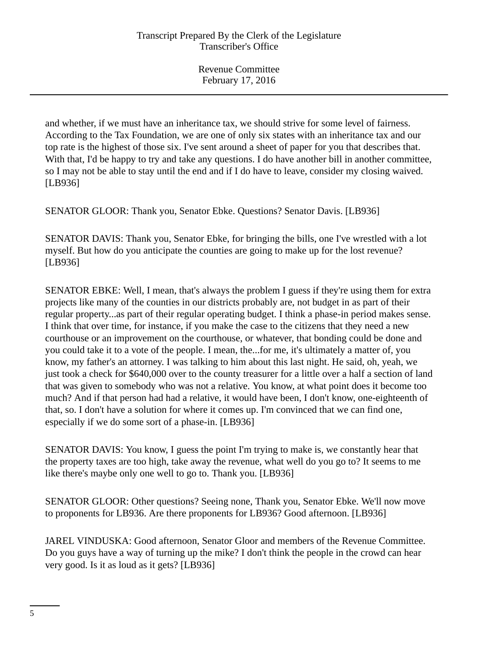and whether, if we must have an inheritance tax, we should strive for some level of fairness. According to the Tax Foundation, we are one of only six states with an inheritance tax and our top rate is the highest of those six. I've sent around a sheet of paper for you that describes that. With that, I'd be happy to try and take any questions. I do have another bill in another committee, so I may not be able to stay until the end and if I do have to leave, consider my closing waived. [LB936]

SENATOR GLOOR: Thank you, Senator Ebke. Questions? Senator Davis. [LB936]

SENATOR DAVIS: Thank you, Senator Ebke, for bringing the bills, one I've wrestled with a lot myself. But how do you anticipate the counties are going to make up for the lost revenue? [LB936]

SENATOR EBKE: Well, I mean, that's always the problem I guess if they're using them for extra projects like many of the counties in our districts probably are, not budget in as part of their regular property...as part of their regular operating budget. I think a phase-in period makes sense. I think that over time, for instance, if you make the case to the citizens that they need a new courthouse or an improvement on the courthouse, or whatever, that bonding could be done and you could take it to a vote of the people. I mean, the...for me, it's ultimately a matter of, you know, my father's an attorney. I was talking to him about this last night. He said, oh, yeah, we just took a check for \$640,000 over to the county treasurer for a little over a half a section of land that was given to somebody who was not a relative. You know, at what point does it become too much? And if that person had had a relative, it would have been, I don't know, one-eighteenth of that, so. I don't have a solution for where it comes up. I'm convinced that we can find one, especially if we do some sort of a phase-in. [LB936]

SENATOR DAVIS: You know, I guess the point I'm trying to make is, we constantly hear that the property taxes are too high, take away the revenue, what well do you go to? It seems to me like there's maybe only one well to go to. Thank you. [LB936]

SENATOR GLOOR: Other questions? Seeing none, Thank you, Senator Ebke. We'll now move to proponents for LB936. Are there proponents for LB936? Good afternoon. [LB936]

JAREL VINDUSKA: Good afternoon, Senator Gloor and members of the Revenue Committee. Do you guys have a way of turning up the mike? I don't think the people in the crowd can hear very good. Is it as loud as it gets? [LB936]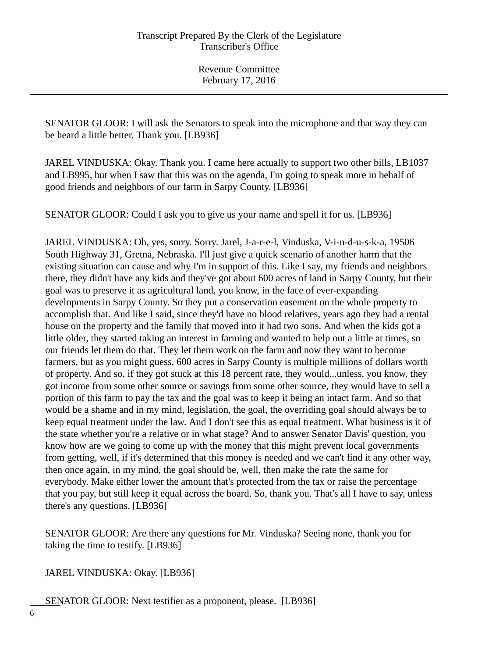SENATOR GLOOR: I will ask the Senators to speak into the microphone and that way they can be heard a little better. Thank you. [LB936]

JAREL VINDUSKA: Okay. Thank you. I came here actually to support two other bills, LB1037 and LB995, but when I saw that this was on the agenda, I'm going to speak more in behalf of good friends and neighbors of our farm in Sarpy County. [LB936]

SENATOR GLOOR: Could I ask you to give us your name and spell it for us. [LB936]

JAREL VINDUSKA: Oh, yes, sorry. Sorry. Jarel, J-a-r-e-l, Vinduska, V-i-n-d-u-s-k-a, 19506 South Highway 31, Gretna, Nebraska. I'll just give a quick scenario of another harm that the existing situation can cause and why I'm in support of this. Like I say, my friends and neighbors there, they didn't have any kids and they've got about 600 acres of land in Sarpy County, but their goal was to preserve it as agricultural land, you know, in the face of ever-expanding developments in Sarpy County. So they put a conservation easement on the whole property to accomplish that. And like I said, since they'd have no blood relatives, years ago they had a rental house on the property and the family that moved into it had two sons. And when the kids got a little older, they started taking an interest in farming and wanted to help out a little at times, so our friends let them do that. They let them work on the farm and now they want to become farmers, but as you might guess, 600 acres in Sarpy County is multiple millions of dollars worth of property. And so, if they got stuck at this 18 percent rate, they would...unless, you know, they got income from some other source or savings from some other source, they would have to sell a portion of this farm to pay the tax and the goal was to keep it being an intact farm. And so that would be a shame and in my mind, legislation, the goal, the overriding goal should always be to keep equal treatment under the law. And I don't see this as equal treatment. What business is it of the state whether you're a relative or in what stage? And to answer Senator Davis' question, you know how are we going to come up with the money that this might prevent local governments from getting, well, if it's determined that this money is needed and we can't find it any other way, then once again, in my mind, the goal should be, well, then make the rate the same for everybody. Make either lower the amount that's protected from the tax or raise the percentage that you pay, but still keep it equal across the board. So, thank you. That's all I have to say, unless there's any questions. [LB936]

SENATOR GLOOR: Are there any questions for Mr. Vinduska? Seeing none, thank you for taking the time to testify. [LB936]

JAREL VINDUSKA: Okay. [LB936]

SENATOR GLOOR: Next testifier as a proponent, please. [LB936]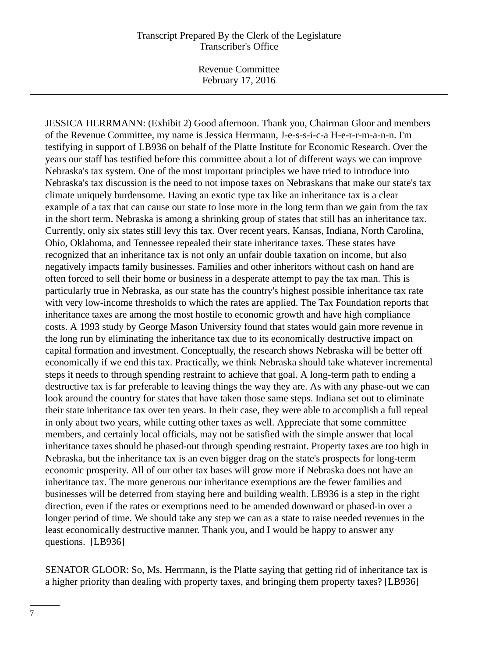Revenue Committee February 17, 2016

JESSICA HERRMANN: (Exhibit 2) Good afternoon. Thank you, Chairman Gloor and members of the Revenue Committee, my name is Jessica Herrmann, J-e-s-s-i-c-a H-e-r-r-m-a-n-n. I'm testifying in support of LB936 on behalf of the Platte Institute for Economic Research. Over the years our staff has testified before this committee about a lot of different ways we can improve Nebraska's tax system. One of the most important principles we have tried to introduce into Nebraska's tax discussion is the need to not impose taxes on Nebraskans that make our state's tax climate uniquely burdensome. Having an exotic type tax like an inheritance tax is a clear example of a tax that can cause our state to lose more in the long term than we gain from the tax in the short term. Nebraska is among a shrinking group of states that still has an inheritance tax. Currently, only six states still levy this tax. Over recent years, Kansas, Indiana, North Carolina, Ohio, Oklahoma, and Tennessee repealed their state inheritance taxes. These states have recognized that an inheritance tax is not only an unfair double taxation on income, but also negatively impacts family businesses. Families and other inheritors without cash on hand are often forced to sell their home or business in a desperate attempt to pay the tax man. This is particularly true in Nebraska, as our state has the country's highest possible inheritance tax rate with very low-income thresholds to which the rates are applied. The Tax Foundation reports that inheritance taxes are among the most hostile to economic growth and have high compliance costs. A 1993 study by George Mason University found that states would gain more revenue in the long run by eliminating the inheritance tax due to its economically destructive impact on capital formation and investment. Conceptually, the research shows Nebraska will be better off economically if we end this tax. Practically, we think Nebraska should take whatever incremental steps it needs to through spending restraint to achieve that goal. A long-term path to ending a destructive tax is far preferable to leaving things the way they are. As with any phase-out we can look around the country for states that have taken those same steps. Indiana set out to eliminate their state inheritance tax over ten years. In their case, they were able to accomplish a full repeal in only about two years, while cutting other taxes as well. Appreciate that some committee members, and certainly local officials, may not be satisfied with the simple answer that local inheritance taxes should be phased-out through spending restraint. Property taxes are too high in Nebraska, but the inheritance tax is an even bigger drag on the state's prospects for long-term economic prosperity. All of our other tax bases will grow more if Nebraska does not have an inheritance tax. The more generous our inheritance exemptions are the fewer families and businesses will be deterred from staying here and building wealth. LB936 is a step in the right direction, even if the rates or exemptions need to be amended downward or phased-in over a longer period of time. We should take any step we can as a state to raise needed revenues in the least economically destructive manner. Thank you, and I would be happy to answer any questions. [LB936]

SENATOR GLOOR: So, Ms. Herrmann, is the Platte saying that getting rid of inheritance tax is a higher priority than dealing with property taxes, and bringing them property taxes? [LB936]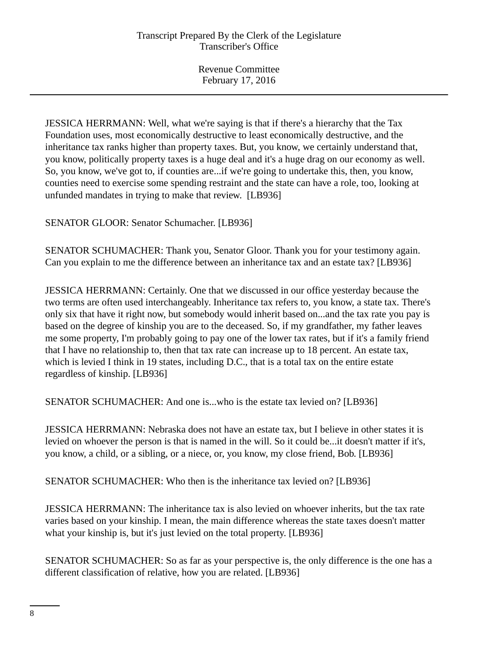JESSICA HERRMANN: Well, what we're saying is that if there's a hierarchy that the Tax Foundation uses, most economically destructive to least economically destructive, and the inheritance tax ranks higher than property taxes. But, you know, we certainly understand that, you know, politically property taxes is a huge deal and it's a huge drag on our economy as well. So, you know, we've got to, if counties are...if we're going to undertake this, then, you know, counties need to exercise some spending restraint and the state can have a role, too, looking at unfunded mandates in trying to make that review. [LB936]

SENATOR GLOOR: Senator Schumacher. [LB936]

SENATOR SCHUMACHER: Thank you, Senator Gloor. Thank you for your testimony again. Can you explain to me the difference between an inheritance tax and an estate tax? [LB936]

JESSICA HERRMANN: Certainly. One that we discussed in our office yesterday because the two terms are often used interchangeably. Inheritance tax refers to, you know, a state tax. There's only six that have it right now, but somebody would inherit based on...and the tax rate you pay is based on the degree of kinship you are to the deceased. So, if my grandfather, my father leaves me some property, I'm probably going to pay one of the lower tax rates, but if it's a family friend that I have no relationship to, then that tax rate can increase up to 18 percent. An estate tax, which is levied I think in 19 states, including D.C., that is a total tax on the entire estate regardless of kinship. [LB936]

SENATOR SCHUMACHER: And one is...who is the estate tax levied on? [LB936]

JESSICA HERRMANN: Nebraska does not have an estate tax, but I believe in other states it is levied on whoever the person is that is named in the will. So it could be...it doesn't matter if it's, you know, a child, or a sibling, or a niece, or, you know, my close friend, Bob. [LB936]

SENATOR SCHUMACHER: Who then is the inheritance tax levied on? [LB936]

JESSICA HERRMANN: The inheritance tax is also levied on whoever inherits, but the tax rate varies based on your kinship. I mean, the main difference whereas the state taxes doesn't matter what your kinship is, but it's just levied on the total property. [LB936]

SENATOR SCHUMACHER: So as far as your perspective is, the only difference is the one has a different classification of relative, how you are related. [LB936]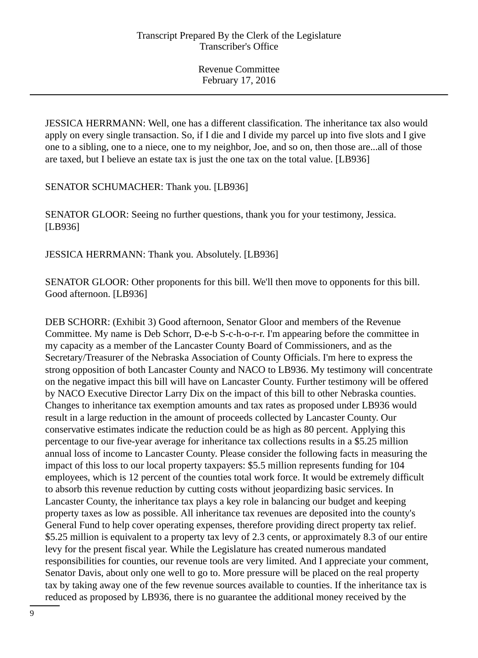JESSICA HERRMANN: Well, one has a different classification. The inheritance tax also would apply on every single transaction. So, if I die and I divide my parcel up into five slots and I give one to a sibling, one to a niece, one to my neighbor, Joe, and so on, then those are...all of those are taxed, but I believe an estate tax is just the one tax on the total value. [LB936]

SENATOR SCHUMACHER: Thank you. [LB936]

SENATOR GLOOR: Seeing no further questions, thank you for your testimony, Jessica. [LB936]

JESSICA HERRMANN: Thank you. Absolutely. [LB936]

SENATOR GLOOR: Other proponents for this bill. We'll then move to opponents for this bill. Good afternoon. [LB936]

DEB SCHORR: (Exhibit 3) Good afternoon, Senator Gloor and members of the Revenue Committee. My name is Deb Schorr, D-e-b S-c-h-o-r-r. I'm appearing before the committee in my capacity as a member of the Lancaster County Board of Commissioners, and as the Secretary/Treasurer of the Nebraska Association of County Officials. I'm here to express the strong opposition of both Lancaster County and NACO to LB936. My testimony will concentrate on the negative impact this bill will have on Lancaster County. Further testimony will be offered by NACO Executive Director Larry Dix on the impact of this bill to other Nebraska counties. Changes to inheritance tax exemption amounts and tax rates as proposed under LB936 would result in a large reduction in the amount of proceeds collected by Lancaster County. Our conservative estimates indicate the reduction could be as high as 80 percent. Applying this percentage to our five-year average for inheritance tax collections results in a \$5.25 million annual loss of income to Lancaster County. Please consider the following facts in measuring the impact of this loss to our local property taxpayers: \$5.5 million represents funding for 104 employees, which is 12 percent of the counties total work force. It would be extremely difficult to absorb this revenue reduction by cutting costs without jeopardizing basic services. In Lancaster County, the inheritance tax plays a key role in balancing our budget and keeping property taxes as low as possible. All inheritance tax revenues are deposited into the county's General Fund to help cover operating expenses, therefore providing direct property tax relief. \$5.25 million is equivalent to a property tax levy of 2.3 cents, or approximately 8.3 of our entire levy for the present fiscal year. While the Legislature has created numerous mandated responsibilities for counties, our revenue tools are very limited. And I appreciate your comment, Senator Davis, about only one well to go to. More pressure will be placed on the real property tax by taking away one of the few revenue sources available to counties. If the inheritance tax is reduced as proposed by LB936, there is no guarantee the additional money received by the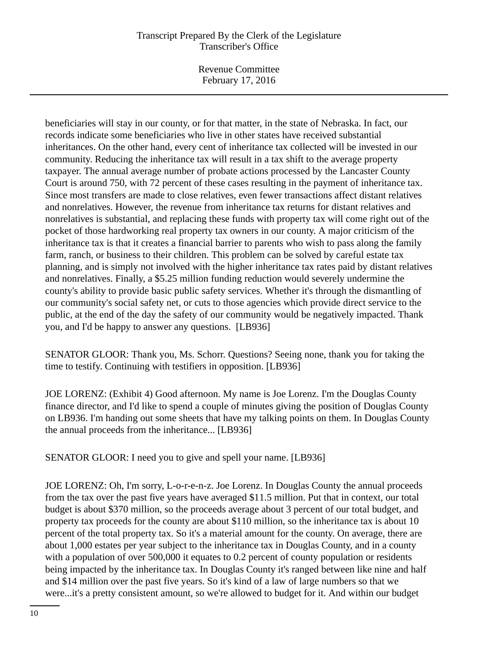Revenue Committee February 17, 2016

beneficiaries will stay in our county, or for that matter, in the state of Nebraska. In fact, our records indicate some beneficiaries who live in other states have received substantial inheritances. On the other hand, every cent of inheritance tax collected will be invested in our community. Reducing the inheritance tax will result in a tax shift to the average property taxpayer. The annual average number of probate actions processed by the Lancaster County Court is around 750, with 72 percent of these cases resulting in the payment of inheritance tax. Since most transfers are made to close relatives, even fewer transactions affect distant relatives and nonrelatives. However, the revenue from inheritance tax returns for distant relatives and nonrelatives is substantial, and replacing these funds with property tax will come right out of the pocket of those hardworking real property tax owners in our county. A major criticism of the inheritance tax is that it creates a financial barrier to parents who wish to pass along the family farm, ranch, or business to their children. This problem can be solved by careful estate tax planning, and is simply not involved with the higher inheritance tax rates paid by distant relatives and nonrelatives. Finally, a \$5.25 million funding reduction would severely undermine the county's ability to provide basic public safety services. Whether it's through the dismantling of our community's social safety net, or cuts to those agencies which provide direct service to the public, at the end of the day the safety of our community would be negatively impacted. Thank you, and I'd be happy to answer any questions. [LB936]

SENATOR GLOOR: Thank you, Ms. Schorr. Questions? Seeing none, thank you for taking the time to testify. Continuing with testifiers in opposition. [LB936]

JOE LORENZ: (Exhibit 4) Good afternoon. My name is Joe Lorenz. I'm the Douglas County finance director, and I'd like to spend a couple of minutes giving the position of Douglas County on LB936. I'm handing out some sheets that have my talking points on them. In Douglas County the annual proceeds from the inheritance... [LB936]

SENATOR GLOOR: I need you to give and spell your name. [LB936]

JOE LORENZ: Oh, I'm sorry, L-o-r-e-n-z. Joe Lorenz. In Douglas County the annual proceeds from the tax over the past five years have averaged \$11.5 million. Put that in context, our total budget is about \$370 million, so the proceeds average about 3 percent of our total budget, and property tax proceeds for the county are about \$110 million, so the inheritance tax is about 10 percent of the total property tax. So it's a material amount for the county. On average, there are about 1,000 estates per year subject to the inheritance tax in Douglas County, and in a county with a population of over 500,000 it equates to 0.2 percent of county population or residents being impacted by the inheritance tax. In Douglas County it's ranged between like nine and half and \$14 million over the past five years. So it's kind of a law of large numbers so that we were...it's a pretty consistent amount, so we're allowed to budget for it. And within our budget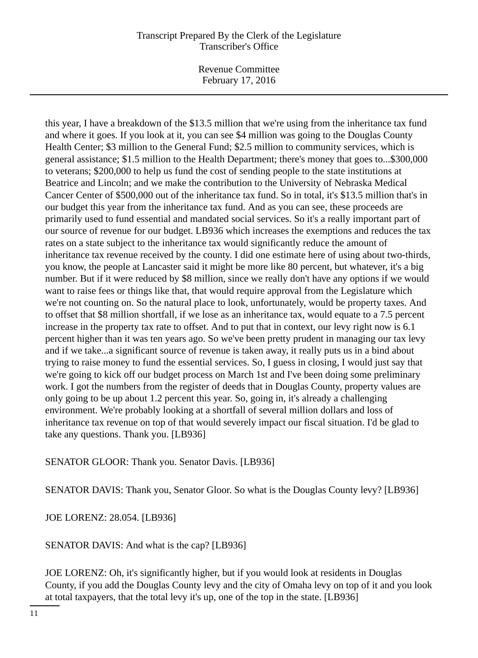Revenue Committee February 17, 2016

this year, I have a breakdown of the \$13.5 million that we're using from the inheritance tax fund and where it goes. If you look at it, you can see \$4 million was going to the Douglas County Health Center; \$3 million to the General Fund; \$2.5 million to community services, which is general assistance; \$1.5 million to the Health Department; there's money that goes to...\$300,000 to veterans; \$200,000 to help us fund the cost of sending people to the state institutions at Beatrice and Lincoln; and we make the contribution to the University of Nebraska Medical Cancer Center of \$500,000 out of the inheritance tax fund. So in total, it's \$13.5 million that's in our budget this year from the inheritance tax fund. And as you can see, these proceeds are primarily used to fund essential and mandated social services. So it's a really important part of our source of revenue for our budget. LB936 which increases the exemptions and reduces the tax rates on a state subject to the inheritance tax would significantly reduce the amount of inheritance tax revenue received by the county. I did one estimate here of using about two-thirds, you know, the people at Lancaster said it might be more like 80 percent, but whatever, it's a big number. But if it were reduced by \$8 million, since we really don't have any options if we would want to raise fees or things like that, that would require approval from the Legislature which we're not counting on. So the natural place to look, unfortunately, would be property taxes. And to offset that \$8 million shortfall, if we lose as an inheritance tax, would equate to a 7.5 percent increase in the property tax rate to offset. And to put that in context, our levy right now is 6.1 percent higher than it was ten years ago. So we've been pretty prudent in managing our tax levy and if we take...a significant source of revenue is taken away, it really puts us in a bind about trying to raise money to fund the essential services. So, I guess in closing, I would just say that we're going to kick off our budget process on March 1st and I've been doing some preliminary work. I got the numbers from the register of deeds that in Douglas County, property values are only going to be up about 1.2 percent this year. So, going in, it's already a challenging environment. We're probably looking at a shortfall of several million dollars and loss of inheritance tax revenue on top of that would severely impact our fiscal situation. I'd be glad to take any questions. Thank you. [LB936]

# SENATOR GLOOR: Thank you. Senator Davis. [LB936]

SENATOR DAVIS: Thank you, Senator Gloor. So what is the Douglas County levy? [LB936]

JOE LORENZ: 28.054. [LB936]

SENATOR DAVIS: And what is the cap? [LB936]

JOE LORENZ: Oh, it's significantly higher, but if you would look at residents in Douglas County, if you add the Douglas County levy and the city of Omaha levy on top of it and you look at total taxpayers, that the total levy it's up, one of the top in the state. [LB936]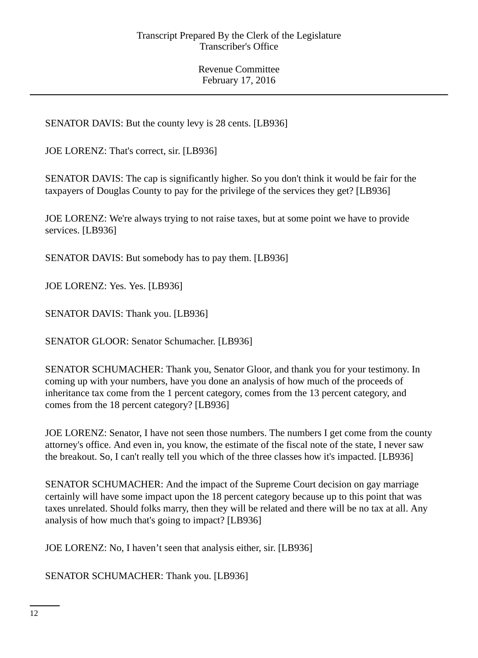SENATOR DAVIS: But the county levy is 28 cents. [LB936]

JOE LORENZ: That's correct, sir. [LB936]

SENATOR DAVIS: The cap is significantly higher. So you don't think it would be fair for the taxpayers of Douglas County to pay for the privilege of the services they get? [LB936]

JOE LORENZ: We're always trying to not raise taxes, but at some point we have to provide services. [LB936]

SENATOR DAVIS: But somebody has to pay them. [LB936]

JOE LORENZ: Yes. Yes. [LB936]

SENATOR DAVIS: Thank you. [LB936]

SENATOR GLOOR: Senator Schumacher. [LB936]

SENATOR SCHUMACHER: Thank you, Senator Gloor, and thank you for your testimony. In coming up with your numbers, have you done an analysis of how much of the proceeds of inheritance tax come from the 1 percent category, comes from the 13 percent category, and comes from the 18 percent category? [LB936]

JOE LORENZ: Senator, I have not seen those numbers. The numbers I get come from the county attorney's office. And even in, you know, the estimate of the fiscal note of the state, I never saw the breakout. So, I can't really tell you which of the three classes how it's impacted. [LB936]

SENATOR SCHUMACHER: And the impact of the Supreme Court decision on gay marriage certainly will have some impact upon the 18 percent category because up to this point that was taxes unrelated. Should folks marry, then they will be related and there will be no tax at all. Any analysis of how much that's going to impact? [LB936]

JOE LORENZ: No, I haven't seen that analysis either, sir. [LB936]

SENATOR SCHUMACHER: Thank you. [LB936]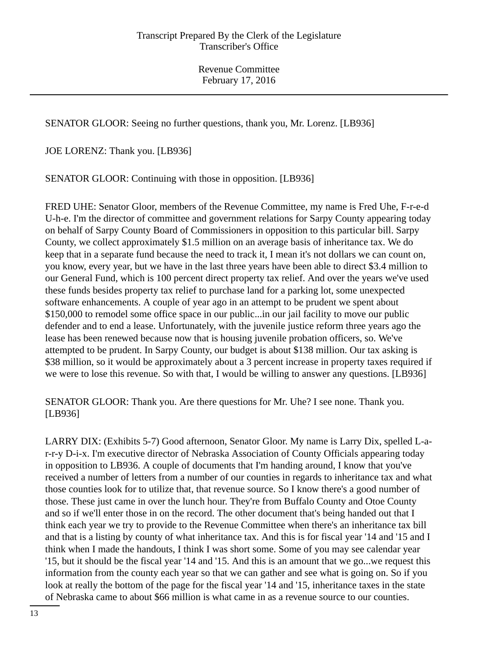SENATOR GLOOR: Seeing no further questions, thank you, Mr. Lorenz. [LB936]

JOE LORENZ: Thank you. [LB936]

SENATOR GLOOR: Continuing with those in opposition. [LB936]

FRED UHE: Senator Gloor, members of the Revenue Committee, my name is Fred Uhe, F-r-e-d U-h-e. I'm the director of committee and government relations for Sarpy County appearing today on behalf of Sarpy County Board of Commissioners in opposition to this particular bill. Sarpy County, we collect approximately \$1.5 million on an average basis of inheritance tax. We do keep that in a separate fund because the need to track it, I mean it's not dollars we can count on, you know, every year, but we have in the last three years have been able to direct \$3.4 million to our General Fund, which is 100 percent direct property tax relief. And over the years we've used these funds besides property tax relief to purchase land for a parking lot, some unexpected software enhancements. A couple of year ago in an attempt to be prudent we spent about \$150,000 to remodel some office space in our public...in our jail facility to move our public defender and to end a lease. Unfortunately, with the juvenile justice reform three years ago the lease has been renewed because now that is housing juvenile probation officers, so. We've attempted to be prudent. In Sarpy County, our budget is about \$138 million. Our tax asking is \$38 million, so it would be approximately about a 3 percent increase in property taxes required if we were to lose this revenue. So with that, I would be willing to answer any questions. [LB936]

SENATOR GLOOR: Thank you. Are there questions for Mr. Uhe? I see none. Thank you. [LB936]

LARRY DIX: (Exhibits 5-7) Good afternoon, Senator Gloor. My name is Larry Dix, spelled L-ar-r-y D-i-x. I'm executive director of Nebraska Association of County Officials appearing today in opposition to LB936. A couple of documents that I'm handing around, I know that you've received a number of letters from a number of our counties in regards to inheritance tax and what those counties look for to utilize that, that revenue source. So I know there's a good number of those. These just came in over the lunch hour. They're from Buffalo County and Otoe County and so if we'll enter those in on the record. The other document that's being handed out that I think each year we try to provide to the Revenue Committee when there's an inheritance tax bill and that is a listing by county of what inheritance tax. And this is for fiscal year '14 and '15 and I think when I made the handouts, I think I was short some. Some of you may see calendar year '15, but it should be the fiscal year '14 and '15. And this is an amount that we go...we request this information from the county each year so that we can gather and see what is going on. So if you look at really the bottom of the page for the fiscal year '14 and '15, inheritance taxes in the state of Nebraska came to about \$66 million is what came in as a revenue source to our counties.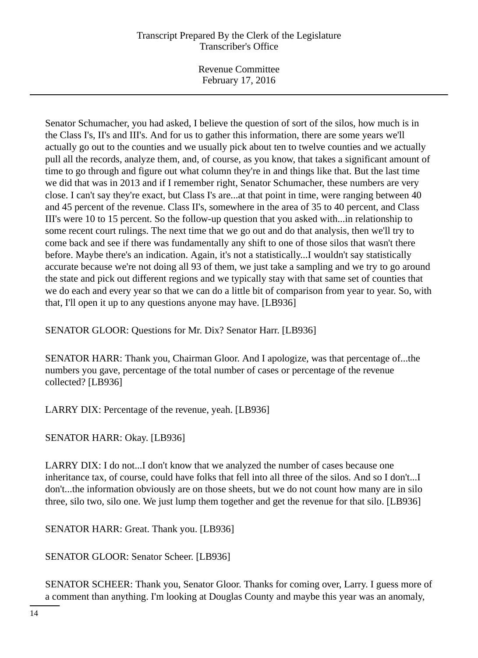Revenue Committee February 17, 2016

Senator Schumacher, you had asked, I believe the question of sort of the silos, how much is in the Class I's, II's and III's. And for us to gather this information, there are some years we'll actually go out to the counties and we usually pick about ten to twelve counties and we actually pull all the records, analyze them, and, of course, as you know, that takes a significant amount of time to go through and figure out what column they're in and things like that. But the last time we did that was in 2013 and if I remember right, Senator Schumacher, these numbers are very close. I can't say they're exact, but Class I's are...at that point in time, were ranging between 40 and 45 percent of the revenue. Class II's, somewhere in the area of 35 to 40 percent, and Class III's were 10 to 15 percent. So the follow-up question that you asked with...in relationship to some recent court rulings. The next time that we go out and do that analysis, then we'll try to come back and see if there was fundamentally any shift to one of those silos that wasn't there before. Maybe there's an indication. Again, it's not a statistically...I wouldn't say statistically accurate because we're not doing all 93 of them, we just take a sampling and we try to go around the state and pick out different regions and we typically stay with that same set of counties that we do each and every year so that we can do a little bit of comparison from year to year. So, with that, I'll open it up to any questions anyone may have. [LB936]

SENATOR GLOOR: Questions for Mr. Dix? Senator Harr. [LB936]

SENATOR HARR: Thank you, Chairman Gloor. And I apologize, was that percentage of...the numbers you gave, percentage of the total number of cases or percentage of the revenue collected? [LB936]

LARRY DIX: Percentage of the revenue, yeah. [LB936]

SENATOR HARR: Okay. [LB936]

LARRY DIX: I do not...I don't know that we analyzed the number of cases because one inheritance tax, of course, could have folks that fell into all three of the silos. And so I don't...I don't...the information obviously are on those sheets, but we do not count how many are in silo three, silo two, silo one. We just lump them together and get the revenue for that silo. [LB936]

SENATOR HARR: Great. Thank you. [LB936]

SENATOR GLOOR: Senator Scheer. [LB936]

SENATOR SCHEER: Thank you, Senator Gloor. Thanks for coming over, Larry. I guess more of a comment than anything. I'm looking at Douglas County and maybe this year was an anomaly,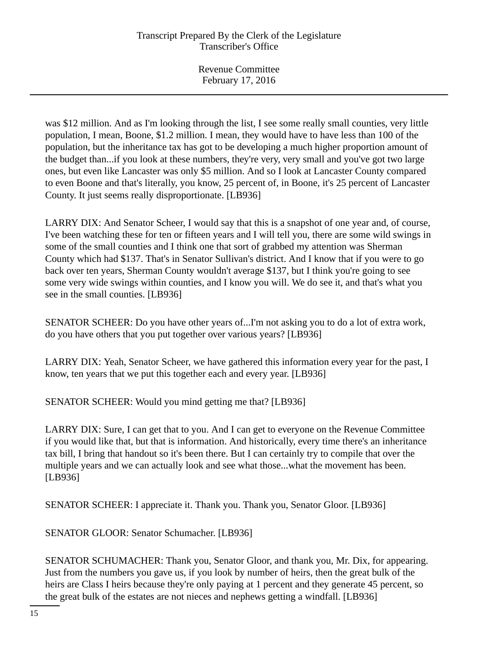was \$12 million. And as I'm looking through the list, I see some really small counties, very little population, I mean, Boone, \$1.2 million. I mean, they would have to have less than 100 of the population, but the inheritance tax has got to be developing a much higher proportion amount of the budget than...if you look at these numbers, they're very, very small and you've got two large ones, but even like Lancaster was only \$5 million. And so I look at Lancaster County compared to even Boone and that's literally, you know, 25 percent of, in Boone, it's 25 percent of Lancaster County. It just seems really disproportionate. [LB936]

LARRY DIX: And Senator Scheer, I would say that this is a snapshot of one year and, of course, I've been watching these for ten or fifteen years and I will tell you, there are some wild swings in some of the small counties and I think one that sort of grabbed my attention was Sherman County which had \$137. That's in Senator Sullivan's district. And I know that if you were to go back over ten years, Sherman County wouldn't average \$137, but I think you're going to see some very wide swings within counties, and I know you will. We do see it, and that's what you see in the small counties. [LB936]

SENATOR SCHEER: Do you have other years of...I'm not asking you to do a lot of extra work, do you have others that you put together over various years? [LB936]

LARRY DIX: Yeah, Senator Scheer, we have gathered this information every year for the past, I know, ten years that we put this together each and every year. [LB936]

SENATOR SCHEER: Would you mind getting me that? [LB936]

LARRY DIX: Sure, I can get that to you. And I can get to everyone on the Revenue Committee if you would like that, but that is information. And historically, every time there's an inheritance tax bill, I bring that handout so it's been there. But I can certainly try to compile that over the multiple years and we can actually look and see what those...what the movement has been. [LB936]

SENATOR SCHEER: I appreciate it. Thank you. Thank you, Senator Gloor. [LB936]

SENATOR GLOOR: Senator Schumacher. [LB936]

SENATOR SCHUMACHER: Thank you, Senator Gloor, and thank you, Mr. Dix, for appearing. Just from the numbers you gave us, if you look by number of heirs, then the great bulk of the heirs are Class I heirs because they're only paying at 1 percent and they generate 45 percent, so the great bulk of the estates are not nieces and nephews getting a windfall. [LB936]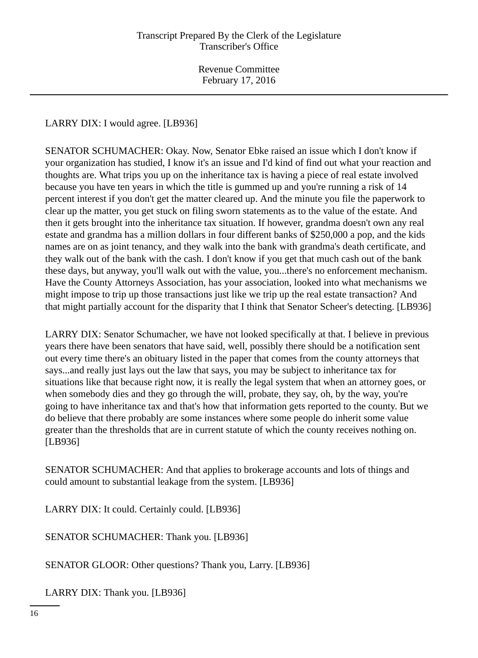LARRY DIX: I would agree. [LB936]

SENATOR SCHUMACHER: Okay. Now, Senator Ebke raised an issue which I don't know if your organization has studied, I know it's an issue and I'd kind of find out what your reaction and thoughts are. What trips you up on the inheritance tax is having a piece of real estate involved because you have ten years in which the title is gummed up and you're running a risk of 14 percent interest if you don't get the matter cleared up. And the minute you file the paperwork to clear up the matter, you get stuck on filing sworn statements as to the value of the estate. And then it gets brought into the inheritance tax situation. If however, grandma doesn't own any real estate and grandma has a million dollars in four different banks of \$250,000 a pop, and the kids names are on as joint tenancy, and they walk into the bank with grandma's death certificate, and they walk out of the bank with the cash. I don't know if you get that much cash out of the bank these days, but anyway, you'll walk out with the value, you...there's no enforcement mechanism. Have the County Attorneys Association, has your association, looked into what mechanisms we might impose to trip up those transactions just like we trip up the real estate transaction? And that might partially account for the disparity that I think that Senator Scheer's detecting. [LB936]

LARRY DIX: Senator Schumacher, we have not looked specifically at that. I believe in previous years there have been senators that have said, well, possibly there should be a notification sent out every time there's an obituary listed in the paper that comes from the county attorneys that says...and really just lays out the law that says, you may be subject to inheritance tax for situations like that because right now, it is really the legal system that when an attorney goes, or when somebody dies and they go through the will, probate, they say, oh, by the way, you're going to have inheritance tax and that's how that information gets reported to the county. But we do believe that there probably are some instances where some people do inherit some value greater than the thresholds that are in current statute of which the county receives nothing on. [LB936]

SENATOR SCHUMACHER: And that applies to brokerage accounts and lots of things and could amount to substantial leakage from the system. [LB936]

LARRY DIX: It could. Certainly could. [LB936]

SENATOR SCHUMACHER: Thank you. [LB936]

SENATOR GLOOR: Other questions? Thank you, Larry. [LB936]

LARRY DIX: Thank you. [LB936]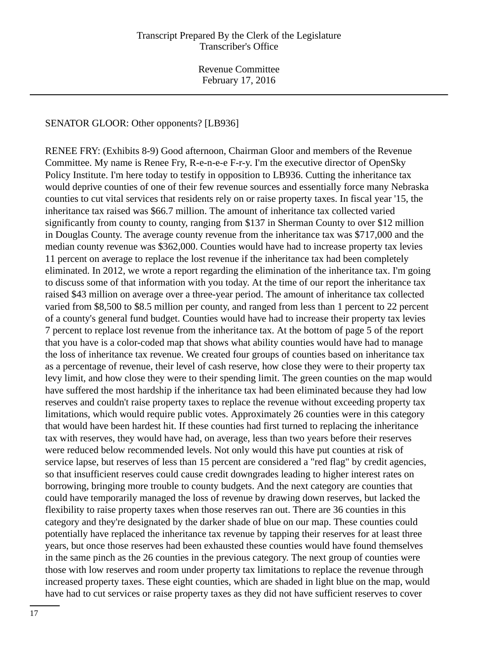SENATOR GLOOR: Other opponents? [LB936]

RENEE FRY: (Exhibits 8-9) Good afternoon, Chairman Gloor and members of the Revenue Committee. My name is Renee Fry, R-e-n-e-e F-r-y. I'm the executive director of OpenSky Policy Institute. I'm here today to testify in opposition to LB936. Cutting the inheritance tax would deprive counties of one of their few revenue sources and essentially force many Nebraska counties to cut vital services that residents rely on or raise property taxes. In fiscal year '15, the inheritance tax raised was \$66.7 million. The amount of inheritance tax collected varied significantly from county to county, ranging from \$137 in Sherman County to over \$12 million in Douglas County. The average county revenue from the inheritance tax was \$717,000 and the median county revenue was \$362,000. Counties would have had to increase property tax levies 11 percent on average to replace the lost revenue if the inheritance tax had been completely eliminated. In 2012, we wrote a report regarding the elimination of the inheritance tax. I'm going to discuss some of that information with you today. At the time of our report the inheritance tax raised \$43 million on average over a three-year period. The amount of inheritance tax collected varied from \$8,500 to \$8.5 million per county, and ranged from less than 1 percent to 22 percent of a county's general fund budget. Counties would have had to increase their property tax levies 7 percent to replace lost revenue from the inheritance tax. At the bottom of page 5 of the report that you have is a color-coded map that shows what ability counties would have had to manage the loss of inheritance tax revenue. We created four groups of counties based on inheritance tax as a percentage of revenue, their level of cash reserve, how close they were to their property tax levy limit, and how close they were to their spending limit. The green counties on the map would have suffered the most hardship if the inheritance tax had been eliminated because they had low reserves and couldn't raise property taxes to replace the revenue without exceeding property tax limitations, which would require public votes. Approximately 26 counties were in this category that would have been hardest hit. If these counties had first turned to replacing the inheritance tax with reserves, they would have had, on average, less than two years before their reserves were reduced below recommended levels. Not only would this have put counties at risk of service lapse, but reserves of less than 15 percent are considered a "red flag" by credit agencies, so that insufficient reserves could cause credit downgrades leading to higher interest rates on borrowing, bringing more trouble to county budgets. And the next category are counties that could have temporarily managed the loss of revenue by drawing down reserves, but lacked the flexibility to raise property taxes when those reserves ran out. There are 36 counties in this category and they're designated by the darker shade of blue on our map. These counties could potentially have replaced the inheritance tax revenue by tapping their reserves for at least three years, but once those reserves had been exhausted these counties would have found themselves in the same pinch as the 26 counties in the previous category. The next group of counties were those with low reserves and room under property tax limitations to replace the revenue through increased property taxes. These eight counties, which are shaded in light blue on the map, would have had to cut services or raise property taxes as they did not have sufficient reserves to cover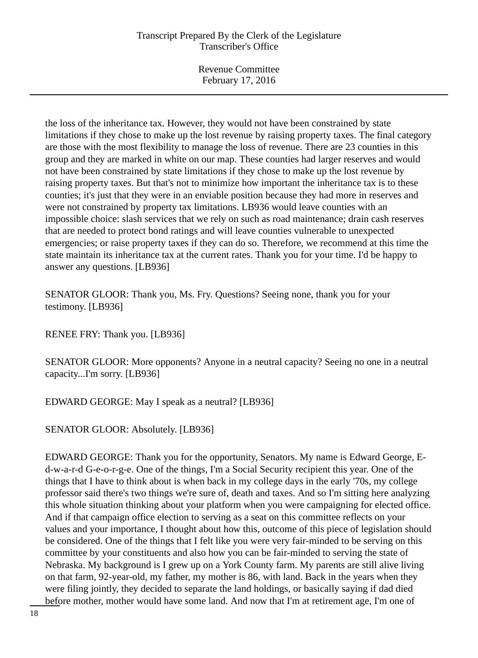Revenue Committee February 17, 2016

the loss of the inheritance tax. However, they would not have been constrained by state limitations if they chose to make up the lost revenue by raising property taxes. The final category are those with the most flexibility to manage the loss of revenue. There are 23 counties in this group and they are marked in white on our map. These counties had larger reserves and would not have been constrained by state limitations if they chose to make up the lost revenue by raising property taxes. But that's not to minimize how important the inheritance tax is to these counties; it's just that they were in an enviable position because they had more in reserves and were not constrained by property tax limitations. LB936 would leave counties with an impossible choice: slash services that we rely on such as road maintenance; drain cash reserves that are needed to protect bond ratings and will leave counties vulnerable to unexpected emergencies; or raise property taxes if they can do so. Therefore, we recommend at this time the state maintain its inheritance tax at the current rates. Thank you for your time. I'd be happy to answer any questions. [LB936]

SENATOR GLOOR: Thank you, Ms. Fry. Questions? Seeing none, thank you for your testimony. [LB936]

RENEE FRY: Thank you. [LB936]

SENATOR GLOOR: More opponents? Anyone in a neutral capacity? Seeing no one in a neutral capacity...I'm sorry. [LB936]

EDWARD GEORGE: May I speak as a neutral? [LB936]

SENATOR GLOOR: Absolutely. [LB936]

EDWARD GEORGE: Thank you for the opportunity, Senators. My name is Edward George, Ed-w-a-r-d G-e-o-r-g-e. One of the things, I'm a Social Security recipient this year. One of the things that I have to think about is when back in my college days in the early '70s, my college professor said there's two things we're sure of, death and taxes. And so I'm sitting here analyzing this whole situation thinking about your platform when you were campaigning for elected office. And if that campaign office election to serving as a seat on this committee reflects on your values and your importance, I thought about how this, outcome of this piece of legislation should be considered. One of the things that I felt like you were very fair-minded to be serving on this committee by your constituents and also how you can be fair-minded to serving the state of Nebraska. My background is I grew up on a York County farm. My parents are still alive living on that farm, 92-year-old, my father, my mother is 86, with land. Back in the years when they were filing jointly, they decided to separate the land holdings, or basically saying if dad died before mother, mother would have some land. And now that I'm at retirement age, I'm one of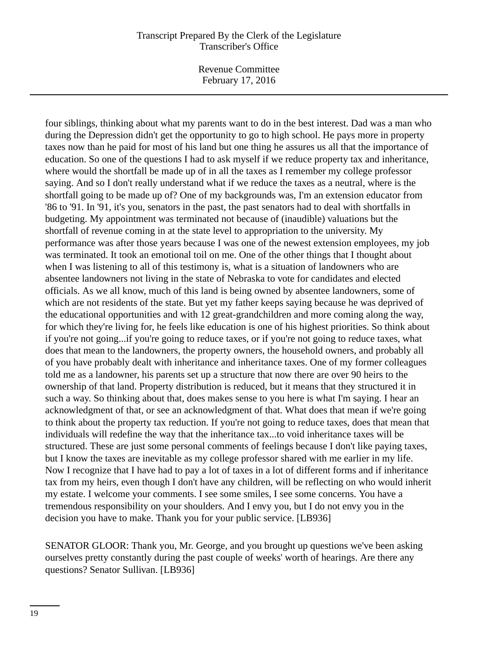Revenue Committee February 17, 2016

four siblings, thinking about what my parents want to do in the best interest. Dad was a man who during the Depression didn't get the opportunity to go to high school. He pays more in property taxes now than he paid for most of his land but one thing he assures us all that the importance of education. So one of the questions I had to ask myself if we reduce property tax and inheritance, where would the shortfall be made up of in all the taxes as I remember my college professor saying. And so I don't really understand what if we reduce the taxes as a neutral, where is the shortfall going to be made up of? One of my backgrounds was, I'm an extension educator from '86 to '91. In '91, it's you, senators in the past, the past senators had to deal with shortfalls in budgeting. My appointment was terminated not because of (inaudible) valuations but the shortfall of revenue coming in at the state level to appropriation to the university. My performance was after those years because I was one of the newest extension employees, my job was terminated. It took an emotional toil on me. One of the other things that I thought about when I was listening to all of this testimony is, what is a situation of landowners who are absentee landowners not living in the state of Nebraska to vote for candidates and elected officials. As we all know, much of this land is being owned by absentee landowners, some of which are not residents of the state. But yet my father keeps saying because he was deprived of the educational opportunities and with 12 great-grandchildren and more coming along the way, for which they're living for, he feels like education is one of his highest priorities. So think about if you're not going...if you're going to reduce taxes, or if you're not going to reduce taxes, what does that mean to the landowners, the property owners, the household owners, and probably all of you have probably dealt with inheritance and inheritance taxes. One of my former colleagues told me as a landowner, his parents set up a structure that now there are over 90 heirs to the ownership of that land. Property distribution is reduced, but it means that they structured it in such a way. So thinking about that, does makes sense to you here is what I'm saying. I hear an acknowledgment of that, or see an acknowledgment of that. What does that mean if we're going to think about the property tax reduction. If you're not going to reduce taxes, does that mean that individuals will redefine the way that the inheritance tax...to void inheritance taxes will be structured. These are just some personal comments of feelings because I don't like paying taxes, but I know the taxes are inevitable as my college professor shared with me earlier in my life. Now I recognize that I have had to pay a lot of taxes in a lot of different forms and if inheritance tax from my heirs, even though I don't have any children, will be reflecting on who would inherit my estate. I welcome your comments. I see some smiles, I see some concerns. You have a tremendous responsibility on your shoulders. And I envy you, but I do not envy you in the decision you have to make. Thank you for your public service. [LB936]

SENATOR GLOOR: Thank you, Mr. George, and you brought up questions we've been asking ourselves pretty constantly during the past couple of weeks' worth of hearings. Are there any questions? Senator Sullivan. [LB936]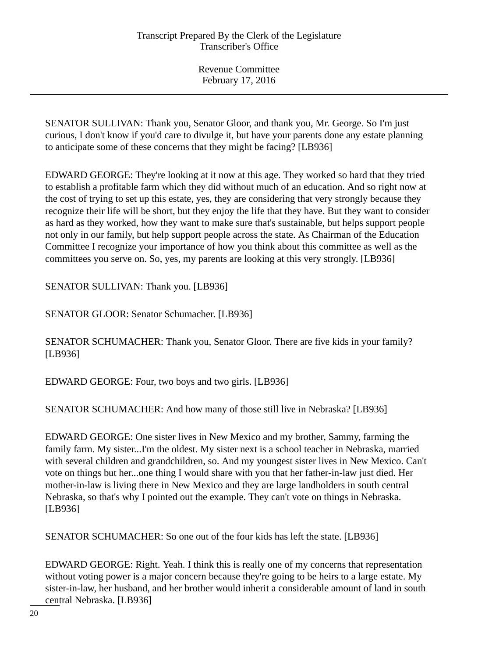SENATOR SULLIVAN: Thank you, Senator Gloor, and thank you, Mr. George. So I'm just curious, I don't know if you'd care to divulge it, but have your parents done any estate planning to anticipate some of these concerns that they might be facing? [LB936]

EDWARD GEORGE: They're looking at it now at this age. They worked so hard that they tried to establish a profitable farm which they did without much of an education. And so right now at the cost of trying to set up this estate, yes, they are considering that very strongly because they recognize their life will be short, but they enjoy the life that they have. But they want to consider as hard as they worked, how they want to make sure that's sustainable, but helps support people not only in our family, but help support people across the state. As Chairman of the Education Committee I recognize your importance of how you think about this committee as well as the committees you serve on. So, yes, my parents are looking at this very strongly. [LB936]

SENATOR SULLIVAN: Thank you. [LB936]

SENATOR GLOOR: Senator Schumacher. [LB936]

SENATOR SCHUMACHER: Thank you, Senator Gloor. There are five kids in your family? [LB936]

EDWARD GEORGE: Four, two boys and two girls. [LB936]

SENATOR SCHUMACHER: And how many of those still live in Nebraska? [LB936]

EDWARD GEORGE: One sister lives in New Mexico and my brother, Sammy, farming the family farm. My sister...I'm the oldest. My sister next is a school teacher in Nebraska, married with several children and grandchildren, so. And my youngest sister lives in New Mexico. Can't vote on things but her...one thing I would share with you that her father-in-law just died. Her mother-in-law is living there in New Mexico and they are large landholders in south central Nebraska, so that's why I pointed out the example. They can't vote on things in Nebraska. [LB936]

SENATOR SCHUMACHER: So one out of the four kids has left the state. [LB936]

EDWARD GEORGE: Right. Yeah. I think this is really one of my concerns that representation without voting power is a major concern because they're going to be heirs to a large estate. My sister-in-law, her husband, and her brother would inherit a considerable amount of land in south central Nebraska. [LB936]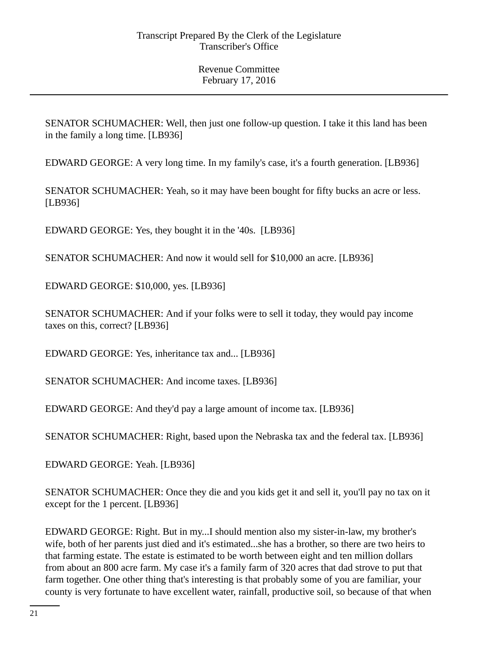SENATOR SCHUMACHER: Well, then just one follow-up question. I take it this land has been in the family a long time. [LB936]

EDWARD GEORGE: A very long time. In my family's case, it's a fourth generation. [LB936]

SENATOR SCHUMACHER: Yeah, so it may have been bought for fifty bucks an acre or less. [LB936]

EDWARD GEORGE: Yes, they bought it in the '40s. [LB936]

SENATOR SCHUMACHER: And now it would sell for \$10,000 an acre. [LB936]

EDWARD GEORGE: \$10,000, yes. [LB936]

SENATOR SCHUMACHER: And if your folks were to sell it today, they would pay income taxes on this, correct? [LB936]

EDWARD GEORGE: Yes, inheritance tax and... [LB936]

SENATOR SCHUMACHER: And income taxes. [LB936]

EDWARD GEORGE: And they'd pay a large amount of income tax. [LB936]

SENATOR SCHUMACHER: Right, based upon the Nebraska tax and the federal tax. [LB936]

EDWARD GEORGE: Yeah. [LB936]

SENATOR SCHUMACHER: Once they die and you kids get it and sell it, you'll pay no tax on it except for the 1 percent. [LB936]

EDWARD GEORGE: Right. But in my...I should mention also my sister-in-law, my brother's wife, both of her parents just died and it's estimated...she has a brother, so there are two heirs to that farming estate. The estate is estimated to be worth between eight and ten million dollars from about an 800 acre farm. My case it's a family farm of 320 acres that dad strove to put that farm together. One other thing that's interesting is that probably some of you are familiar, your county is very fortunate to have excellent water, rainfall, productive soil, so because of that when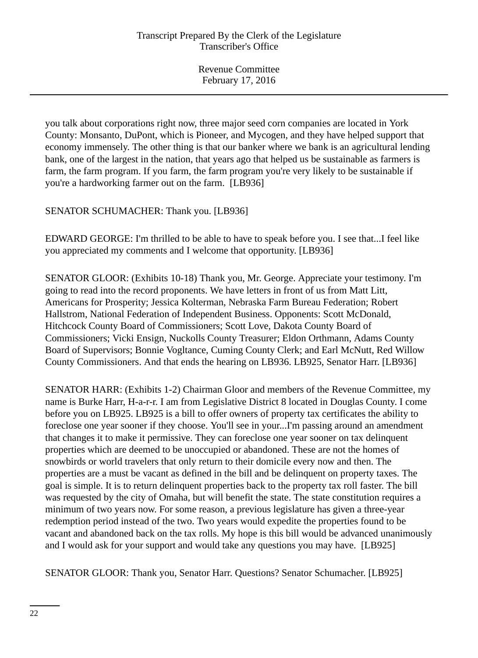you talk about corporations right now, three major seed corn companies are located in York County: Monsanto, DuPont, which is Pioneer, and Mycogen, and they have helped support that economy immensely. The other thing is that our banker where we bank is an agricultural lending bank, one of the largest in the nation, that years ago that helped us be sustainable as farmers is farm, the farm program. If you farm, the farm program you're very likely to be sustainable if you're a hardworking farmer out on the farm. [LB936]

SENATOR SCHUMACHER: Thank you. [LB936]

EDWARD GEORGE: I'm thrilled to be able to have to speak before you. I see that...I feel like you appreciated my comments and I welcome that opportunity. [LB936]

SENATOR GLOOR: (Exhibits 10-18) Thank you, Mr. George. Appreciate your testimony. I'm going to read into the record proponents. We have letters in front of us from Matt Litt, Americans for Prosperity; Jessica Kolterman, Nebraska Farm Bureau Federation; Robert Hallstrom, National Federation of Independent Business. Opponents: Scott McDonald, Hitchcock County Board of Commissioners; Scott Love, Dakota County Board of Commissioners; Vicki Ensign, Nuckolls County Treasurer; Eldon Orthmann, Adams County Board of Supervisors; Bonnie Vogltance, Cuming County Clerk; and Earl McNutt, Red Willow County Commissioners. And that ends the hearing on LB936. LB925, Senator Harr. [LB936]

SENATOR HARR: (Exhibits 1-2) Chairman Gloor and members of the Revenue Committee, my name is Burke Harr, H-a-r-r. I am from Legislative District 8 located in Douglas County. I come before you on LB925. LB925 is a bill to offer owners of property tax certificates the ability to foreclose one year sooner if they choose. You'll see in your...I'm passing around an amendment that changes it to make it permissive. They can foreclose one year sooner on tax delinquent properties which are deemed to be unoccupied or abandoned. These are not the homes of snowbirds or world travelers that only return to their domicile every now and then. The properties are a must be vacant as defined in the bill and be delinquent on property taxes. The goal is simple. It is to return delinquent properties back to the property tax roll faster. The bill was requested by the city of Omaha, but will benefit the state. The state constitution requires a minimum of two years now. For some reason, a previous legislature has given a three-year redemption period instead of the two. Two years would expedite the properties found to be vacant and abandoned back on the tax rolls. My hope is this bill would be advanced unanimously and I would ask for your support and would take any questions you may have. [LB925]

SENATOR GLOOR: Thank you, Senator Harr. Questions? Senator Schumacher. [LB925]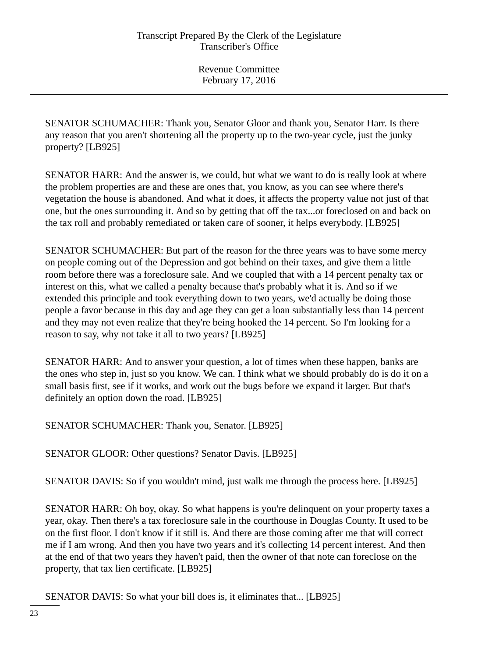SENATOR SCHUMACHER: Thank you, Senator Gloor and thank you, Senator Harr. Is there any reason that you aren't shortening all the property up to the two-year cycle, just the junky property? [LB925]

SENATOR HARR: And the answer is, we could, but what we want to do is really look at where the problem properties are and these are ones that, you know, as you can see where there's vegetation the house is abandoned. And what it does, it affects the property value not just of that one, but the ones surrounding it. And so by getting that off the tax...or foreclosed on and back on the tax roll and probably remediated or taken care of sooner, it helps everybody. [LB925]

SENATOR SCHUMACHER: But part of the reason for the three years was to have some mercy on people coming out of the Depression and got behind on their taxes, and give them a little room before there was a foreclosure sale. And we coupled that with a 14 percent penalty tax or interest on this, what we called a penalty because that's probably what it is. And so if we extended this principle and took everything down to two years, we'd actually be doing those people a favor because in this day and age they can get a loan substantially less than 14 percent and they may not even realize that they're being hooked the 14 percent. So I'm looking for a reason to say, why not take it all to two years? [LB925]

SENATOR HARR: And to answer your question, a lot of times when these happen, banks are the ones who step in, just so you know. We can. I think what we should probably do is do it on a small basis first, see if it works, and work out the bugs before we expand it larger. But that's definitely an option down the road. [LB925]

SENATOR SCHUMACHER: Thank you, Senator. [LB925]

SENATOR GLOOR: Other questions? Senator Davis. [LB925]

SENATOR DAVIS: So if you wouldn't mind, just walk me through the process here. [LB925]

SENATOR HARR: Oh boy, okay. So what happens is you're delinquent on your property taxes a year, okay. Then there's a tax foreclosure sale in the courthouse in Douglas County. It used to be on the first floor. I don't know if it still is. And there are those coming after me that will correct me if I am wrong. And then you have two years and it's collecting 14 percent interest. And then at the end of that two years they haven't paid, then the owner of that note can foreclose on the property, that tax lien certificate. [LB925]

SENATOR DAVIS: So what your bill does is, it eliminates that... [LB925]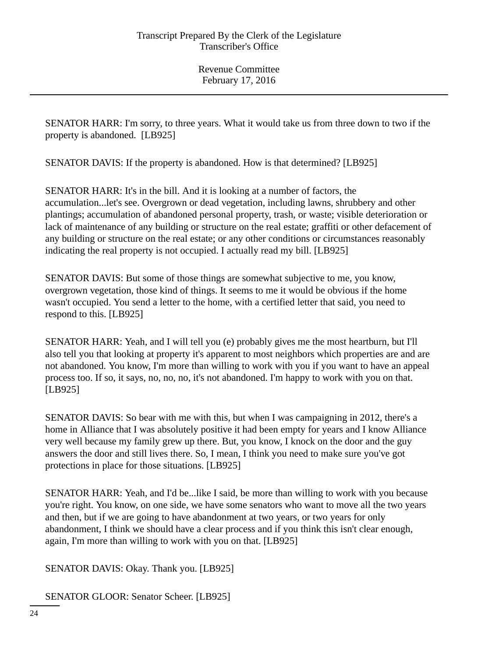SENATOR HARR: I'm sorry, to three years. What it would take us from three down to two if the property is abandoned. [LB925]

SENATOR DAVIS: If the property is abandoned. How is that determined? [LB925]

SENATOR HARR: It's in the bill. And it is looking at a number of factors, the accumulation...let's see. Overgrown or dead vegetation, including lawns, shrubbery and other plantings; accumulation of abandoned personal property, trash, or waste; visible deterioration or lack of maintenance of any building or structure on the real estate; graffiti or other defacement of any building or structure on the real estate; or any other conditions or circumstances reasonably indicating the real property is not occupied. I actually read my bill. [LB925]

SENATOR DAVIS: But some of those things are somewhat subjective to me, you know, overgrown vegetation, those kind of things. It seems to me it would be obvious if the home wasn't occupied. You send a letter to the home, with a certified letter that said, you need to respond to this. [LB925]

SENATOR HARR: Yeah, and I will tell you (e) probably gives me the most heartburn, but I'll also tell you that looking at property it's apparent to most neighbors which properties are and are not abandoned. You know, I'm more than willing to work with you if you want to have an appeal process too. If so, it says, no, no, no, it's not abandoned. I'm happy to work with you on that. [LB925]

SENATOR DAVIS: So bear with me with this, but when I was campaigning in 2012, there's a home in Alliance that I was absolutely positive it had been empty for years and I know Alliance very well because my family grew up there. But, you know, I knock on the door and the guy answers the door and still lives there. So, I mean, I think you need to make sure you've got protections in place for those situations. [LB925]

SENATOR HARR: Yeah, and I'd be...like I said, be more than willing to work with you because you're right. You know, on one side, we have some senators who want to move all the two years and then, but if we are going to have abandonment at two years, or two years for only abandonment, I think we should have a clear process and if you think this isn't clear enough, again, I'm more than willing to work with you on that. [LB925]

SENATOR DAVIS: Okay. Thank you. [LB925]

SENATOR GLOOR: Senator Scheer. [LB925]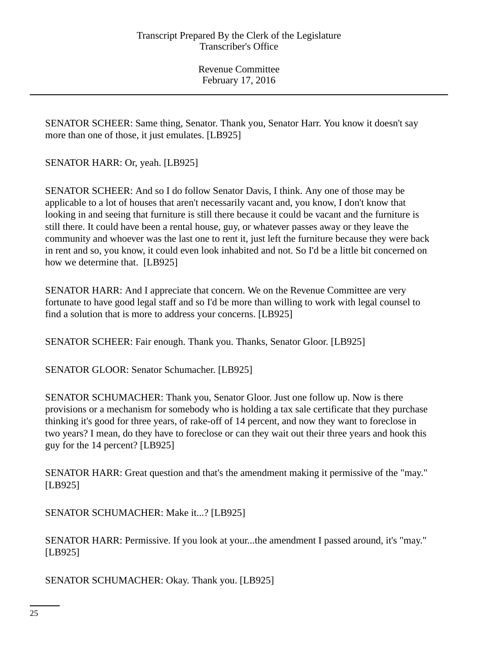SENATOR SCHEER: Same thing, Senator. Thank you, Senator Harr. You know it doesn't say more than one of those, it just emulates. [LB925]

SENATOR HARR: Or, yeah. [LB925]

SENATOR SCHEER: And so I do follow Senator Davis, I think. Any one of those may be applicable to a lot of houses that aren't necessarily vacant and, you know, I don't know that looking in and seeing that furniture is still there because it could be vacant and the furniture is still there. It could have been a rental house, guy, or whatever passes away or they leave the community and whoever was the last one to rent it, just left the furniture because they were back in rent and so, you know, it could even look inhabited and not. So I'd be a little bit concerned on how we determine that. [LB925]

SENATOR HARR: And I appreciate that concern. We on the Revenue Committee are very fortunate to have good legal staff and so I'd be more than willing to work with legal counsel to find a solution that is more to address your concerns. [LB925]

SENATOR SCHEER: Fair enough. Thank you. Thanks, Senator Gloor. [LB925]

SENATOR GLOOR: Senator Schumacher. [LB925]

SENATOR SCHUMACHER: Thank you, Senator Gloor. Just one follow up. Now is there provisions or a mechanism for somebody who is holding a tax sale certificate that they purchase thinking it's good for three years, of rake-off of 14 percent, and now they want to foreclose in two years? I mean, do they have to foreclose or can they wait out their three years and hook this guy for the 14 percent? [LB925]

SENATOR HARR: Great question and that's the amendment making it permissive of the "may." [LB925]

SENATOR SCHUMACHER: Make it...? [LB925]

SENATOR HARR: Permissive. If you look at your...the amendment I passed around, it's "may." [LB925]

SENATOR SCHUMACHER: Okay. Thank you. [LB925]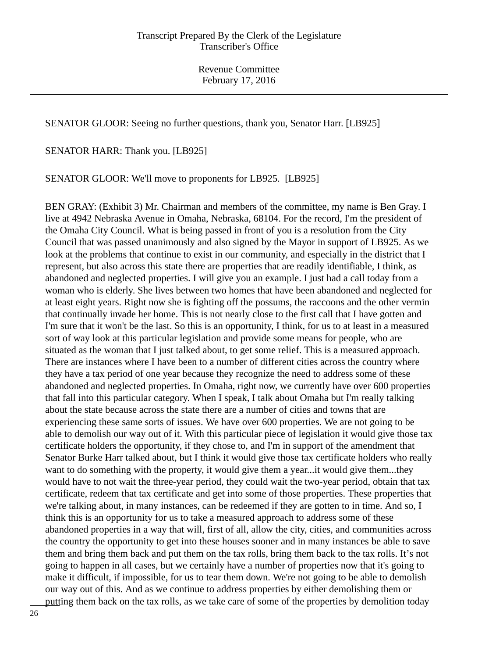SENATOR GLOOR: Seeing no further questions, thank you, Senator Harr. [LB925]

SENATOR HARR: Thank you. [LB925]

SENATOR GLOOR: We'll move to proponents for LB925. [LB925]

BEN GRAY: (Exhibit 3) Mr. Chairman and members of the committee, my name is Ben Gray. I live at 4942 Nebraska Avenue in Omaha, Nebraska, 68104. For the record, I'm the president of the Omaha City Council. What is being passed in front of you is a resolution from the City Council that was passed unanimously and also signed by the Mayor in support of LB925. As we look at the problems that continue to exist in our community, and especially in the district that I represent, but also across this state there are properties that are readily identifiable, I think, as abandoned and neglected properties. I will give you an example. I just had a call today from a woman who is elderly. She lives between two homes that have been abandoned and neglected for at least eight years. Right now she is fighting off the possums, the raccoons and the other vermin that continually invade her home. This is not nearly close to the first call that I have gotten and I'm sure that it won't be the last. So this is an opportunity, I think, for us to at least in a measured sort of way look at this particular legislation and provide some means for people, who are situated as the woman that I just talked about, to get some relief. This is a measured approach. There are instances where I have been to a number of different cities across the country where they have a tax period of one year because they recognize the need to address some of these abandoned and neglected properties. In Omaha, right now, we currently have over 600 properties that fall into this particular category. When I speak, I talk about Omaha but I'm really talking about the state because across the state there are a number of cities and towns that are experiencing these same sorts of issues. We have over 600 properties. We are not going to be able to demolish our way out of it. With this particular piece of legislation it would give those tax certificate holders the opportunity, if they chose to, and I'm in support of the amendment that Senator Burke Harr talked about, but I think it would give those tax certificate holders who really want to do something with the property, it would give them a year...it would give them...they would have to not wait the three-year period, they could wait the two-year period, obtain that tax certificate, redeem that tax certificate and get into some of those properties. These properties that we're talking about, in many instances, can be redeemed if they are gotten to in time. And so, I think this is an opportunity for us to take a measured approach to address some of these abandoned properties in a way that will, first of all, allow the city, cities, and communities across the country the opportunity to get into these houses sooner and in many instances be able to save them and bring them back and put them on the tax rolls, bring them back to the tax rolls. It's not going to happen in all cases, but we certainly have a number of properties now that it's going to make it difficult, if impossible, for us to tear them down. We're not going to be able to demolish our way out of this. And as we continue to address properties by either demolishing them or putting them back on the tax rolls, as we take care of some of the properties by demolition today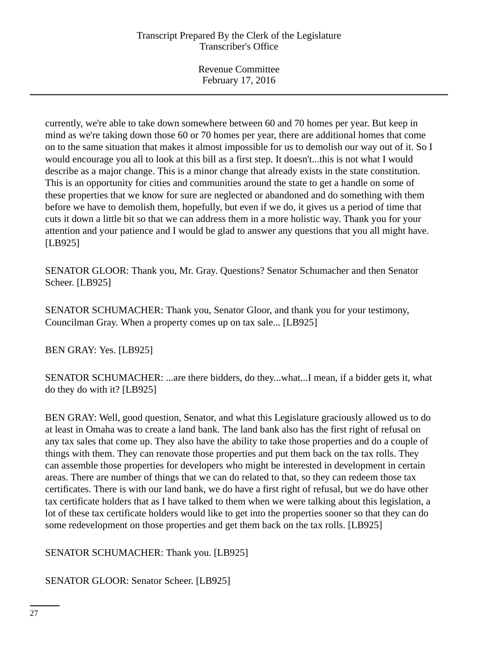currently, we're able to take down somewhere between 60 and 70 homes per year. But keep in mind as we're taking down those 60 or 70 homes per year, there are additional homes that come on to the same situation that makes it almost impossible for us to demolish our way out of it. So I would encourage you all to look at this bill as a first step. It doesn't...this is not what I would describe as a major change. This is a minor change that already exists in the state constitution. This is an opportunity for cities and communities around the state to get a handle on some of these properties that we know for sure are neglected or abandoned and do something with them before we have to demolish them, hopefully, but even if we do, it gives us a period of time that cuts it down a little bit so that we can address them in a more holistic way. Thank you for your attention and your patience and I would be glad to answer any questions that you all might have. [LB925]

SENATOR GLOOR: Thank you, Mr. Gray. Questions? Senator Schumacher and then Senator Scheer. [LB925]

SENATOR SCHUMACHER: Thank you, Senator Gloor, and thank you for your testimony, Councilman Gray. When a property comes up on tax sale... [LB925]

BEN GRAY: Yes. [LB925]

SENATOR SCHUMACHER: ...are there bidders, do they...what...I mean, if a bidder gets it, what do they do with it? [LB925]

BEN GRAY: Well, good question, Senator, and what this Legislature graciously allowed us to do at least in Omaha was to create a land bank. The land bank also has the first right of refusal on any tax sales that come up. They also have the ability to take those properties and do a couple of things with them. They can renovate those properties and put them back on the tax rolls. They can assemble those properties for developers who might be interested in development in certain areas. There are number of things that we can do related to that, so they can redeem those tax certificates. There is with our land bank, we do have a first right of refusal, but we do have other tax certificate holders that as I have talked to them when we were talking about this legislation, a lot of these tax certificate holders would like to get into the properties sooner so that they can do some redevelopment on those properties and get them back on the tax rolls. [LB925]

SENATOR SCHUMACHER: Thank you. [LB925]

SENATOR GLOOR: Senator Scheer. [LB925]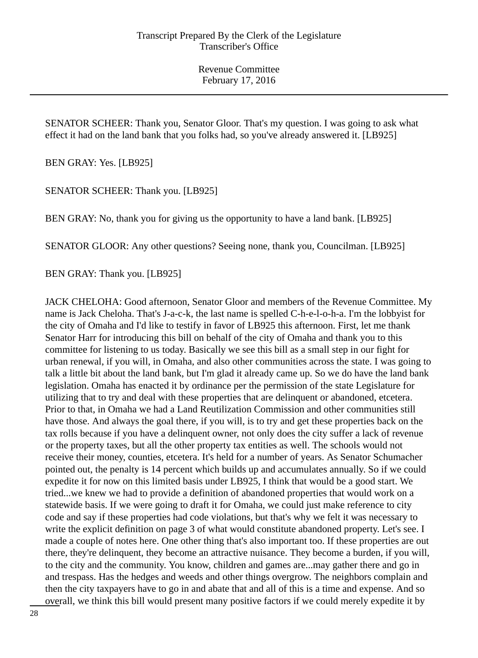SENATOR SCHEER: Thank you, Senator Gloor. That's my question. I was going to ask what effect it had on the land bank that you folks had, so you've already answered it. [LB925]

BEN GRAY: Yes. [LB925]

SENATOR SCHEER: Thank you. [LB925]

BEN GRAY: No, thank you for giving us the opportunity to have a land bank. [LB925]

SENATOR GLOOR: Any other questions? Seeing none, thank you, Councilman. [LB925]

BEN GRAY: Thank you. [LB925]

JACK CHELOHA: Good afternoon, Senator Gloor and members of the Revenue Committee. My name is Jack Cheloha. That's J-a-c-k, the last name is spelled C-h-e-l-o-h-a. I'm the lobbyist for the city of Omaha and I'd like to testify in favor of LB925 this afternoon. First, let me thank Senator Harr for introducing this bill on behalf of the city of Omaha and thank you to this committee for listening to us today. Basically we see this bill as a small step in our fight for urban renewal, if you will, in Omaha, and also other communities across the state. I was going to talk a little bit about the land bank, but I'm glad it already came up. So we do have the land bank legislation. Omaha has enacted it by ordinance per the permission of the state Legislature for utilizing that to try and deal with these properties that are delinquent or abandoned, etcetera. Prior to that, in Omaha we had a Land Reutilization Commission and other communities still have those. And always the goal there, if you will, is to try and get these properties back on the tax rolls because if you have a delinquent owner, not only does the city suffer a lack of revenue or the property taxes, but all the other property tax entities as well. The schools would not receive their money, counties, etcetera. It's held for a number of years. As Senator Schumacher pointed out, the penalty is 14 percent which builds up and accumulates annually. So if we could expedite it for now on this limited basis under LB925, I think that would be a good start. We tried...we knew we had to provide a definition of abandoned properties that would work on a statewide basis. If we were going to draft it for Omaha, we could just make reference to city code and say if these properties had code violations, but that's why we felt it was necessary to write the explicit definition on page 3 of what would constitute abandoned property. Let's see. I made a couple of notes here. One other thing that's also important too. If these properties are out there, they're delinquent, they become an attractive nuisance. They become a burden, if you will, to the city and the community. You know, children and games are...may gather there and go in and trespass. Has the hedges and weeds and other things overgrow. The neighbors complain and then the city taxpayers have to go in and abate that and all of this is a time and expense. And so overall, we think this bill would present many positive factors if we could merely expedite it by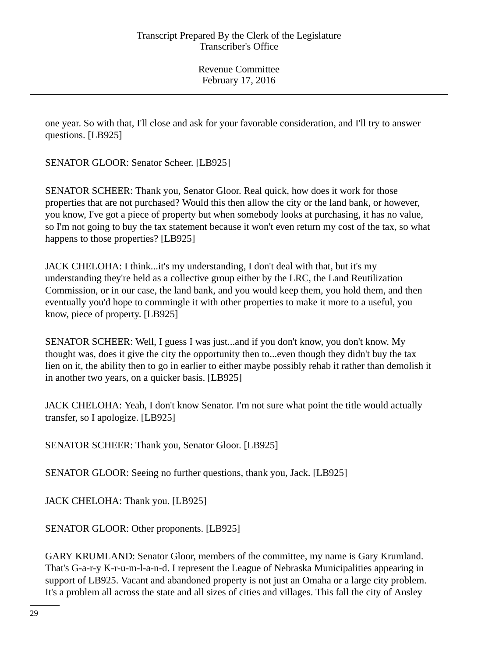one year. So with that, I'll close and ask for your favorable consideration, and I'll try to answer questions. [LB925]

SENATOR GLOOR: Senator Scheer. [LB925]

SENATOR SCHEER: Thank you, Senator Gloor. Real quick, how does it work for those properties that are not purchased? Would this then allow the city or the land bank, or however, you know, I've got a piece of property but when somebody looks at purchasing, it has no value, so I'm not going to buy the tax statement because it won't even return my cost of the tax, so what happens to those properties? [LB925]

JACK CHELOHA: I think...it's my understanding, I don't deal with that, but it's my understanding they're held as a collective group either by the LRC, the Land Reutilization Commission, or in our case, the land bank, and you would keep them, you hold them, and then eventually you'd hope to commingle it with other properties to make it more to a useful, you know, piece of property. [LB925]

SENATOR SCHEER: Well, I guess I was just...and if you don't know, you don't know. My thought was, does it give the city the opportunity then to...even though they didn't buy the tax lien on it, the ability then to go in earlier to either maybe possibly rehab it rather than demolish it in another two years, on a quicker basis. [LB925]

JACK CHELOHA: Yeah, I don't know Senator. I'm not sure what point the title would actually transfer, so I apologize. [LB925]

SENATOR SCHEER: Thank you, Senator Gloor. [LB925]

SENATOR GLOOR: Seeing no further questions, thank you, Jack. [LB925]

JACK CHELOHA: Thank you. [LB925]

SENATOR GLOOR: Other proponents. [LB925]

GARY KRUMLAND: Senator Gloor, members of the committee, my name is Gary Krumland. That's G-a-r-y K-r-u-m-l-a-n-d. I represent the League of Nebraska Municipalities appearing in support of LB925. Vacant and abandoned property is not just an Omaha or a large city problem. It's a problem all across the state and all sizes of cities and villages. This fall the city of Ansley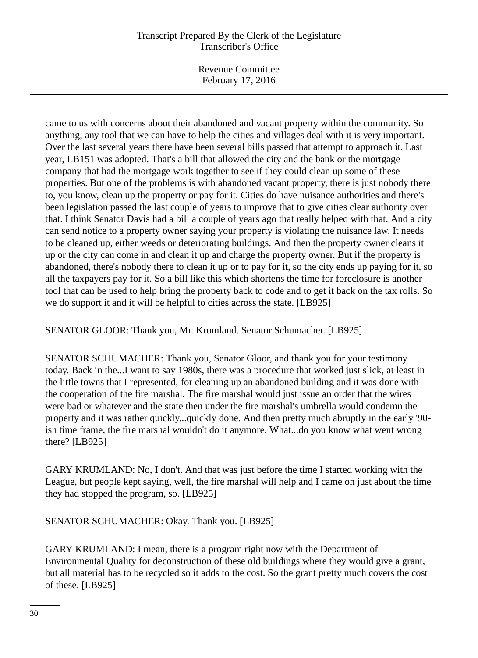Revenue Committee February 17, 2016

came to us with concerns about their abandoned and vacant property within the community. So anything, any tool that we can have to help the cities and villages deal with it is very important. Over the last several years there have been several bills passed that attempt to approach it. Last year, LB151 was adopted. That's a bill that allowed the city and the bank or the mortgage company that had the mortgage work together to see if they could clean up some of these properties. But one of the problems is with abandoned vacant property, there is just nobody there to, you know, clean up the property or pay for it. Cities do have nuisance authorities and there's been legislation passed the last couple of years to improve that to give cities clear authority over that. I think Senator Davis had a bill a couple of years ago that really helped with that. And a city can send notice to a property owner saying your property is violating the nuisance law. It needs to be cleaned up, either weeds or deteriorating buildings. And then the property owner cleans it up or the city can come in and clean it up and charge the property owner. But if the property is abandoned, there's nobody there to clean it up or to pay for it, so the city ends up paying for it, so all the taxpayers pay for it. So a bill like this which shortens the time for foreclosure is another tool that can be used to help bring the property back to code and to get it back on the tax rolls. So we do support it and it will be helpful to cities across the state. [LB925]

SENATOR GLOOR: Thank you, Mr. Krumland. Senator Schumacher. [LB925]

SENATOR SCHUMACHER: Thank you, Senator Gloor, and thank you for your testimony today. Back in the...I want to say 1980s, there was a procedure that worked just slick, at least in the little towns that I represented, for cleaning up an abandoned building and it was done with the cooperation of the fire marshal. The fire marshal would just issue an order that the wires were bad or whatever and the state then under the fire marshal's umbrella would condemn the property and it was rather quickly...quickly done. And then pretty much abruptly in the early '90 ish time frame, the fire marshal wouldn't do it anymore. What...do you know what went wrong there? [LB925]

GARY KRUMLAND: No, I don't. And that was just before the time I started working with the League, but people kept saying, well, the fire marshal will help and I came on just about the time they had stopped the program, so. [LB925]

SENATOR SCHUMACHER: Okay. Thank you. [LB925]

GARY KRUMLAND: I mean, there is a program right now with the Department of Environmental Quality for deconstruction of these old buildings where they would give a grant, but all material has to be recycled so it adds to the cost. So the grant pretty much covers the cost of these. [LB925]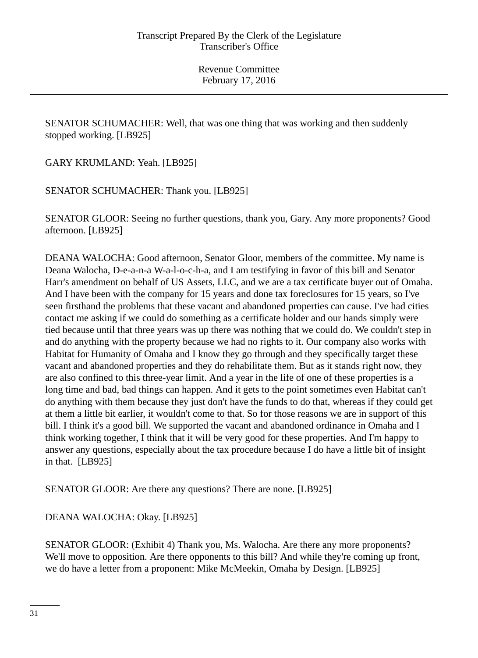SENATOR SCHUMACHER: Well, that was one thing that was working and then suddenly stopped working. [LB925]

GARY KRUMLAND: Yeah. [LB925]

SENATOR SCHUMACHER: Thank you. [LB925]

SENATOR GLOOR: Seeing no further questions, thank you, Gary. Any more proponents? Good afternoon. [LB925]

DEANA WALOCHA: Good afternoon, Senator Gloor, members of the committee. My name is Deana Walocha, D-e-a-n-a W-a-l-o-c-h-a, and I am testifying in favor of this bill and Senator Harr's amendment on behalf of US Assets, LLC, and we are a tax certificate buyer out of Omaha. And I have been with the company for 15 years and done tax foreclosures for 15 years, so I've seen firsthand the problems that these vacant and abandoned properties can cause. I've had cities contact me asking if we could do something as a certificate holder and our hands simply were tied because until that three years was up there was nothing that we could do. We couldn't step in and do anything with the property because we had no rights to it. Our company also works with Habitat for Humanity of Omaha and I know they go through and they specifically target these vacant and abandoned properties and they do rehabilitate them. But as it stands right now, they are also confined to this three-year limit. And a year in the life of one of these properties is a long time and bad, bad things can happen. And it gets to the point sometimes even Habitat can't do anything with them because they just don't have the funds to do that, whereas if they could get at them a little bit earlier, it wouldn't come to that. So for those reasons we are in support of this bill. I think it's a good bill. We supported the vacant and abandoned ordinance in Omaha and I think working together, I think that it will be very good for these properties. And I'm happy to answer any questions, especially about the tax procedure because I do have a little bit of insight in that. [LB925]

SENATOR GLOOR: Are there any questions? There are none. [LB925]

DEANA WALOCHA: Okay. [LB925]

SENATOR GLOOR: (Exhibit 4) Thank you, Ms. Walocha. Are there any more proponents? We'll move to opposition. Are there opponents to this bill? And while they're coming up front, we do have a letter from a proponent: Mike McMeekin, Omaha by Design. [LB925]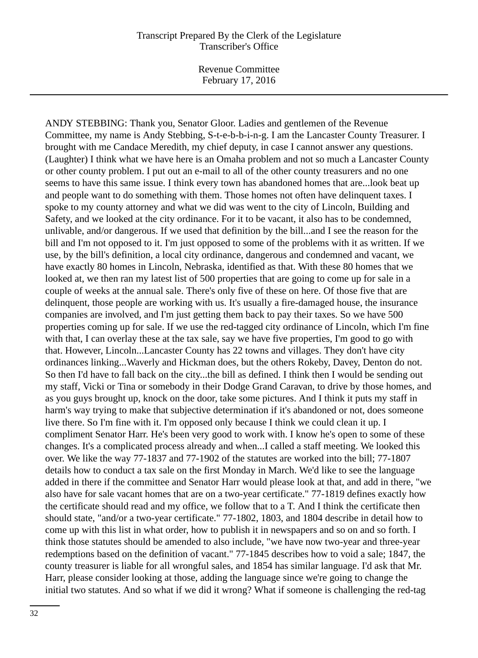Revenue Committee February 17, 2016

ANDY STEBBING: Thank you, Senator Gloor. Ladies and gentlemen of the Revenue Committee, my name is Andy Stebbing, S-t-e-b-b-i-n-g. I am the Lancaster County Treasurer. I brought with me Candace Meredith, my chief deputy, in case I cannot answer any questions. (Laughter) I think what we have here is an Omaha problem and not so much a Lancaster County or other county problem. I put out an e-mail to all of the other county treasurers and no one seems to have this same issue. I think every town has abandoned homes that are...look beat up and people want to do something with them. Those homes not often have delinquent taxes. I spoke to my county attorney and what we did was went to the city of Lincoln, Building and Safety, and we looked at the city ordinance. For it to be vacant, it also has to be condemned, unlivable, and/or dangerous. If we used that definition by the bill...and I see the reason for the bill and I'm not opposed to it. I'm just opposed to some of the problems with it as written. If we use, by the bill's definition, a local city ordinance, dangerous and condemned and vacant, we have exactly 80 homes in Lincoln, Nebraska, identified as that. With these 80 homes that we looked at, we then ran my latest list of 500 properties that are going to come up for sale in a couple of weeks at the annual sale. There's only five of these on here. Of those five that are delinquent, those people are working with us. It's usually a fire-damaged house, the insurance companies are involved, and I'm just getting them back to pay their taxes. So we have 500 properties coming up for sale. If we use the red-tagged city ordinance of Lincoln, which I'm fine with that, I can overlay these at the tax sale, say we have five properties, I'm good to go with that. However, Lincoln...Lancaster County has 22 towns and villages. They don't have city ordinances linking...Waverly and Hickman does, but the others Rokeby, Davey, Denton do not. So then I'd have to fall back on the city...the bill as defined. I think then I would be sending out my staff, Vicki or Tina or somebody in their Dodge Grand Caravan, to drive by those homes, and as you guys brought up, knock on the door, take some pictures. And I think it puts my staff in harm's way trying to make that subjective determination if it's abandoned or not, does someone live there. So I'm fine with it. I'm opposed only because I think we could clean it up. I compliment Senator Harr. He's been very good to work with. I know he's open to some of these changes. It's a complicated process already and when...I called a staff meeting. We looked this over. We like the way 77-1837 and 77-1902 of the statutes are worked into the bill; 77-1807 details how to conduct a tax sale on the first Monday in March. We'd like to see the language added in there if the committee and Senator Harr would please look at that, and add in there, "we also have for sale vacant homes that are on a two-year certificate." 77-1819 defines exactly how the certificate should read and my office, we follow that to a T. And I think the certificate then should state, "and/or a two-year certificate." 77-1802, 1803, and 1804 describe in detail how to come up with this list in what order, how to publish it in newspapers and so on and so forth. I think those statutes should be amended to also include, "we have now two-year and three-year redemptions based on the definition of vacant." 77-1845 describes how to void a sale; 1847, the county treasurer is liable for all wrongful sales, and 1854 has similar language. I'd ask that Mr. Harr, please consider looking at those, adding the language since we're going to change the initial two statutes. And so what if we did it wrong? What if someone is challenging the red-tag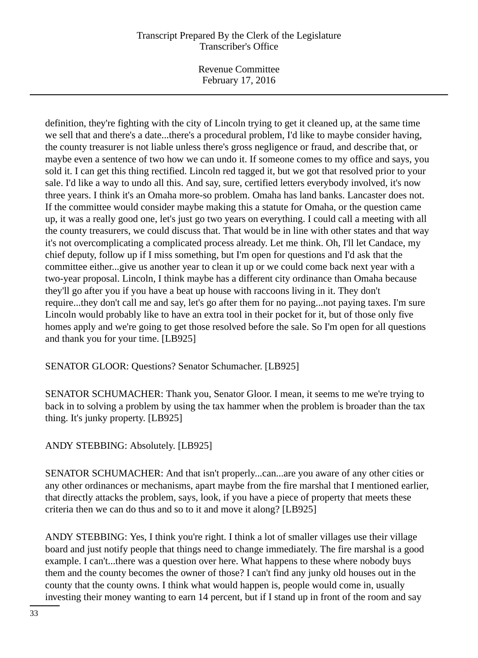Revenue Committee February 17, 2016

definition, they're fighting with the city of Lincoln trying to get it cleaned up, at the same time we sell that and there's a date...there's a procedural problem, I'd like to maybe consider having, the county treasurer is not liable unless there's gross negligence or fraud, and describe that, or maybe even a sentence of two how we can undo it. If someone comes to my office and says, you sold it. I can get this thing rectified. Lincoln red tagged it, but we got that resolved prior to your sale. I'd like a way to undo all this. And say, sure, certified letters everybody involved, it's now three years. I think it's an Omaha more-so problem. Omaha has land banks. Lancaster does not. If the committee would consider maybe making this a statute for Omaha, or the question came up, it was a really good one, let's just go two years on everything. I could call a meeting with all the county treasurers, we could discuss that. That would be in line with other states and that way it's not overcomplicating a complicated process already. Let me think. Oh, I'll let Candace, my chief deputy, follow up if I miss something, but I'm open for questions and I'd ask that the committee either...give us another year to clean it up or we could come back next year with a two-year proposal. Lincoln, I think maybe has a different city ordinance than Omaha because they'll go after you if you have a beat up house with raccoons living in it. They don't require...they don't call me and say, let's go after them for no paying...not paying taxes. I'm sure Lincoln would probably like to have an extra tool in their pocket for it, but of those only five homes apply and we're going to get those resolved before the sale. So I'm open for all questions and thank you for your time. [LB925]

SENATOR GLOOR: Questions? Senator Schumacher. [LB925]

SENATOR SCHUMACHER: Thank you, Senator Gloor. I mean, it seems to me we're trying to back in to solving a problem by using the tax hammer when the problem is broader than the tax thing. It's junky property. [LB925]

ANDY STEBBING: Absolutely. [LB925]

SENATOR SCHUMACHER: And that isn't properly...can...are you aware of any other cities or any other ordinances or mechanisms, apart maybe from the fire marshal that I mentioned earlier, that directly attacks the problem, says, look, if you have a piece of property that meets these criteria then we can do thus and so to it and move it along? [LB925]

ANDY STEBBING: Yes, I think you're right. I think a lot of smaller villages use their village board and just notify people that things need to change immediately. The fire marshal is a good example. I can't...there was a question over here. What happens to these where nobody buys them and the county becomes the owner of those? I can't find any junky old houses out in the county that the county owns. I think what would happen is, people would come in, usually investing their money wanting to earn 14 percent, but if I stand up in front of the room and say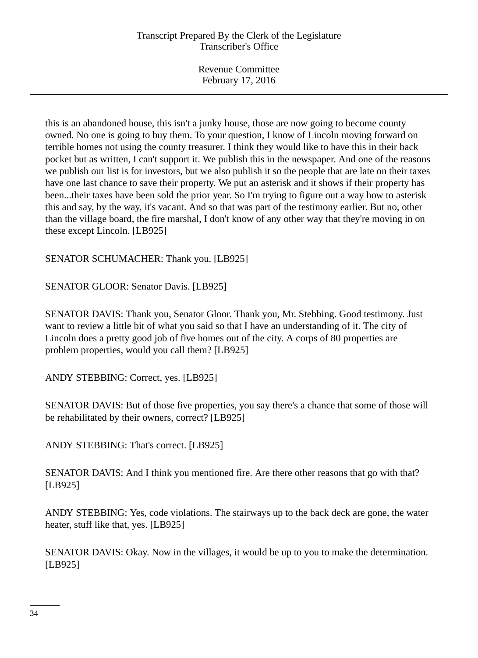Revenue Committee February 17, 2016

this is an abandoned house, this isn't a junky house, those are now going to become county owned. No one is going to buy them. To your question, I know of Lincoln moving forward on terrible homes not using the county treasurer. I think they would like to have this in their back pocket but as written, I can't support it. We publish this in the newspaper. And one of the reasons we publish our list is for investors, but we also publish it so the people that are late on their taxes have one last chance to save their property. We put an asterisk and it shows if their property has been...their taxes have been sold the prior year. So I'm trying to figure out a way how to asterisk this and say, by the way, it's vacant. And so that was part of the testimony earlier. But no, other than the village board, the fire marshal, I don't know of any other way that they're moving in on these except Lincoln. [LB925]

SENATOR SCHUMACHER: Thank you. [LB925]

SENATOR GLOOR: Senator Davis. [LB925]

SENATOR DAVIS: Thank you, Senator Gloor. Thank you, Mr. Stebbing. Good testimony. Just want to review a little bit of what you said so that I have an understanding of it. The city of Lincoln does a pretty good job of five homes out of the city. A corps of 80 properties are problem properties, would you call them? [LB925]

ANDY STEBBING: Correct, yes. [LB925]

SENATOR DAVIS: But of those five properties, you say there's a chance that some of those will be rehabilitated by their owners, correct? [LB925]

ANDY STEBBING: That's correct. [LB925]

SENATOR DAVIS: And I think you mentioned fire. Are there other reasons that go with that? [LB925]

ANDY STEBBING: Yes, code violations. The stairways up to the back deck are gone, the water heater, stuff like that, yes. [LB925]

SENATOR DAVIS: Okay. Now in the villages, it would be up to you to make the determination. [LB925]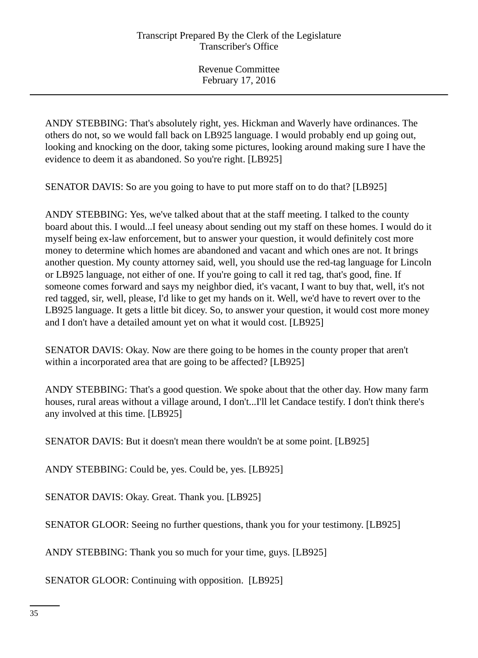ANDY STEBBING: That's absolutely right, yes. Hickman and Waverly have ordinances. The others do not, so we would fall back on LB925 language. I would probably end up going out, looking and knocking on the door, taking some pictures, looking around making sure I have the evidence to deem it as abandoned. So you're right. [LB925]

SENATOR DAVIS: So are you going to have to put more staff on to do that? [LB925]

ANDY STEBBING: Yes, we've talked about that at the staff meeting. I talked to the county board about this. I would...I feel uneasy about sending out my staff on these homes. I would do it myself being ex-law enforcement, but to answer your question, it would definitely cost more money to determine which homes are abandoned and vacant and which ones are not. It brings another question. My county attorney said, well, you should use the red-tag language for Lincoln or LB925 language, not either of one. If you're going to call it red tag, that's good, fine. If someone comes forward and says my neighbor died, it's vacant, I want to buy that, well, it's not red tagged, sir, well, please, I'd like to get my hands on it. Well, we'd have to revert over to the LB925 language. It gets a little bit dicey. So, to answer your question, it would cost more money and I don't have a detailed amount yet on what it would cost. [LB925]

SENATOR DAVIS: Okay. Now are there going to be homes in the county proper that aren't within a incorporated area that are going to be affected? [LB925]

ANDY STEBBING: That's a good question. We spoke about that the other day. How many farm houses, rural areas without a village around, I don't...I'll let Candace testify. I don't think there's any involved at this time. [LB925]

SENATOR DAVIS: But it doesn't mean there wouldn't be at some point. [LB925]

ANDY STEBBING: Could be, yes. Could be, yes. [LB925]

SENATOR DAVIS: Okay. Great. Thank you. [LB925]

SENATOR GLOOR: Seeing no further questions, thank you for your testimony. [LB925]

ANDY STEBBING: Thank you so much for your time, guys. [LB925]

SENATOR GLOOR: Continuing with opposition. [LB925]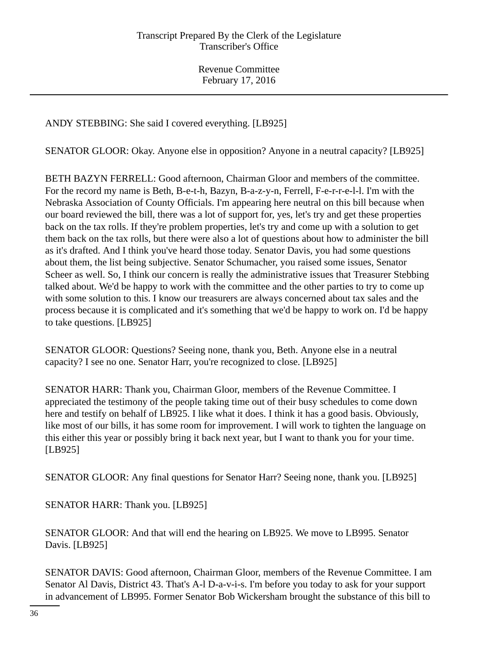ANDY STEBBING: She said I covered everything. [LB925]

SENATOR GLOOR: Okay. Anyone else in opposition? Anyone in a neutral capacity? [LB925]

BETH BAZYN FERRELL: Good afternoon, Chairman Gloor and members of the committee. For the record my name is Beth, B-e-t-h, Bazyn, B-a-z-y-n, Ferrell, F-e-r-r-e-l-l. I'm with the Nebraska Association of County Officials. I'm appearing here neutral on this bill because when our board reviewed the bill, there was a lot of support for, yes, let's try and get these properties back on the tax rolls. If they're problem properties, let's try and come up with a solution to get them back on the tax rolls, but there were also a lot of questions about how to administer the bill as it's drafted. And I think you've heard those today. Senator Davis, you had some questions about them, the list being subjective. Senator Schumacher, you raised some issues, Senator Scheer as well. So, I think our concern is really the administrative issues that Treasurer Stebbing talked about. We'd be happy to work with the committee and the other parties to try to come up with some solution to this. I know our treasurers are always concerned about tax sales and the process because it is complicated and it's something that we'd be happy to work on. I'd be happy to take questions. [LB925]

SENATOR GLOOR: Questions? Seeing none, thank you, Beth. Anyone else in a neutral capacity? I see no one. Senator Harr, you're recognized to close. [LB925]

SENATOR HARR: Thank you, Chairman Gloor, members of the Revenue Committee. I appreciated the testimony of the people taking time out of their busy schedules to come down here and testify on behalf of LB925. I like what it does. I think it has a good basis. Obviously, like most of our bills, it has some room for improvement. I will work to tighten the language on this either this year or possibly bring it back next year, but I want to thank you for your time. [LB925]

SENATOR GLOOR: Any final questions for Senator Harr? Seeing none, thank you. [LB925]

SENATOR HARR: Thank you. [LB925]

SENATOR GLOOR: And that will end the hearing on LB925. We move to LB995. Senator Davis. [LB925]

SENATOR DAVIS: Good afternoon, Chairman Gloor, members of the Revenue Committee. I am Senator Al Davis, District 43. That's A-l D-a-v-i-s. I'm before you today to ask for your support in advancement of LB995. Former Senator Bob Wickersham brought the substance of this bill to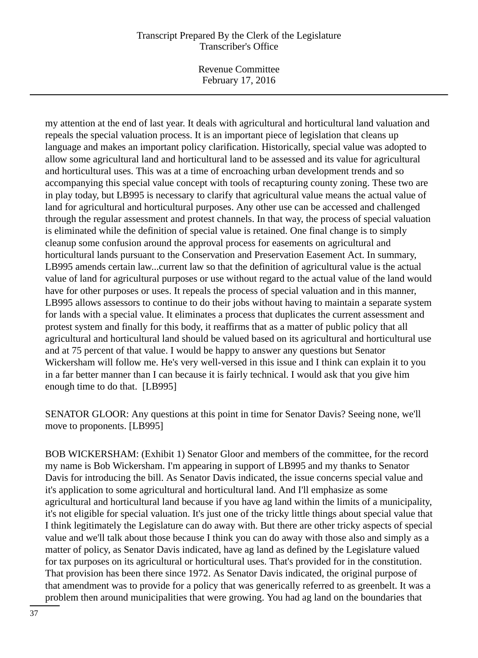Revenue Committee February 17, 2016

my attention at the end of last year. It deals with agricultural and horticultural land valuation and repeals the special valuation process. It is an important piece of legislation that cleans up language and makes an important policy clarification. Historically, special value was adopted to allow some agricultural land and horticultural land to be assessed and its value for agricultural and horticultural uses. This was at a time of encroaching urban development trends and so accompanying this special value concept with tools of recapturing county zoning. These two are in play today, but LB995 is necessary to clarify that agricultural value means the actual value of land for agricultural and horticultural purposes. Any other use can be accessed and challenged through the regular assessment and protest channels. In that way, the process of special valuation is eliminated while the definition of special value is retained. One final change is to simply cleanup some confusion around the approval process for easements on agricultural and horticultural lands pursuant to the Conservation and Preservation Easement Act. In summary, LB995 amends certain law...current law so that the definition of agricultural value is the actual value of land for agricultural purposes or use without regard to the actual value of the land would have for other purposes or uses. It repeals the process of special valuation and in this manner, LB995 allows assessors to continue to do their jobs without having to maintain a separate system for lands with a special value. It eliminates a process that duplicates the current assessment and protest system and finally for this body, it reaffirms that as a matter of public policy that all agricultural and horticultural land should be valued based on its agricultural and horticultural use and at 75 percent of that value. I would be happy to answer any questions but Senator Wickersham will follow me. He's very well-versed in this issue and I think can explain it to you in a far better manner than I can because it is fairly technical. I would ask that you give him enough time to do that. [LB995]

SENATOR GLOOR: Any questions at this point in time for Senator Davis? Seeing none, we'll move to proponents. [LB995]

BOB WICKERSHAM: (Exhibit 1) Senator Gloor and members of the committee, for the record my name is Bob Wickersham. I'm appearing in support of LB995 and my thanks to Senator Davis for introducing the bill. As Senator Davis indicated, the issue concerns special value and it's application to some agricultural and horticultural land. And I'll emphasize as some agricultural and horticultural land because if you have ag land within the limits of a municipality, it's not eligible for special valuation. It's just one of the tricky little things about special value that I think legitimately the Legislature can do away with. But there are other tricky aspects of special value and we'll talk about those because I think you can do away with those also and simply as a matter of policy, as Senator Davis indicated, have ag land as defined by the Legislature valued for tax purposes on its agricultural or horticultural uses. That's provided for in the constitution. That provision has been there since 1972. As Senator Davis indicated, the original purpose of that amendment was to provide for a policy that was generically referred to as greenbelt. It was a problem then around municipalities that were growing. You had ag land on the boundaries that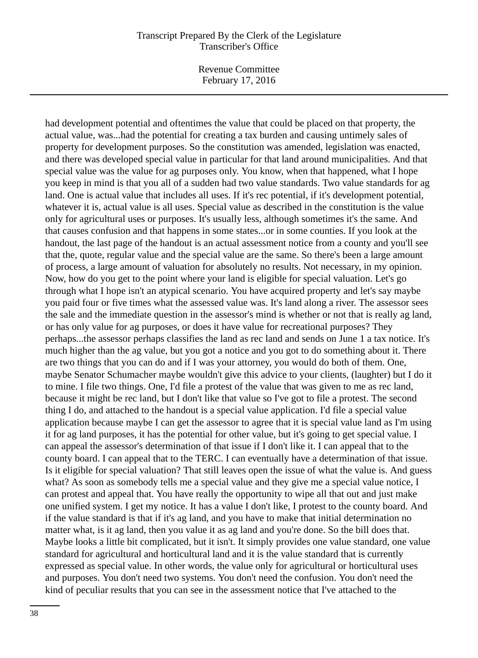Revenue Committee February 17, 2016

had development potential and oftentimes the value that could be placed on that property, the actual value, was...had the potential for creating a tax burden and causing untimely sales of property for development purposes. So the constitution was amended, legislation was enacted, and there was developed special value in particular for that land around municipalities. And that special value was the value for ag purposes only. You know, when that happened, what I hope you keep in mind is that you all of a sudden had two value standards. Two value standards for ag land. One is actual value that includes all uses. If it's rec potential, if it's development potential, whatever it is, actual value is all uses. Special value as described in the constitution is the value only for agricultural uses or purposes. It's usually less, although sometimes it's the same. And that causes confusion and that happens in some states...or in some counties. If you look at the handout, the last page of the handout is an actual assessment notice from a county and you'll see that the, quote, regular value and the special value are the same. So there's been a large amount of process, a large amount of valuation for absolutely no results. Not necessary, in my opinion. Now, how do you get to the point where your land is eligible for special valuation. Let's go through what I hope isn't an atypical scenario. You have acquired property and let's say maybe you paid four or five times what the assessed value was. It's land along a river. The assessor sees the sale and the immediate question in the assessor's mind is whether or not that is really ag land, or has only value for ag purposes, or does it have value for recreational purposes? They perhaps...the assessor perhaps classifies the land as rec land and sends on June 1 a tax notice. It's much higher than the ag value, but you got a notice and you got to do something about it. There are two things that you can do and if I was your attorney, you would do both of them. One, maybe Senator Schumacher maybe wouldn't give this advice to your clients, (laughter) but I do it to mine. I file two things. One, I'd file a protest of the value that was given to me as rec land, because it might be rec land, but I don't like that value so I've got to file a protest. The second thing I do, and attached to the handout is a special value application. I'd file a special value application because maybe I can get the assessor to agree that it is special value land as I'm using it for ag land purposes, it has the potential for other value, but it's going to get special value. I can appeal the assessor's determination of that issue if I don't like it. I can appeal that to the county board. I can appeal that to the TERC. I can eventually have a determination of that issue. Is it eligible for special valuation? That still leaves open the issue of what the value is. And guess what? As soon as somebody tells me a special value and they give me a special value notice, I can protest and appeal that. You have really the opportunity to wipe all that out and just make one unified system. I get my notice. It has a value I don't like, I protest to the county board. And if the value standard is that if it's ag land, and you have to make that initial determination no matter what, is it ag land, then you value it as ag land and you're done. So the bill does that. Maybe looks a little bit complicated, but it isn't. It simply provides one value standard, one value standard for agricultural and horticultural land and it is the value standard that is currently expressed as special value. In other words, the value only for agricultural or horticultural uses and purposes. You don't need two systems. You don't need the confusion. You don't need the kind of peculiar results that you can see in the assessment notice that I've attached to the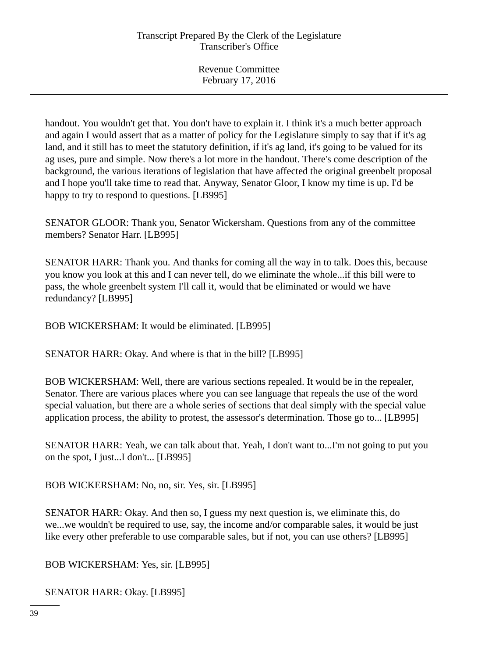handout. You wouldn't get that. You don't have to explain it. I think it's a much better approach and again I would assert that as a matter of policy for the Legislature simply to say that if it's ag land, and it still has to meet the statutory definition, if it's ag land, it's going to be valued for its ag uses, pure and simple. Now there's a lot more in the handout. There's come description of the background, the various iterations of legislation that have affected the original greenbelt proposal and I hope you'll take time to read that. Anyway, Senator Gloor, I know my time is up. I'd be happy to try to respond to questions. [LB995]

SENATOR GLOOR: Thank you, Senator Wickersham. Questions from any of the committee members? Senator Harr. [LB995]

SENATOR HARR: Thank you. And thanks for coming all the way in to talk. Does this, because you know you look at this and I can never tell, do we eliminate the whole...if this bill were to pass, the whole greenbelt system I'll call it, would that be eliminated or would we have redundancy? [LB995]

BOB WICKERSHAM: It would be eliminated. [LB995]

SENATOR HARR: Okay. And where is that in the bill? [LB995]

BOB WICKERSHAM: Well, there are various sections repealed. It would be in the repealer, Senator. There are various places where you can see language that repeals the use of the word special valuation, but there are a whole series of sections that deal simply with the special value application process, the ability to protest, the assessor's determination. Those go to... [LB995]

SENATOR HARR: Yeah, we can talk about that. Yeah, I don't want to...I'm not going to put you on the spot, I just...I don't... [LB995]

BOB WICKERSHAM: No, no, sir. Yes, sir. [LB995]

SENATOR HARR: Okay. And then so, I guess my next question is, we eliminate this, do we...we wouldn't be required to use, say, the income and/or comparable sales, it would be just like every other preferable to use comparable sales, but if not, you can use others? [LB995]

BOB WICKERSHAM: Yes, sir. [LB995]

SENATOR HARR: Okay. [LB995]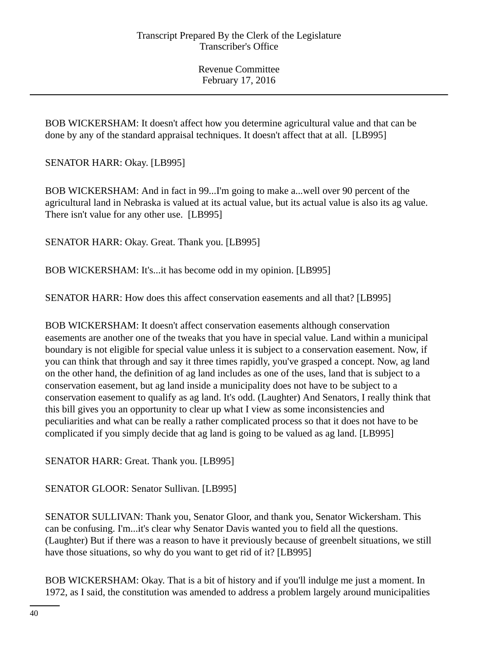BOB WICKERSHAM: It doesn't affect how you determine agricultural value and that can be done by any of the standard appraisal techniques. It doesn't affect that at all. [LB995]

SENATOR HARR: Okay. [LB995]

BOB WICKERSHAM: And in fact in 99...I'm going to make a...well over 90 percent of the agricultural land in Nebraska is valued at its actual value, but its actual value is also its ag value. There isn't value for any other use. [LB995]

SENATOR HARR: Okay. Great. Thank you. [LB995]

BOB WICKERSHAM: It's...it has become odd in my opinion. [LB995]

SENATOR HARR: How does this affect conservation easements and all that? [LB995]

BOB WICKERSHAM: It doesn't affect conservation easements although conservation easements are another one of the tweaks that you have in special value. Land within a municipal boundary is not eligible for special value unless it is subject to a conservation easement. Now, if you can think that through and say it three times rapidly, you've grasped a concept. Now, ag land on the other hand, the definition of ag land includes as one of the uses, land that is subject to a conservation easement, but ag land inside a municipality does not have to be subject to a conservation easement to qualify as ag land. It's odd. (Laughter) And Senators, I really think that this bill gives you an opportunity to clear up what I view as some inconsistencies and peculiarities and what can be really a rather complicated process so that it does not have to be complicated if you simply decide that ag land is going to be valued as ag land. [LB995]

SENATOR HARR: Great. Thank you. [LB995]

SENATOR GLOOR: Senator Sullivan. [LB995]

SENATOR SULLIVAN: Thank you, Senator Gloor, and thank you, Senator Wickersham. This can be confusing. I'm...it's clear why Senator Davis wanted you to field all the questions. (Laughter) But if there was a reason to have it previously because of greenbelt situations, we still have those situations, so why do you want to get rid of it? [LB995]

BOB WICKERSHAM: Okay. That is a bit of history and if you'll indulge me just a moment. In 1972, as I said, the constitution was amended to address a problem largely around municipalities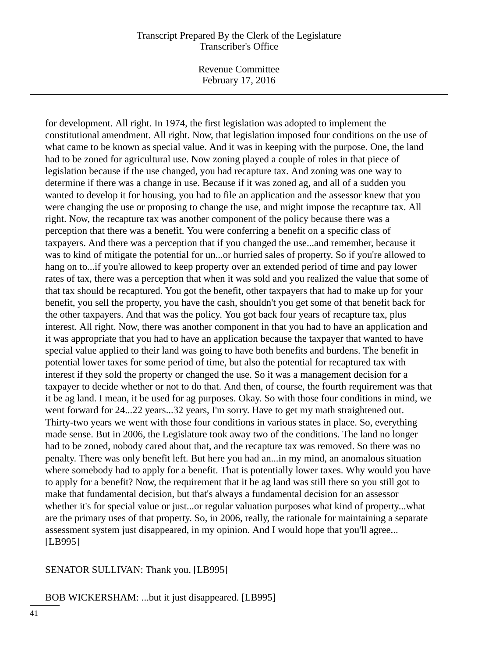Revenue Committee February 17, 2016

for development. All right. In 1974, the first legislation was adopted to implement the constitutional amendment. All right. Now, that legislation imposed four conditions on the use of what came to be known as special value. And it was in keeping with the purpose. One, the land had to be zoned for agricultural use. Now zoning played a couple of roles in that piece of legislation because if the use changed, you had recapture tax. And zoning was one way to determine if there was a change in use. Because if it was zoned ag, and all of a sudden you wanted to develop it for housing, you had to file an application and the assessor knew that you were changing the use or proposing to change the use, and might impose the recapture tax. All right. Now, the recapture tax was another component of the policy because there was a perception that there was a benefit. You were conferring a benefit on a specific class of taxpayers. And there was a perception that if you changed the use...and remember, because it was to kind of mitigate the potential for un...or hurried sales of property. So if you're allowed to hang on to...if you're allowed to keep property over an extended period of time and pay lower rates of tax, there was a perception that when it was sold and you realized the value that some of that tax should be recaptured. You got the benefit, other taxpayers that had to make up for your benefit, you sell the property, you have the cash, shouldn't you get some of that benefit back for the other taxpayers. And that was the policy. You got back four years of recapture tax, plus interest. All right. Now, there was another component in that you had to have an application and it was appropriate that you had to have an application because the taxpayer that wanted to have special value applied to their land was going to have both benefits and burdens. The benefit in potential lower taxes for some period of time, but also the potential for recaptured tax with interest if they sold the property or changed the use. So it was a management decision for a taxpayer to decide whether or not to do that. And then, of course, the fourth requirement was that it be ag land. I mean, it be used for ag purposes. Okay. So with those four conditions in mind, we went forward for 24...22 years...32 years, I'm sorry. Have to get my math straightened out. Thirty-two years we went with those four conditions in various states in place. So, everything made sense. But in 2006, the Legislature took away two of the conditions. The land no longer had to be zoned, nobody cared about that, and the recapture tax was removed. So there was no penalty. There was only benefit left. But here you had an...in my mind, an anomalous situation where somebody had to apply for a benefit. That is potentially lower taxes. Why would you have to apply for a benefit? Now, the requirement that it be ag land was still there so you still got to make that fundamental decision, but that's always a fundamental decision for an assessor whether it's for special value or just...or regular valuation purposes what kind of property...what are the primary uses of that property. So, in 2006, really, the rationale for maintaining a separate assessment system just disappeared, in my opinion. And I would hope that you'll agree... [LB995]

#### SENATOR SULLIVAN: Thank you. [LB995]

#### BOB WICKERSHAM: ...but it just disappeared. [LB995]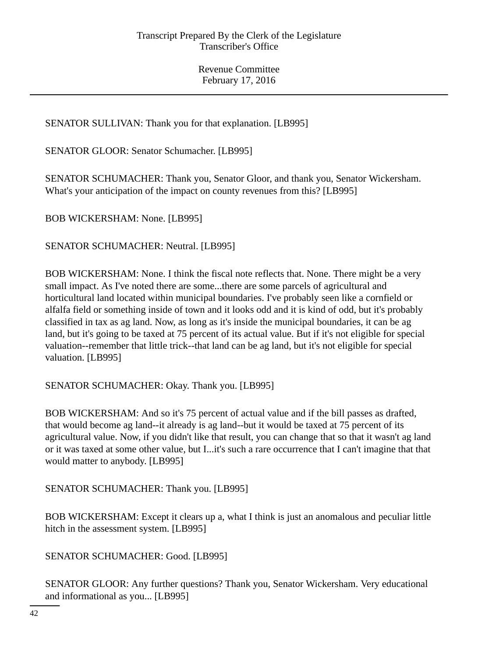# SENATOR SULLIVAN: Thank you for that explanation. [LB995]

SENATOR GLOOR: Senator Schumacher. [LB995]

SENATOR SCHUMACHER: Thank you, Senator Gloor, and thank you, Senator Wickersham. What's your anticipation of the impact on county revenues from this? [LB995]

BOB WICKERSHAM: None. [LB995]

SENATOR SCHUMACHER: Neutral. [LB995]

BOB WICKERSHAM: None. I think the fiscal note reflects that. None. There might be a very small impact. As I've noted there are some...there are some parcels of agricultural and horticultural land located within municipal boundaries. I've probably seen like a cornfield or alfalfa field or something inside of town and it looks odd and it is kind of odd, but it's probably classified in tax as ag land. Now, as long as it's inside the municipal boundaries, it can be ag land, but it's going to be taxed at 75 percent of its actual value. But if it's not eligible for special valuation--remember that little trick--that land can be ag land, but it's not eligible for special valuation. [LB995]

SENATOR SCHUMACHER: Okay. Thank you. [LB995]

BOB WICKERSHAM: And so it's 75 percent of actual value and if the bill passes as drafted, that would become ag land--it already is ag land--but it would be taxed at 75 percent of its agricultural value. Now, if you didn't like that result, you can change that so that it wasn't ag land or it was taxed at some other value, but I...it's such a rare occurrence that I can't imagine that that would matter to anybody. [LB995]

SENATOR SCHUMACHER: Thank you. [LB995]

BOB WICKERSHAM: Except it clears up a, what I think is just an anomalous and peculiar little hitch in the assessment system. [LB995]

SENATOR SCHUMACHER: Good. [LB995]

SENATOR GLOOR: Any further questions? Thank you, Senator Wickersham. Very educational and informational as you... [LB995]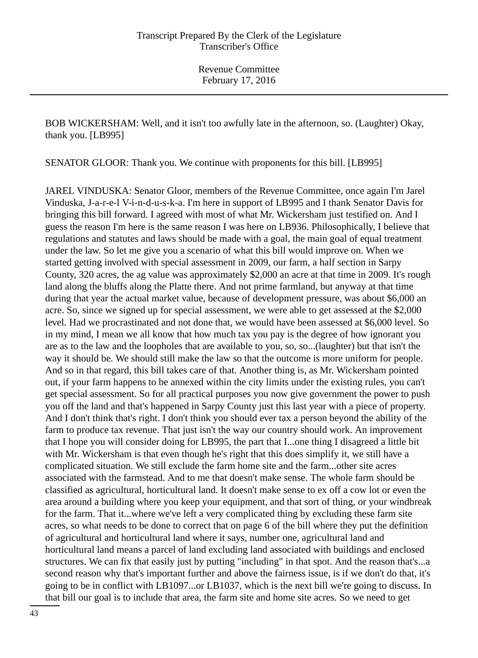BOB WICKERSHAM: Well, and it isn't too awfully late in the afternoon, so. (Laughter) Okay, thank you. [LB995]

SENATOR GLOOR: Thank you. We continue with proponents for this bill. [LB995]

JAREL VINDUSKA: Senator Gloor, members of the Revenue Committee, once again I'm Jarel Vinduska, J-a-r-e-l V-i-n-d-u-s-k-a. I'm here in support of LB995 and I thank Senator Davis for bringing this bill forward. I agreed with most of what Mr. Wickersham just testified on. And I guess the reason I'm here is the same reason I was here on LB936. Philosophically, I believe that regulations and statutes and laws should be made with a goal, the main goal of equal treatment under the law. So let me give you a scenario of what this bill would improve on. When we started getting involved with special assessment in 2009, our farm, a half section in Sarpy County, 320 acres, the ag value was approximately \$2,000 an acre at that time in 2009. It's rough land along the bluffs along the Platte there. And not prime farmland, but anyway at that time during that year the actual market value, because of development pressure, was about \$6,000 an acre. So, since we signed up for special assessment, we were able to get assessed at the \$2,000 level. Had we procrastinated and not done that, we would have been assessed at \$6,000 level. So in my mind, I mean we all know that how much tax you pay is the degree of how ignorant you are as to the law and the loopholes that are available to you, so, so...(laughter) but that isn't the way it should be. We should still make the law so that the outcome is more uniform for people. And so in that regard, this bill takes care of that. Another thing is, as Mr. Wickersham pointed out, if your farm happens to be annexed within the city limits under the existing rules, you can't get special assessment. So for all practical purposes you now give government the power to push you off the land and that's happened in Sarpy County just this last year with a piece of property. And I don't think that's right. I don't think you should ever tax a person beyond the ability of the farm to produce tax revenue. That just isn't the way our country should work. An improvement that I hope you will consider doing for LB995, the part that I...one thing I disagreed a little bit with Mr. Wickersham is that even though he's right that this does simplify it, we still have a complicated situation. We still exclude the farm home site and the farm...other site acres associated with the farmstead. And to me that doesn't make sense. The whole farm should be classified as agricultural, horticultural land. It doesn't make sense to ex off a cow lot or even the area around a building where you keep your equipment, and that sort of thing, or your windbreak for the farm. That it...where we've left a very complicated thing by excluding these farm site acres, so what needs to be done to correct that on page 6 of the bill where they put the definition of agricultural and horticultural land where it says, number one, agricultural land and horticultural land means a parcel of land excluding land associated with buildings and enclosed structures. We can fix that easily just by putting "including" in that spot. And the reason that's...a second reason why that's important further and above the fairness issue, is if we don't do that, it's going to be in conflict with LB1097...or LB1037, which is the next bill we're going to discuss. In that bill our goal is to include that area, the farm site and home site acres. So we need to get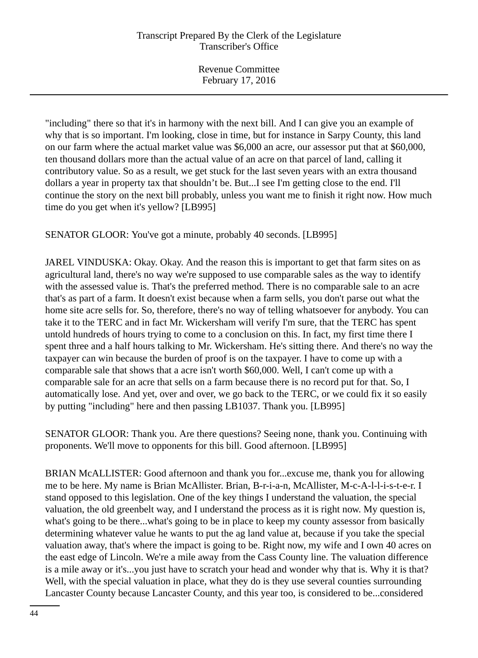"including" there so that it's in harmony with the next bill. And I can give you an example of why that is so important. I'm looking, close in time, but for instance in Sarpy County, this land on our farm where the actual market value was \$6,000 an acre, our assessor put that at \$60,000, ten thousand dollars more than the actual value of an acre on that parcel of land, calling it contributory value. So as a result, we get stuck for the last seven years with an extra thousand dollars a year in property tax that shouldn't be. But...I see I'm getting close to the end. I'll continue the story on the next bill probably, unless you want me to finish it right now. How much time do you get when it's yellow? [LB995]

SENATOR GLOOR: You've got a minute, probably 40 seconds. [LB995]

JAREL VINDUSKA: Okay. Okay. And the reason this is important to get that farm sites on as agricultural land, there's no way we're supposed to use comparable sales as the way to identify with the assessed value is. That's the preferred method. There is no comparable sale to an acre that's as part of a farm. It doesn't exist because when a farm sells, you don't parse out what the home site acre sells for. So, therefore, there's no way of telling whatsoever for anybody. You can take it to the TERC and in fact Mr. Wickersham will verify I'm sure, that the TERC has spent untold hundreds of hours trying to come to a conclusion on this. In fact, my first time there I spent three and a half hours talking to Mr. Wickersham. He's sitting there. And there's no way the taxpayer can win because the burden of proof is on the taxpayer. I have to come up with a comparable sale that shows that a acre isn't worth \$60,000. Well, I can't come up with a comparable sale for an acre that sells on a farm because there is no record put for that. So, I automatically lose. And yet, over and over, we go back to the TERC, or we could fix it so easily by putting "including" here and then passing LB1037. Thank you. [LB995]

SENATOR GLOOR: Thank you. Are there questions? Seeing none, thank you. Continuing with proponents. We'll move to opponents for this bill. Good afternoon. [LB995]

BRIAN McALLISTER: Good afternoon and thank you for...excuse me, thank you for allowing me to be here. My name is Brian McAllister. Brian, B-r-i-a-n, McAllister, M-c-A-l-l-i-s-t-e-r. I stand opposed to this legislation. One of the key things I understand the valuation, the special valuation, the old greenbelt way, and I understand the process as it is right now. My question is, what's going to be there...what's going to be in place to keep my county assessor from basically determining whatever value he wants to put the ag land value at, because if you take the special valuation away, that's where the impact is going to be. Right now, my wife and I own 40 acres on the east edge of Lincoln. We're a mile away from the Cass County line. The valuation difference is a mile away or it's...you just have to scratch your head and wonder why that is. Why it is that? Well, with the special valuation in place, what they do is they use several counties surrounding Lancaster County because Lancaster County, and this year too, is considered to be...considered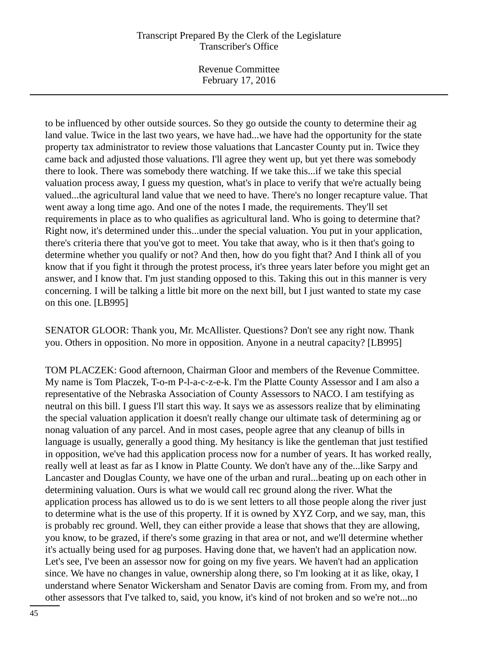Revenue Committee February 17, 2016

to be influenced by other outside sources. So they go outside the county to determine their ag land value. Twice in the last two years, we have had...we have had the opportunity for the state property tax administrator to review those valuations that Lancaster County put in. Twice they came back and adjusted those valuations. I'll agree they went up, but yet there was somebody there to look. There was somebody there watching. If we take this...if we take this special valuation process away, I guess my question, what's in place to verify that we're actually being valued...the agricultural land value that we need to have. There's no longer recapture value. That went away a long time ago. And one of the notes I made, the requirements. They'll set requirements in place as to who qualifies as agricultural land. Who is going to determine that? Right now, it's determined under this...under the special valuation. You put in your application, there's criteria there that you've got to meet. You take that away, who is it then that's going to determine whether you qualify or not? And then, how do you fight that? And I think all of you know that if you fight it through the protest process, it's three years later before you might get an answer, and I know that. I'm just standing opposed to this. Taking this out in this manner is very concerning. I will be talking a little bit more on the next bill, but I just wanted to state my case on this one. [LB995]

SENATOR GLOOR: Thank you, Mr. McAllister. Questions? Don't see any right now. Thank you. Others in opposition. No more in opposition. Anyone in a neutral capacity? [LB995]

TOM PLACZEK: Good afternoon, Chairman Gloor and members of the Revenue Committee. My name is Tom Placzek, T-o-m P-l-a-c-z-e-k. I'm the Platte County Assessor and I am also a representative of the Nebraska Association of County Assessors to NACO. I am testifying as neutral on this bill. I guess I'll start this way. It says we as assessors realize that by eliminating the special valuation application it doesn't really change our ultimate task of determining ag or nonag valuation of any parcel. And in most cases, people agree that any cleanup of bills in language is usually, generally a good thing. My hesitancy is like the gentleman that just testified in opposition, we've had this application process now for a number of years. It has worked really, really well at least as far as I know in Platte County. We don't have any of the...like Sarpy and Lancaster and Douglas County, we have one of the urban and rural...beating up on each other in determining valuation. Ours is what we would call rec ground along the river. What the application process has allowed us to do is we sent letters to all those people along the river just to determine what is the use of this property. If it is owned by XYZ Corp, and we say, man, this is probably rec ground. Well, they can either provide a lease that shows that they are allowing, you know, to be grazed, if there's some grazing in that area or not, and we'll determine whether it's actually being used for ag purposes. Having done that, we haven't had an application now. Let's see, I've been an assessor now for going on my five years. We haven't had an application since. We have no changes in value, ownership along there, so I'm looking at it as like, okay, I understand where Senator Wickersham and Senator Davis are coming from. From my, and from other assessors that I've talked to, said, you know, it's kind of not broken and so we're not...no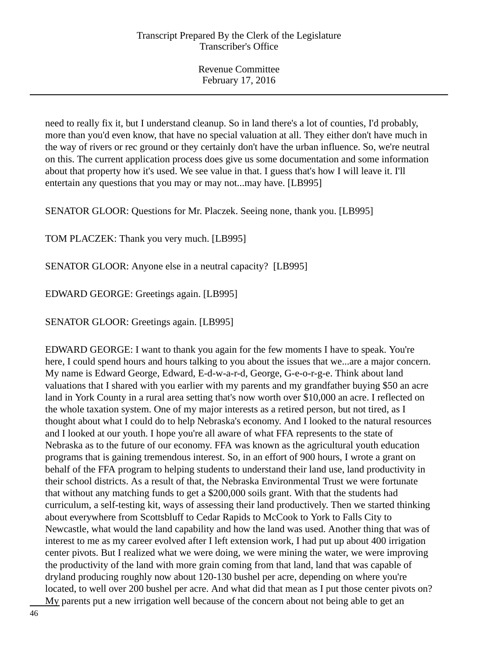need to really fix it, but I understand cleanup. So in land there's a lot of counties, I'd probably, more than you'd even know, that have no special valuation at all. They either don't have much in the way of rivers or rec ground or they certainly don't have the urban influence. So, we're neutral on this. The current application process does give us some documentation and some information about that property how it's used. We see value in that. I guess that's how I will leave it. I'll entertain any questions that you may or may not...may have. [LB995]

SENATOR GLOOR: Questions for Mr. Placzek. Seeing none, thank you. [LB995]

TOM PLACZEK: Thank you very much. [LB995]

SENATOR GLOOR: Anyone else in a neutral capacity? [LB995]

EDWARD GEORGE: Greetings again. [LB995]

SENATOR GLOOR: Greetings again. [LB995]

EDWARD GEORGE: I want to thank you again for the few moments I have to speak. You're here, I could spend hours and hours talking to you about the issues that we...are a major concern. My name is Edward George, Edward, E-d-w-a-r-d, George, G-e-o-r-g-e. Think about land valuations that I shared with you earlier with my parents and my grandfather buying \$50 an acre land in York County in a rural area setting that's now worth over \$10,000 an acre. I reflected on the whole taxation system. One of my major interests as a retired person, but not tired, as I thought about what I could do to help Nebraska's economy. And I looked to the natural resources and I looked at our youth. I hope you're all aware of what FFA represents to the state of Nebraska as to the future of our economy. FFA was known as the agricultural youth education programs that is gaining tremendous interest. So, in an effort of 900 hours, I wrote a grant on behalf of the FFA program to helping students to understand their land use, land productivity in their school districts. As a result of that, the Nebraska Environmental Trust we were fortunate that without any matching funds to get a \$200,000 soils grant. With that the students had curriculum, a self-testing kit, ways of assessing their land productively. Then we started thinking about everywhere from Scottsbluff to Cedar Rapids to McCook to York to Falls City to Newcastle, what would the land capability and how the land was used. Another thing that was of interest to me as my career evolved after I left extension work, I had put up about 400 irrigation center pivots. But I realized what we were doing, we were mining the water, we were improving the productivity of the land with more grain coming from that land, land that was capable of dryland producing roughly now about 120-130 bushel per acre, depending on where you're located, to well over 200 bushel per acre. And what did that mean as I put those center pivots on? My parents put a new irrigation well because of the concern about not being able to get an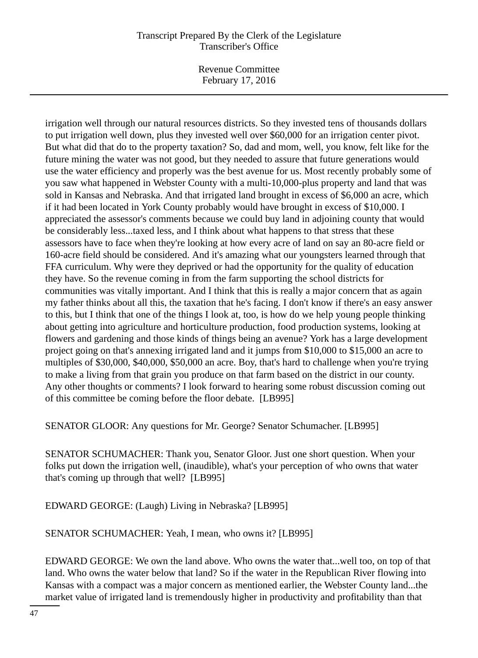Revenue Committee February 17, 2016

irrigation well through our natural resources districts. So they invested tens of thousands dollars to put irrigation well down, plus they invested well over \$60,000 for an irrigation center pivot. But what did that do to the property taxation? So, dad and mom, well, you know, felt like for the future mining the water was not good, but they needed to assure that future generations would use the water efficiency and properly was the best avenue for us. Most recently probably some of you saw what happened in Webster County with a multi-10,000-plus property and land that was sold in Kansas and Nebraska. And that irrigated land brought in excess of \$6,000 an acre, which if it had been located in York County probably would have brought in excess of \$10,000. I appreciated the assessor's comments because we could buy land in adjoining county that would be considerably less...taxed less, and I think about what happens to that stress that these assessors have to face when they're looking at how every acre of land on say an 80-acre field or 160-acre field should be considered. And it's amazing what our youngsters learned through that FFA curriculum. Why were they deprived or had the opportunity for the quality of education they have. So the revenue coming in from the farm supporting the school districts for communities was vitally important. And I think that this is really a major concern that as again my father thinks about all this, the taxation that he's facing. I don't know if there's an easy answer to this, but I think that one of the things I look at, too, is how do we help young people thinking about getting into agriculture and horticulture production, food production systems, looking at flowers and gardening and those kinds of things being an avenue? York has a large development project going on that's annexing irrigated land and it jumps from \$10,000 to \$15,000 an acre to multiples of \$30,000, \$40,000, \$50,000 an acre. Boy, that's hard to challenge when you're trying to make a living from that grain you produce on that farm based on the district in our county. Any other thoughts or comments? I look forward to hearing some robust discussion coming out of this committee be coming before the floor debate. [LB995]

SENATOR GLOOR: Any questions for Mr. George? Senator Schumacher. [LB995]

SENATOR SCHUMACHER: Thank you, Senator Gloor. Just one short question. When your folks put down the irrigation well, (inaudible), what's your perception of who owns that water that's coming up through that well? [LB995]

EDWARD GEORGE: (Laugh) Living in Nebraska? [LB995]

SENATOR SCHUMACHER: Yeah, I mean, who owns it? [LB995]

EDWARD GEORGE: We own the land above. Who owns the water that...well too, on top of that land. Who owns the water below that land? So if the water in the Republican River flowing into Kansas with a compact was a major concern as mentioned earlier, the Webster County land...the market value of irrigated land is tremendously higher in productivity and profitability than that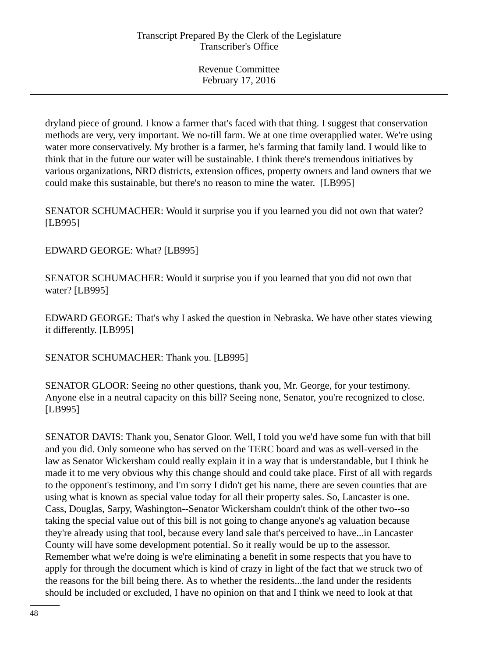dryland piece of ground. I know a farmer that's faced with that thing. I suggest that conservation methods are very, very important. We no-till farm. We at one time overapplied water. We're using water more conservatively. My brother is a farmer, he's farming that family land. I would like to think that in the future our water will be sustainable. I think there's tremendous initiatives by various organizations, NRD districts, extension offices, property owners and land owners that we could make this sustainable, but there's no reason to mine the water. [LB995]

SENATOR SCHUMACHER: Would it surprise you if you learned you did not own that water? [LB995]

EDWARD GEORGE: What? [LB995]

SENATOR SCHUMACHER: Would it surprise you if you learned that you did not own that water? [LB995]

EDWARD GEORGE: That's why I asked the question in Nebraska. We have other states viewing it differently. [LB995]

SENATOR SCHUMACHER: Thank you. [LB995]

SENATOR GLOOR: Seeing no other questions, thank you, Mr. George, for your testimony. Anyone else in a neutral capacity on this bill? Seeing none, Senator, you're recognized to close. [LB995]

SENATOR DAVIS: Thank you, Senator Gloor. Well, I told you we'd have some fun with that bill and you did. Only someone who has served on the TERC board and was as well-versed in the law as Senator Wickersham could really explain it in a way that is understandable, but I think he made it to me very obvious why this change should and could take place. First of all with regards to the opponent's testimony, and I'm sorry I didn't get his name, there are seven counties that are using what is known as special value today for all their property sales. So, Lancaster is one. Cass, Douglas, Sarpy, Washington--Senator Wickersham couldn't think of the other two--so taking the special value out of this bill is not going to change anyone's ag valuation because they're already using that tool, because every land sale that's perceived to have...in Lancaster County will have some development potential. So it really would be up to the assessor. Remember what we're doing is we're eliminating a benefit in some respects that you have to apply for through the document which is kind of crazy in light of the fact that we struck two of the reasons for the bill being there. As to whether the residents...the land under the residents should be included or excluded, I have no opinion on that and I think we need to look at that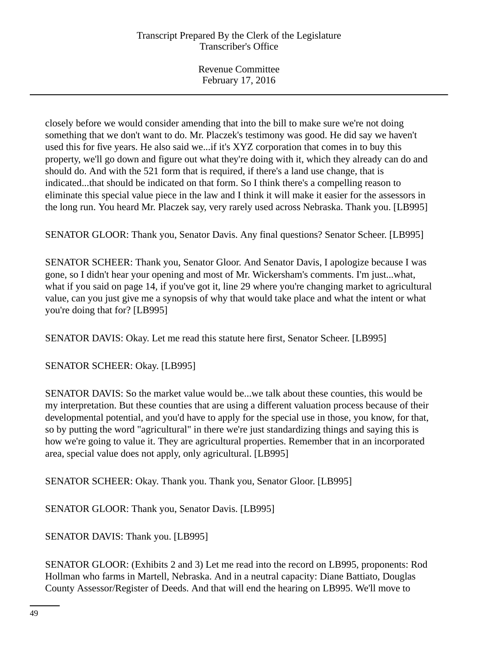closely before we would consider amending that into the bill to make sure we're not doing something that we don't want to do. Mr. Placzek's testimony was good. He did say we haven't used this for five years. He also said we...if it's XYZ corporation that comes in to buy this property, we'll go down and figure out what they're doing with it, which they already can do and should do. And with the 521 form that is required, if there's a land use change, that is indicated...that should be indicated on that form. So I think there's a compelling reason to eliminate this special value piece in the law and I think it will make it easier for the assessors in the long run. You heard Mr. Placzek say, very rarely used across Nebraska. Thank you. [LB995]

SENATOR GLOOR: Thank you, Senator Davis. Any final questions? Senator Scheer. [LB995]

SENATOR SCHEER: Thank you, Senator Gloor. And Senator Davis, I apologize because I was gone, so I didn't hear your opening and most of Mr. Wickersham's comments. I'm just...what, what if you said on page 14, if you've got it, line 29 where you're changing market to agricultural value, can you just give me a synopsis of why that would take place and what the intent or what you're doing that for? [LB995]

SENATOR DAVIS: Okay. Let me read this statute here first, Senator Scheer. [LB995]

SENATOR SCHEER: Okay. [LB995]

SENATOR DAVIS: So the market value would be...we talk about these counties, this would be my interpretation. But these counties that are using a different valuation process because of their developmental potential, and you'd have to apply for the special use in those, you know, for that, so by putting the word "agricultural" in there we're just standardizing things and saying this is how we're going to value it. They are agricultural properties. Remember that in an incorporated area, special value does not apply, only agricultural. [LB995]

SENATOR SCHEER: Okay. Thank you. Thank you, Senator Gloor. [LB995]

SENATOR GLOOR: Thank you, Senator Davis. [LB995]

SENATOR DAVIS: Thank you. [LB995]

SENATOR GLOOR: (Exhibits 2 and 3) Let me read into the record on LB995, proponents: Rod Hollman who farms in Martell, Nebraska. And in a neutral capacity: Diane Battiato, Douglas County Assessor/Register of Deeds. And that will end the hearing on LB995. We'll move to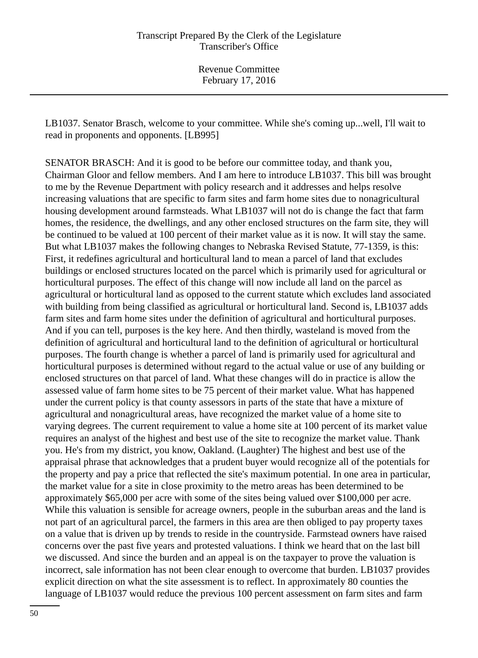LB1037. Senator Brasch, welcome to your committee. While she's coming up...well, I'll wait to read in proponents and opponents. [LB995]

SENATOR BRASCH: And it is good to be before our committee today, and thank you, Chairman Gloor and fellow members. And I am here to introduce LB1037. This bill was brought to me by the Revenue Department with policy research and it addresses and helps resolve increasing valuations that are specific to farm sites and farm home sites due to nonagricultural housing development around farmsteads. What LB1037 will not do is change the fact that farm homes, the residence, the dwellings, and any other enclosed structures on the farm site, they will be continued to be valued at 100 percent of their market value as it is now. It will stay the same. But what LB1037 makes the following changes to Nebraska Revised Statute, 77-1359, is this: First, it redefines agricultural and horticultural land to mean a parcel of land that excludes buildings or enclosed structures located on the parcel which is primarily used for agricultural or horticultural purposes. The effect of this change will now include all land on the parcel as agricultural or horticultural land as opposed to the current statute which excludes land associated with building from being classified as agricultural or horticultural land. Second is, LB1037 adds farm sites and farm home sites under the definition of agricultural and horticultural purposes. And if you can tell, purposes is the key here. And then thirdly, wasteland is moved from the definition of agricultural and horticultural land to the definition of agricultural or horticultural purposes. The fourth change is whether a parcel of land is primarily used for agricultural and horticultural purposes is determined without regard to the actual value or use of any building or enclosed structures on that parcel of land. What these changes will do in practice is allow the assessed value of farm home sites to be 75 percent of their market value. What has happened under the current policy is that county assessors in parts of the state that have a mixture of agricultural and nonagricultural areas, have recognized the market value of a home site to varying degrees. The current requirement to value a home site at 100 percent of its market value requires an analyst of the highest and best use of the site to recognize the market value. Thank you. He's from my district, you know, Oakland. (Laughter) The highest and best use of the appraisal phrase that acknowledges that a prudent buyer would recognize all of the potentials for the property and pay a price that reflected the site's maximum potential. In one area in particular, the market value for a site in close proximity to the metro areas has been determined to be approximately \$65,000 per acre with some of the sites being valued over \$100,000 per acre. While this valuation is sensible for acreage owners, people in the suburban areas and the land is not part of an agricultural parcel, the farmers in this area are then obliged to pay property taxes on a value that is driven up by trends to reside in the countryside. Farmstead owners have raised concerns over the past five years and protested valuations. I think we heard that on the last bill we discussed. And since the burden and an appeal is on the taxpayer to prove the valuation is incorrect, sale information has not been clear enough to overcome that burden. LB1037 provides explicit direction on what the site assessment is to reflect. In approximately 80 counties the language of LB1037 would reduce the previous 100 percent assessment on farm sites and farm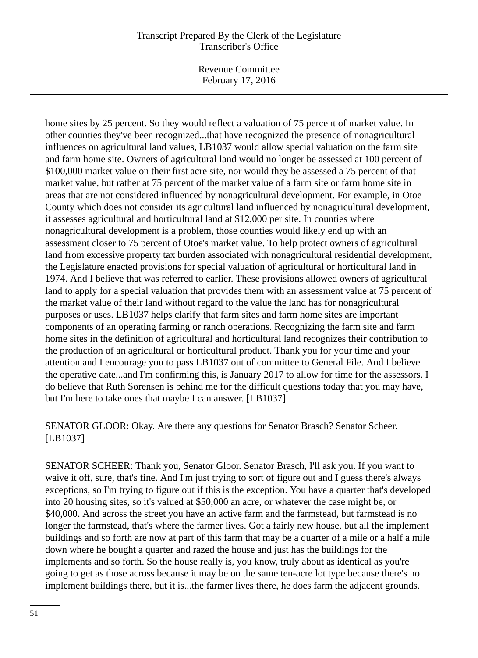Revenue Committee February 17, 2016

home sites by 25 percent. So they would reflect a valuation of 75 percent of market value. In other counties they've been recognized...that have recognized the presence of nonagricultural influences on agricultural land values, LB1037 would allow special valuation on the farm site and farm home site. Owners of agricultural land would no longer be assessed at 100 percent of \$100,000 market value on their first acre site, nor would they be assessed a 75 percent of that market value, but rather at 75 percent of the market value of a farm site or farm home site in areas that are not considered influenced by nonagricultural development. For example, in Otoe County which does not consider its agricultural land influenced by nonagricultural development, it assesses agricultural and horticultural land at \$12,000 per site. In counties where nonagricultural development is a problem, those counties would likely end up with an assessment closer to 75 percent of Otoe's market value. To help protect owners of agricultural land from excessive property tax burden associated with nonagricultural residential development, the Legislature enacted provisions for special valuation of agricultural or horticultural land in 1974. And I believe that was referred to earlier. These provisions allowed owners of agricultural land to apply for a special valuation that provides them with an assessment value at 75 percent of the market value of their land without regard to the value the land has for nonagricultural purposes or uses. LB1037 helps clarify that farm sites and farm home sites are important components of an operating farming or ranch operations. Recognizing the farm site and farm home sites in the definition of agricultural and horticultural land recognizes their contribution to the production of an agricultural or horticultural product. Thank you for your time and your attention and I encourage you to pass LB1037 out of committee to General File. And I believe the operative date...and I'm confirming this, is January 2017 to allow for time for the assessors. I do believe that Ruth Sorensen is behind me for the difficult questions today that you may have, but I'm here to take ones that maybe I can answer. [LB1037]

SENATOR GLOOR: Okay. Are there any questions for Senator Brasch? Senator Scheer. [LB1037]

SENATOR SCHEER: Thank you, Senator Gloor. Senator Brasch, I'll ask you. If you want to waive it off, sure, that's fine. And I'm just trying to sort of figure out and I guess there's always exceptions, so I'm trying to figure out if this is the exception. You have a quarter that's developed into 20 housing sites, so it's valued at \$50,000 an acre, or whatever the case might be, or \$40,000. And across the street you have an active farm and the farmstead, but farmstead is no longer the farmstead, that's where the farmer lives. Got a fairly new house, but all the implement buildings and so forth are now at part of this farm that may be a quarter of a mile or a half a mile down where he bought a quarter and razed the house and just has the buildings for the implements and so forth. So the house really is, you know, truly about as identical as you're going to get as those across because it may be on the same ten-acre lot type because there's no implement buildings there, but it is...the farmer lives there, he does farm the adjacent grounds.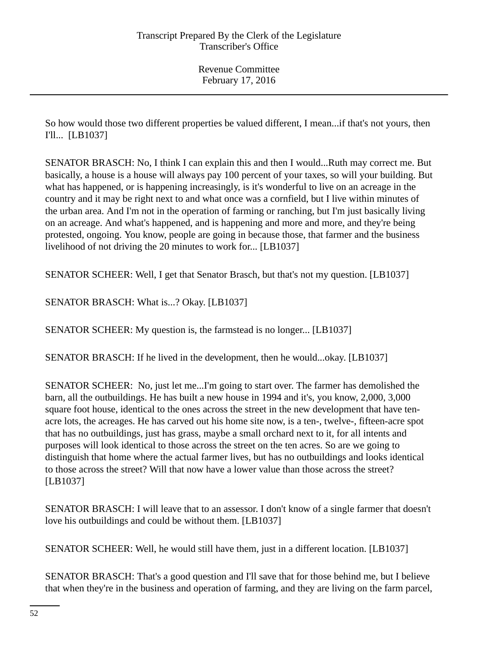So how would those two different properties be valued different, I mean...if that's not yours, then I'll... [LB1037]

SENATOR BRASCH: No, I think I can explain this and then I would...Ruth may correct me. But basically, a house is a house will always pay 100 percent of your taxes, so will your building. But what has happened, or is happening increasingly, is it's wonderful to live on an acreage in the country and it may be right next to and what once was a cornfield, but I live within minutes of the urban area. And I'm not in the operation of farming or ranching, but I'm just basically living on an acreage. And what's happened, and is happening and more and more, and they're being protested, ongoing. You know, people are going in because those, that farmer and the business livelihood of not driving the 20 minutes to work for... [LB1037]

SENATOR SCHEER: Well, I get that Senator Brasch, but that's not my question. [LB1037]

SENATOR BRASCH: What is...? Okay. [LB1037]

SENATOR SCHEER: My question is, the farmstead is no longer... [LB1037]

SENATOR BRASCH: If he lived in the development, then he would...okay. [LB1037]

SENATOR SCHEER: No, just let me...I'm going to start over. The farmer has demolished the barn, all the outbuildings. He has built a new house in 1994 and it's, you know, 2,000, 3,000 square foot house, identical to the ones across the street in the new development that have tenacre lots, the acreages. He has carved out his home site now, is a ten-, twelve-, fifteen-acre spot that has no outbuildings, just has grass, maybe a small orchard next to it, for all intents and purposes will look identical to those across the street on the ten acres. So are we going to distinguish that home where the actual farmer lives, but has no outbuildings and looks identical to those across the street? Will that now have a lower value than those across the street? [LB1037]

SENATOR BRASCH: I will leave that to an assessor. I don't know of a single farmer that doesn't love his outbuildings and could be without them. [LB1037]

SENATOR SCHEER: Well, he would still have them, just in a different location. [LB1037]

SENATOR BRASCH: That's a good question and I'll save that for those behind me, but I believe that when they're in the business and operation of farming, and they are living on the farm parcel,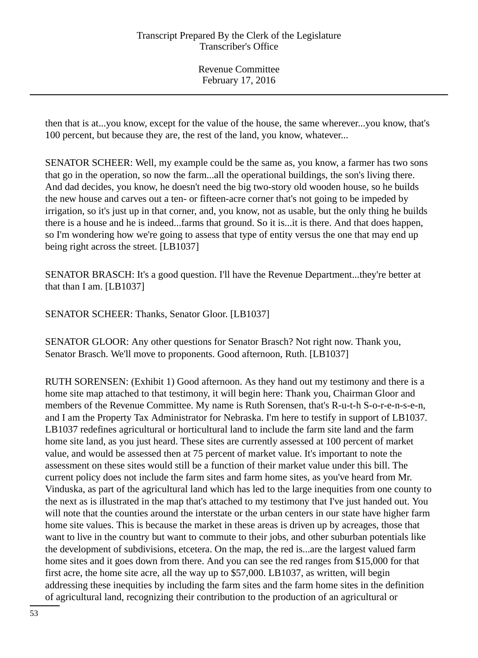then that is at...you know, except for the value of the house, the same wherever...you know, that's 100 percent, but because they are, the rest of the land, you know, whatever...

SENATOR SCHEER: Well, my example could be the same as, you know, a farmer has two sons that go in the operation, so now the farm...all the operational buildings, the son's living there. And dad decides, you know, he doesn't need the big two-story old wooden house, so he builds the new house and carves out a ten- or fifteen-acre corner that's not going to be impeded by irrigation, so it's just up in that corner, and, you know, not as usable, but the only thing he builds there is a house and he is indeed...farms that ground. So it is...it is there. And that does happen, so I'm wondering how we're going to assess that type of entity versus the one that may end up being right across the street. [LB1037]

SENATOR BRASCH: It's a good question. I'll have the Revenue Department...they're better at that than I am. [LB1037]

SENATOR SCHEER: Thanks, Senator Gloor. [LB1037]

SENATOR GLOOR: Any other questions for Senator Brasch? Not right now. Thank you, Senator Brasch. We'll move to proponents. Good afternoon, Ruth. [LB1037]

RUTH SORENSEN: (Exhibit 1) Good afternoon. As they hand out my testimony and there is a home site map attached to that testimony, it will begin here: Thank you, Chairman Gloor and members of the Revenue Committee. My name is Ruth Sorensen, that's R-u-t-h S-o-r-e-n-s-e-n, and I am the Property Tax Administrator for Nebraska. I'm here to testify in support of LB1037. LB1037 redefines agricultural or horticultural land to include the farm site land and the farm home site land, as you just heard. These sites are currently assessed at 100 percent of market value, and would be assessed then at 75 percent of market value. It's important to note the assessment on these sites would still be a function of their market value under this bill. The current policy does not include the farm sites and farm home sites, as you've heard from Mr. Vinduska, as part of the agricultural land which has led to the large inequities from one county to the next as is illustrated in the map that's attached to my testimony that I've just handed out. You will note that the counties around the interstate or the urban centers in our state have higher farm home site values. This is because the market in these areas is driven up by acreages, those that want to live in the country but want to commute to their jobs, and other suburban potentials like the development of subdivisions, etcetera. On the map, the red is...are the largest valued farm home sites and it goes down from there. And you can see the red ranges from \$15,000 for that first acre, the home site acre, all the way up to \$57,000. LB1037, as written, will begin addressing these inequities by including the farm sites and the farm home sites in the definition of agricultural land, recognizing their contribution to the production of an agricultural or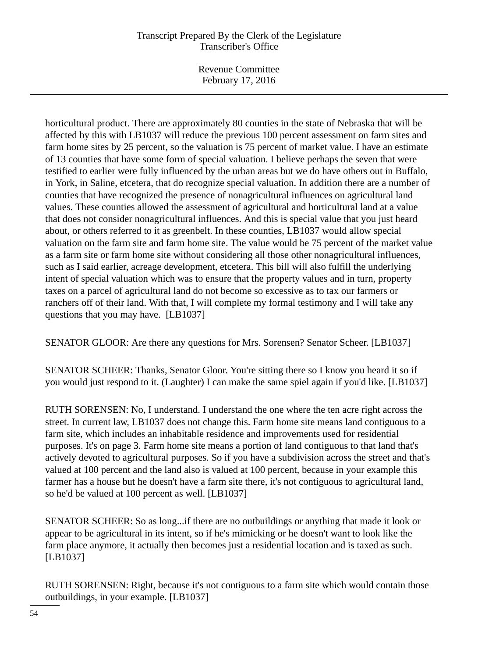Revenue Committee February 17, 2016

horticultural product. There are approximately 80 counties in the state of Nebraska that will be affected by this with LB1037 will reduce the previous 100 percent assessment on farm sites and farm home sites by 25 percent, so the valuation is 75 percent of market value. I have an estimate of 13 counties that have some form of special valuation. I believe perhaps the seven that were testified to earlier were fully influenced by the urban areas but we do have others out in Buffalo, in York, in Saline, etcetera, that do recognize special valuation. In addition there are a number of counties that have recognized the presence of nonagricultural influences on agricultural land values. These counties allowed the assessment of agricultural and horticultural land at a value that does not consider nonagricultural influences. And this is special value that you just heard about, or others referred to it as greenbelt. In these counties, LB1037 would allow special valuation on the farm site and farm home site. The value would be 75 percent of the market value as a farm site or farm home site without considering all those other nonagricultural influences, such as I said earlier, acreage development, etcetera. This bill will also fulfill the underlying intent of special valuation which was to ensure that the property values and in turn, property taxes on a parcel of agricultural land do not become so excessive as to tax our farmers or ranchers off of their land. With that, I will complete my formal testimony and I will take any questions that you may have. [LB1037]

SENATOR GLOOR: Are there any questions for Mrs. Sorensen? Senator Scheer. [LB1037]

SENATOR SCHEER: Thanks, Senator Gloor. You're sitting there so I know you heard it so if you would just respond to it. (Laughter) I can make the same spiel again if you'd like. [LB1037]

RUTH SORENSEN: No, I understand. I understand the one where the ten acre right across the street. In current law, LB1037 does not change this. Farm home site means land contiguous to a farm site, which includes an inhabitable residence and improvements used for residential purposes. It's on page 3. Farm home site means a portion of land contiguous to that land that's actively devoted to agricultural purposes. So if you have a subdivision across the street and that's valued at 100 percent and the land also is valued at 100 percent, because in your example this farmer has a house but he doesn't have a farm site there, it's not contiguous to agricultural land, so he'd be valued at 100 percent as well. [LB1037]

SENATOR SCHEER: So as long...if there are no outbuildings or anything that made it look or appear to be agricultural in its intent, so if he's mimicking or he doesn't want to look like the farm place anymore, it actually then becomes just a residential location and is taxed as such. [LB1037]

RUTH SORENSEN: Right, because it's not contiguous to a farm site which would contain those outbuildings, in your example. [LB1037]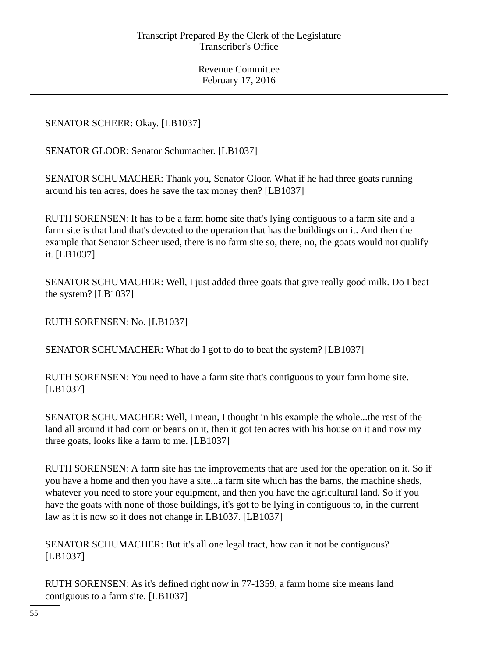# SENATOR SCHEER: Okay. [LB1037]

SENATOR GLOOR: Senator Schumacher. [LB1037]

SENATOR SCHUMACHER: Thank you, Senator Gloor. What if he had three goats running around his ten acres, does he save the tax money then? [LB1037]

RUTH SORENSEN: It has to be a farm home site that's lying contiguous to a farm site and a farm site is that land that's devoted to the operation that has the buildings on it. And then the example that Senator Scheer used, there is no farm site so, there, no, the goats would not qualify it. [LB1037]

SENATOR SCHUMACHER: Well, I just added three goats that give really good milk. Do I beat the system? [LB1037]

RUTH SORENSEN: No. [LB1037]

SENATOR SCHUMACHER: What do I got to do to beat the system? [LB1037]

RUTH SORENSEN: You need to have a farm site that's contiguous to your farm home site. [LB1037]

SENATOR SCHUMACHER: Well, I mean, I thought in his example the whole...the rest of the land all around it had corn or beans on it, then it got ten acres with his house on it and now my three goats, looks like a farm to me. [LB1037]

RUTH SORENSEN: A farm site has the improvements that are used for the operation on it. So if you have a home and then you have a site...a farm site which has the barns, the machine sheds, whatever you need to store your equipment, and then you have the agricultural land. So if you have the goats with none of those buildings, it's got to be lying in contiguous to, in the current law as it is now so it does not change in LB1037. [LB1037]

SENATOR SCHUMACHER: But it's all one legal tract, how can it not be contiguous? [LB1037]

RUTH SORENSEN: As it's defined right now in 77-1359, a farm home site means land contiguous to a farm site. [LB1037]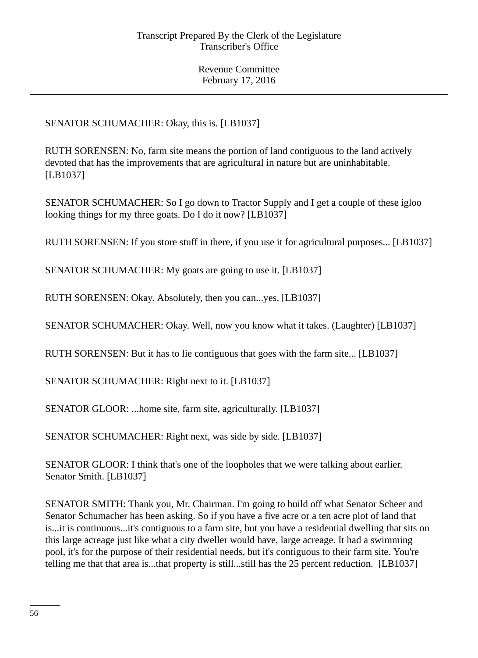# SENATOR SCHUMACHER: Okay, this is. [LB1037]

RUTH SORENSEN: No, farm site means the portion of land contiguous to the land actively devoted that has the improvements that are agricultural in nature but are uninhabitable. [LB1037]

SENATOR SCHUMACHER: So I go down to Tractor Supply and I get a couple of these igloo looking things for my three goats. Do I do it now? [LB1037]

RUTH SORENSEN: If you store stuff in there, if you use it for agricultural purposes... [LB1037]

SENATOR SCHUMACHER: My goats are going to use it. [LB1037]

RUTH SORENSEN: Okay. Absolutely, then you can...yes. [LB1037]

SENATOR SCHUMACHER: Okay. Well, now you know what it takes. (Laughter) [LB1037]

RUTH SORENSEN: But it has to lie contiguous that goes with the farm site... [LB1037]

SENATOR SCHUMACHER: Right next to it. [LB1037]

SENATOR GLOOR: ...home site, farm site, agriculturally. [LB1037]

SENATOR SCHUMACHER: Right next, was side by side. [LB1037]

SENATOR GLOOR: I think that's one of the loopholes that we were talking about earlier. Senator Smith. [LB1037]

SENATOR SMITH: Thank you, Mr. Chairman. I'm going to build off what Senator Scheer and Senator Schumacher has been asking. So if you have a five acre or a ten acre plot of land that is...it is continuous...it's contiguous to a farm site, but you have a residential dwelling that sits on this large acreage just like what a city dweller would have, large acreage. It had a swimming pool, it's for the purpose of their residential needs, but it's contiguous to their farm site. You're telling me that that area is...that property is still...still has the 25 percent reduction. [LB1037]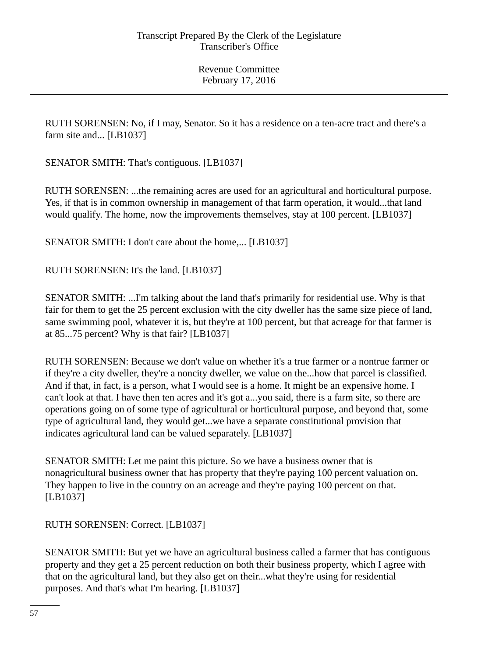RUTH SORENSEN: No, if I may, Senator. So it has a residence on a ten-acre tract and there's a farm site and... [LB1037]

SENATOR SMITH: That's contiguous. [LB1037]

RUTH SORENSEN: ...the remaining acres are used for an agricultural and horticultural purpose. Yes, if that is in common ownership in management of that farm operation, it would...that land would qualify. The home, now the improvements themselves, stay at 100 percent. [LB1037]

SENATOR SMITH: I don't care about the home,... [LB1037]

RUTH SORENSEN: It's the land. [LB1037]

SENATOR SMITH: ...I'm talking about the land that's primarily for residential use. Why is that fair for them to get the 25 percent exclusion with the city dweller has the same size piece of land, same swimming pool, whatever it is, but they're at 100 percent, but that acreage for that farmer is at 85...75 percent? Why is that fair? [LB1037]

RUTH SORENSEN: Because we don't value on whether it's a true farmer or a nontrue farmer or if they're a city dweller, they're a noncity dweller, we value on the...how that parcel is classified. And if that, in fact, is a person, what I would see is a home. It might be an expensive home. I can't look at that. I have then ten acres and it's got a...you said, there is a farm site, so there are operations going on of some type of agricultural or horticultural purpose, and beyond that, some type of agricultural land, they would get...we have a separate constitutional provision that indicates agricultural land can be valued separately. [LB1037]

SENATOR SMITH: Let me paint this picture. So we have a business owner that is nonagricultural business owner that has property that they're paying 100 percent valuation on. They happen to live in the country on an acreage and they're paying 100 percent on that. [LB1037]

RUTH SORENSEN: Correct. [LB1037]

SENATOR SMITH: But yet we have an agricultural business called a farmer that has contiguous property and they get a 25 percent reduction on both their business property, which I agree with that on the agricultural land, but they also get on their...what they're using for residential purposes. And that's what I'm hearing. [LB1037]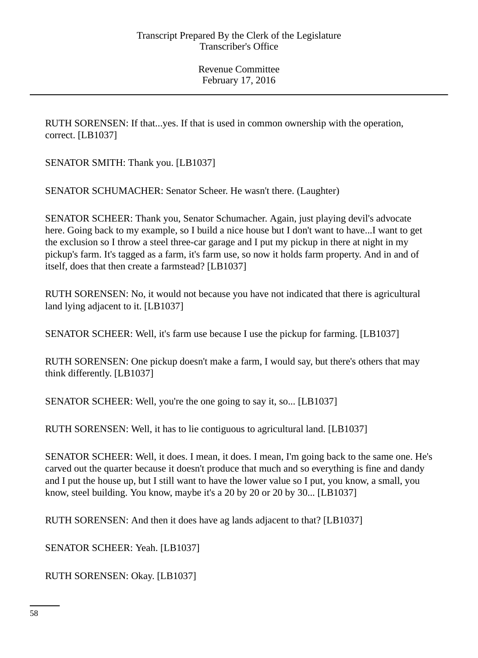RUTH SORENSEN: If that...yes. If that is used in common ownership with the operation, correct. [LB1037]

SENATOR SMITH: Thank you. [LB1037]

SENATOR SCHUMACHER: Senator Scheer. He wasn't there. (Laughter)

SENATOR SCHEER: Thank you, Senator Schumacher. Again, just playing devil's advocate here. Going back to my example, so I build a nice house but I don't want to have...I want to get the exclusion so I throw a steel three-car garage and I put my pickup in there at night in my pickup's farm. It's tagged as a farm, it's farm use, so now it holds farm property. And in and of itself, does that then create a farmstead? [LB1037]

RUTH SORENSEN: No, it would not because you have not indicated that there is agricultural land lying adjacent to it. [LB1037]

SENATOR SCHEER: Well, it's farm use because I use the pickup for farming. [LB1037]

RUTH SORENSEN: One pickup doesn't make a farm, I would say, but there's others that may think differently. [LB1037]

SENATOR SCHEER: Well, you're the one going to say it, so... [LB1037]

RUTH SORENSEN: Well, it has to lie contiguous to agricultural land. [LB1037]

SENATOR SCHEER: Well, it does. I mean, it does. I mean, I'm going back to the same one. He's carved out the quarter because it doesn't produce that much and so everything is fine and dandy and I put the house up, but I still want to have the lower value so I put, you know, a small, you know, steel building. You know, maybe it's a 20 by 20 or 20 by 30... [LB1037]

RUTH SORENSEN: And then it does have ag lands adjacent to that? [LB1037]

SENATOR SCHEER: Yeah. [LB1037]

RUTH SORENSEN: Okay. [LB1037]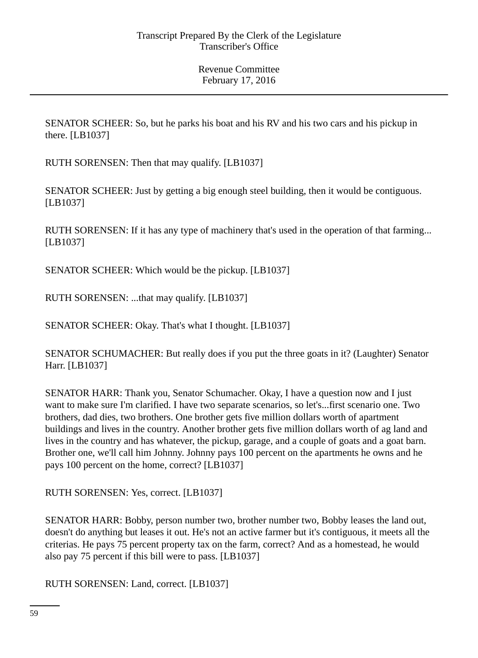SENATOR SCHEER: So, but he parks his boat and his RV and his two cars and his pickup in there. [LB1037]

RUTH SORENSEN: Then that may qualify. [LB1037]

SENATOR SCHEER: Just by getting a big enough steel building, then it would be contiguous. [LB1037]

RUTH SORENSEN: If it has any type of machinery that's used in the operation of that farming... [LB1037]

SENATOR SCHEER: Which would be the pickup. [LB1037]

RUTH SORENSEN: ...that may qualify. [LB1037]

SENATOR SCHEER: Okay. That's what I thought. [LB1037]

SENATOR SCHUMACHER: But really does if you put the three goats in it? (Laughter) Senator Harr. [LB1037]

SENATOR HARR: Thank you, Senator Schumacher. Okay, I have a question now and I just want to make sure I'm clarified. I have two separate scenarios, so let's...first scenario one. Two brothers, dad dies, two brothers. One brother gets five million dollars worth of apartment buildings and lives in the country. Another brother gets five million dollars worth of ag land and lives in the country and has whatever, the pickup, garage, and a couple of goats and a goat barn. Brother one, we'll call him Johnny. Johnny pays 100 percent on the apartments he owns and he pays 100 percent on the home, correct? [LB1037]

RUTH SORENSEN: Yes, correct. [LB1037]

SENATOR HARR: Bobby, person number two, brother number two, Bobby leases the land out, doesn't do anything but leases it out. He's not an active farmer but it's contiguous, it meets all the criterias. He pays 75 percent property tax on the farm, correct? And as a homestead, he would also pay 75 percent if this bill were to pass. [LB1037]

RUTH SORENSEN: Land, correct. [LB1037]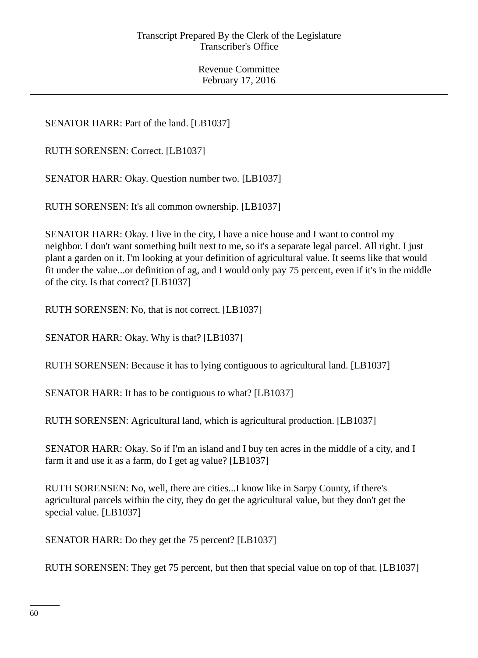SENATOR HARR: Part of the land. [LB1037]

RUTH SORENSEN: Correct. [LB1037]

SENATOR HARR: Okay. Question number two. [LB1037]

RUTH SORENSEN: It's all common ownership. [LB1037]

SENATOR HARR: Okay. I live in the city, I have a nice house and I want to control my neighbor. I don't want something built next to me, so it's a separate legal parcel. All right. I just plant a garden on it. I'm looking at your definition of agricultural value. It seems like that would fit under the value...or definition of ag, and I would only pay 75 percent, even if it's in the middle of the city. Is that correct? [LB1037]

RUTH SORENSEN: No, that is not correct. [LB1037]

SENATOR HARR: Okay. Why is that? [LB1037]

RUTH SORENSEN: Because it has to lying contiguous to agricultural land. [LB1037]

SENATOR HARR: It has to be contiguous to what? [LB1037]

RUTH SORENSEN: Agricultural land, which is agricultural production. [LB1037]

SENATOR HARR: Okay. So if I'm an island and I buy ten acres in the middle of a city, and I farm it and use it as a farm, do I get ag value? [LB1037]

RUTH SORENSEN: No, well, there are cities...I know like in Sarpy County, if there's agricultural parcels within the city, they do get the agricultural value, but they don't get the special value. [LB1037]

SENATOR HARR: Do they get the 75 percent? [LB1037]

RUTH SORENSEN: They get 75 percent, but then that special value on top of that. [LB1037]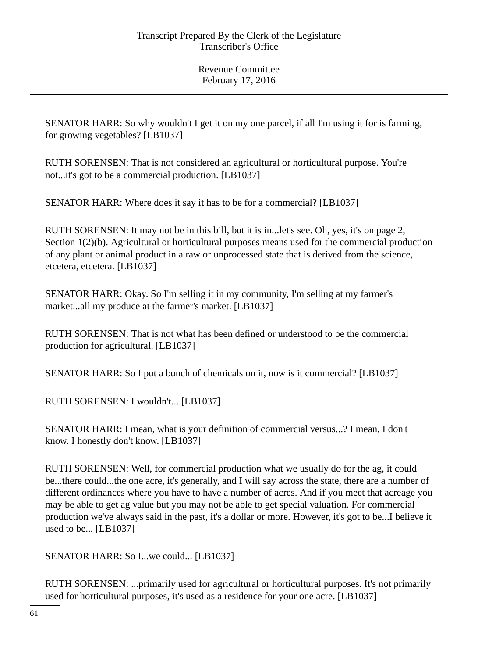SENATOR HARR: So why wouldn't I get it on my one parcel, if all I'm using it for is farming, for growing vegetables? [LB1037]

RUTH SORENSEN: That is not considered an agricultural or horticultural purpose. You're not...it's got to be a commercial production. [LB1037]

SENATOR HARR: Where does it say it has to be for a commercial? [LB1037]

RUTH SORENSEN: It may not be in this bill, but it is in...let's see. Oh, yes, it's on page 2, Section 1(2)(b). Agricultural or horticultural purposes means used for the commercial production of any plant or animal product in a raw or unprocessed state that is derived from the science, etcetera, etcetera. [LB1037]

SENATOR HARR: Okay. So I'm selling it in my community, I'm selling at my farmer's market...all my produce at the farmer's market. [LB1037]

RUTH SORENSEN: That is not what has been defined or understood to be the commercial production for agricultural. [LB1037]

SENATOR HARR: So I put a bunch of chemicals on it, now is it commercial? [LB1037]

RUTH SORENSEN: I wouldn't... [LB1037]

SENATOR HARR: I mean, what is your definition of commercial versus...? I mean, I don't know. I honestly don't know. [LB1037]

RUTH SORENSEN: Well, for commercial production what we usually do for the ag, it could be...there could...the one acre, it's generally, and I will say across the state, there are a number of different ordinances where you have to have a number of acres. And if you meet that acreage you may be able to get ag value but you may not be able to get special valuation. For commercial production we've always said in the past, it's a dollar or more. However, it's got to be...I believe it used to be... [LB1037]

SENATOR HARR: So I...we could... [LB1037]

RUTH SORENSEN: ...primarily used for agricultural or horticultural purposes. It's not primarily used for horticultural purposes, it's used as a residence for your one acre. [LB1037]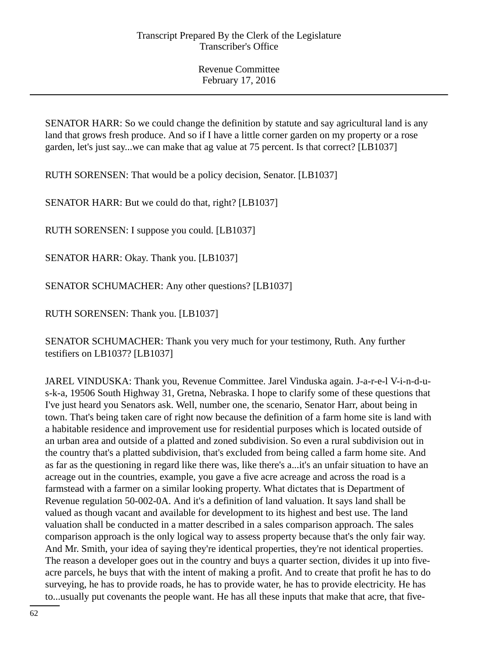SENATOR HARR: So we could change the definition by statute and say agricultural land is any land that grows fresh produce. And so if I have a little corner garden on my property or a rose garden, let's just say...we can make that ag value at 75 percent. Is that correct? [LB1037]

RUTH SORENSEN: That would be a policy decision, Senator. [LB1037]

SENATOR HARR: But we could do that, right? [LB1037]

RUTH SORENSEN: I suppose you could. [LB1037]

SENATOR HARR: Okay. Thank you. [LB1037]

SENATOR SCHUMACHER: Any other questions? [LB1037]

RUTH SORENSEN: Thank you. [LB1037]

SENATOR SCHUMACHER: Thank you very much for your testimony, Ruth. Any further testifiers on LB1037? [LB1037]

JAREL VINDUSKA: Thank you, Revenue Committee. Jarel Vinduska again. J-a-r-e-l V-i-n-d-us-k-a, 19506 South Highway 31, Gretna, Nebraska. I hope to clarify some of these questions that I've just heard you Senators ask. Well, number one, the scenario, Senator Harr, about being in town. That's being taken care of right now because the definition of a farm home site is land with a habitable residence and improvement use for residential purposes which is located outside of an urban area and outside of a platted and zoned subdivision. So even a rural subdivision out in the country that's a platted subdivision, that's excluded from being called a farm home site. And as far as the questioning in regard like there was, like there's a...it's an unfair situation to have an acreage out in the countries, example, you gave a five acre acreage and across the road is a farmstead with a farmer on a similar looking property. What dictates that is Department of Revenue regulation 50-002-0A. And it's a definition of land valuation. It says land shall be valued as though vacant and available for development to its highest and best use. The land valuation shall be conducted in a matter described in a sales comparison approach. The sales comparison approach is the only logical way to assess property because that's the only fair way. And Mr. Smith, your idea of saying they're identical properties, they're not identical properties. The reason a developer goes out in the country and buys a quarter section, divides it up into fiveacre parcels, he buys that with the intent of making a profit. And to create that profit he has to do surveying, he has to provide roads, he has to provide water, he has to provide electricity. He has to...usually put covenants the people want. He has all these inputs that make that acre, that five-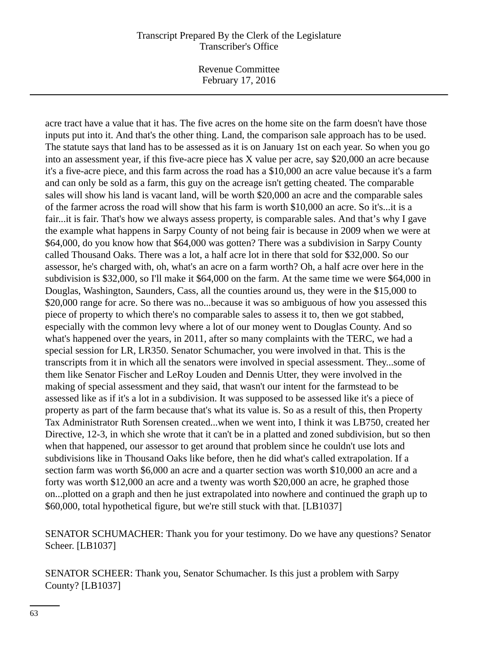Revenue Committee February 17, 2016

acre tract have a value that it has. The five acres on the home site on the farm doesn't have those inputs put into it. And that's the other thing. Land, the comparison sale approach has to be used. The statute says that land has to be assessed as it is on January 1st on each year. So when you go into an assessment year, if this five-acre piece has X value per acre, say \$20,000 an acre because it's a five-acre piece, and this farm across the road has a \$10,000 an acre value because it's a farm and can only be sold as a farm, this guy on the acreage isn't getting cheated. The comparable sales will show his land is vacant land, will be worth \$20,000 an acre and the comparable sales of the farmer across the road will show that his farm is worth \$10,000 an acre. So it's...it is a fair...it is fair. That's how we always assess property, is comparable sales. And that's why I gave the example what happens in Sarpy County of not being fair is because in 2009 when we were at \$64,000, do you know how that \$64,000 was gotten? There was a subdivision in Sarpy County called Thousand Oaks. There was a lot, a half acre lot in there that sold for \$32,000. So our assessor, he's charged with, oh, what's an acre on a farm worth? Oh, a half acre over here in the subdivision is \$32,000, so I'll make it \$64,000 on the farm. At the same time we were \$64,000 in Douglas, Washington, Saunders, Cass, all the counties around us, they were in the \$15,000 to \$20,000 range for acre. So there was no...because it was so ambiguous of how you assessed this piece of property to which there's no comparable sales to assess it to, then we got stabbed, especially with the common levy where a lot of our money went to Douglas County. And so what's happened over the years, in 2011, after so many complaints with the TERC, we had a special session for LR, LR350. Senator Schumacher, you were involved in that. This is the transcripts from it in which all the senators were involved in special assessment. They...some of them like Senator Fischer and LeRoy Louden and Dennis Utter, they were involved in the making of special assessment and they said, that wasn't our intent for the farmstead to be assessed like as if it's a lot in a subdivision. It was supposed to be assessed like it's a piece of property as part of the farm because that's what its value is. So as a result of this, then Property Tax Administrator Ruth Sorensen created...when we went into, I think it was LB750, created her Directive, 12-3, in which she wrote that it can't be in a platted and zoned subdivision, but so then when that happened, our assessor to get around that problem since he couldn't use lots and subdivisions like in Thousand Oaks like before, then he did what's called extrapolation. If a section farm was worth \$6,000 an acre and a quarter section was worth \$10,000 an acre and a forty was worth \$12,000 an acre and a twenty was worth \$20,000 an acre, he graphed those on...plotted on a graph and then he just extrapolated into nowhere and continued the graph up to \$60,000, total hypothetical figure, but we're still stuck with that. [LB1037]

SENATOR SCHUMACHER: Thank you for your testimony. Do we have any questions? Senator Scheer. [LB1037]

SENATOR SCHEER: Thank you, Senator Schumacher. Is this just a problem with Sarpy County? [LB1037]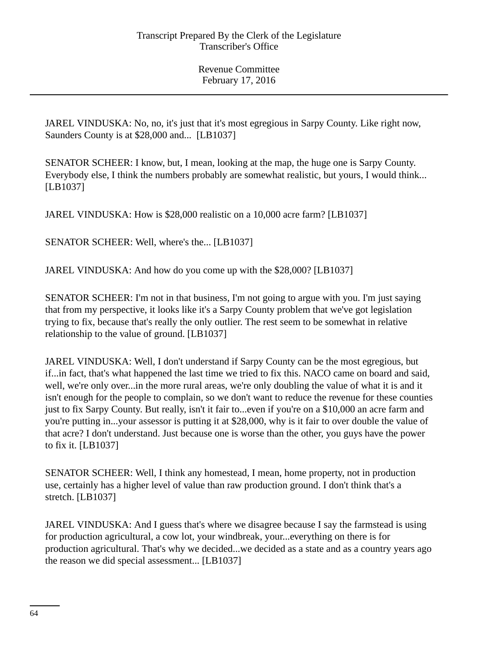JAREL VINDUSKA: No, no, it's just that it's most egregious in Sarpy County. Like right now, Saunders County is at \$28,000 and... [LB1037]

SENATOR SCHEER: I know, but, I mean, looking at the map, the huge one is Sarpy County. Everybody else, I think the numbers probably are somewhat realistic, but yours, I would think... [LB1037]

JAREL VINDUSKA: How is \$28,000 realistic on a 10,000 acre farm? [LB1037]

SENATOR SCHEER: Well, where's the... [LB1037]

JAREL VINDUSKA: And how do you come up with the \$28,000? [LB1037]

SENATOR SCHEER: I'm not in that business, I'm not going to argue with you. I'm just saying that from my perspective, it looks like it's a Sarpy County problem that we've got legislation trying to fix, because that's really the only outlier. The rest seem to be somewhat in relative relationship to the value of ground. [LB1037]

JAREL VINDUSKA: Well, I don't understand if Sarpy County can be the most egregious, but if...in fact, that's what happened the last time we tried to fix this. NACO came on board and said, well, we're only over...in the more rural areas, we're only doubling the value of what it is and it isn't enough for the people to complain, so we don't want to reduce the revenue for these counties just to fix Sarpy County. But really, isn't it fair to...even if you're on a \$10,000 an acre farm and you're putting in...your assessor is putting it at \$28,000, why is it fair to over double the value of that acre? I don't understand. Just because one is worse than the other, you guys have the power to fix it. [LB1037]

SENATOR SCHEER: Well, I think any homestead, I mean, home property, not in production use, certainly has a higher level of value than raw production ground. I don't think that's a stretch. [LB1037]

JAREL VINDUSKA: And I guess that's where we disagree because I say the farmstead is using for production agricultural, a cow lot, your windbreak, your...everything on there is for production agricultural. That's why we decided...we decided as a state and as a country years ago the reason we did special assessment... [LB1037]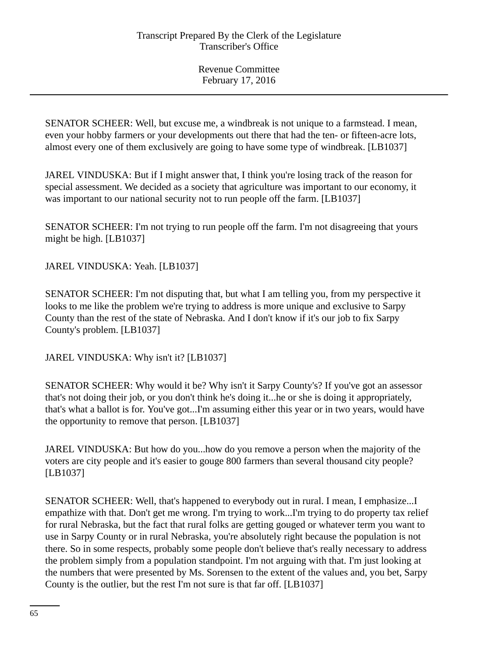SENATOR SCHEER: Well, but excuse me, a windbreak is not unique to a farmstead. I mean, even your hobby farmers or your developments out there that had the ten- or fifteen-acre lots, almost every one of them exclusively are going to have some type of windbreak. [LB1037]

JAREL VINDUSKA: But if I might answer that, I think you're losing track of the reason for special assessment. We decided as a society that agriculture was important to our economy, it was important to our national security not to run people off the farm. [LB1037]

SENATOR SCHEER: I'm not trying to run people off the farm. I'm not disagreeing that yours might be high. [LB1037]

JAREL VINDUSKA: Yeah. [LB1037]

SENATOR SCHEER: I'm not disputing that, but what I am telling you, from my perspective it looks to me like the problem we're trying to address is more unique and exclusive to Sarpy County than the rest of the state of Nebraska. And I don't know if it's our job to fix Sarpy County's problem. [LB1037]

JAREL VINDUSKA: Why isn't it? [LB1037]

SENATOR SCHEER: Why would it be? Why isn't it Sarpy County's? If you've got an assessor that's not doing their job, or you don't think he's doing it...he or she is doing it appropriately, that's what a ballot is for. You've got...I'm assuming either this year or in two years, would have the opportunity to remove that person. [LB1037]

JAREL VINDUSKA: But how do you...how do you remove a person when the majority of the voters are city people and it's easier to gouge 800 farmers than several thousand city people? [LB1037]

SENATOR SCHEER: Well, that's happened to everybody out in rural. I mean, I emphasize...I empathize with that. Don't get me wrong. I'm trying to work...I'm trying to do property tax relief for rural Nebraska, but the fact that rural folks are getting gouged or whatever term you want to use in Sarpy County or in rural Nebraska, you're absolutely right because the population is not there. So in some respects, probably some people don't believe that's really necessary to address the problem simply from a population standpoint. I'm not arguing with that. I'm just looking at the numbers that were presented by Ms. Sorensen to the extent of the values and, you bet, Sarpy County is the outlier, but the rest I'm not sure is that far off. [LB1037]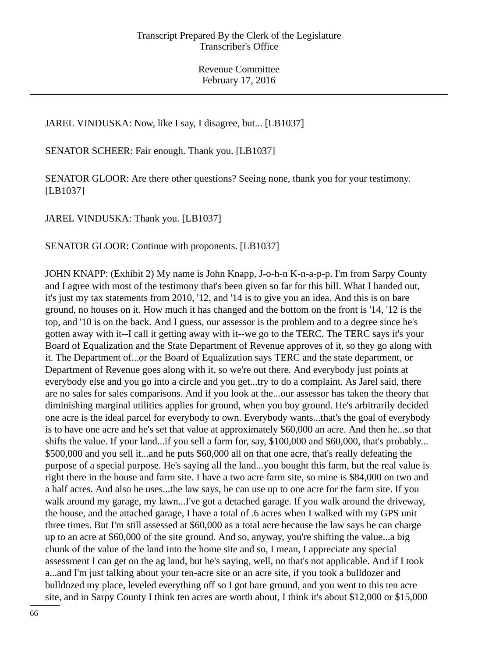JAREL VINDUSKA: Now, like I say, I disagree, but... [LB1037]

SENATOR SCHEER: Fair enough. Thank you. [LB1037]

SENATOR GLOOR: Are there other questions? Seeing none, thank you for your testimony. [LB1037]

JAREL VINDUSKA: Thank you. [LB1037]

SENATOR GLOOR: Continue with proponents. [LB1037]

JOHN KNAPP: (Exhibit 2) My name is John Knapp, J-o-h-n K-n-a-p-p. I'm from Sarpy County and I agree with most of the testimony that's been given so far for this bill. What I handed out, it's just my tax statements from 2010, '12, and '14 is to give you an idea. And this is on bare ground, no houses on it. How much it has changed and the bottom on the front is '14, '12 is the top, and '10 is on the back. And I guess, our assessor is the problem and to a degree since he's gotten away with it--I call it getting away with it--we go to the TERC. The TERC says it's your Board of Equalization and the State Department of Revenue approves of it, so they go along with it. The Department of...or the Board of Equalization says TERC and the state department, or Department of Revenue goes along with it, so we're out there. And everybody just points at everybody else and you go into a circle and you get...try to do a complaint. As Jarel said, there are no sales for sales comparisons. And if you look at the...our assessor has taken the theory that diminishing marginal utilities applies for ground, when you buy ground. He's arbitrarily decided one acre is the ideal parcel for everybody to own. Everybody wants...that's the goal of everybody is to have one acre and he's set that value at approximately \$60,000 an acre. And then he...so that shifts the value. If your land...if you sell a farm for, say, \$100,000 and \$60,000, that's probably... \$500,000 and you sell it...and he puts \$60,000 all on that one acre, that's really defeating the purpose of a special purpose. He's saying all the land...you bought this farm, but the real value is right there in the house and farm site. I have a two acre farm site, so mine is \$84,000 on two and a half acres. And also he uses...the law says, he can use up to one acre for the farm site. If you walk around my garage, my lawn...I've got a detached garage. If you walk around the driveway, the house, and the attached garage, I have a total of .6 acres when I walked with my GPS unit three times. But I'm still assessed at \$60,000 as a total acre because the law says he can charge up to an acre at \$60,000 of the site ground. And so, anyway, you're shifting the value...a big chunk of the value of the land into the home site and so, I mean, I appreciate any special assessment I can get on the ag land, but he's saying, well, no that's not applicable. And if I took a...and I'm just talking about your ten-acre site or an acre site, if you took a bulldozer and bulldozed my place, leveled everything off so I got bare ground, and you went to this ten acre site, and in Sarpy County I think ten acres are worth about, I think it's about \$12,000 or \$15,000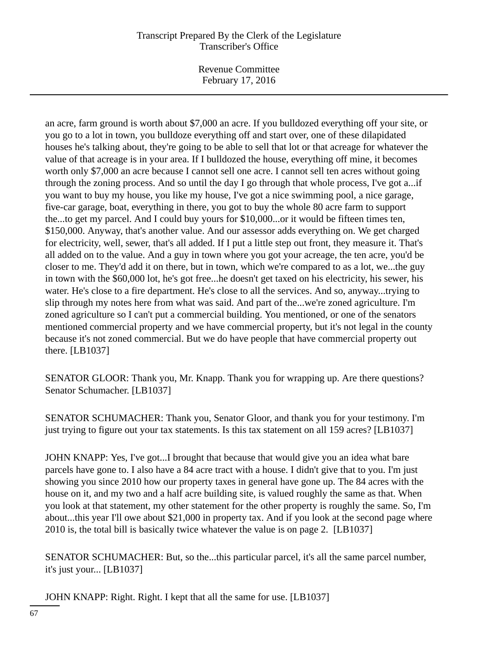Revenue Committee February 17, 2016

an acre, farm ground is worth about \$7,000 an acre. If you bulldozed everything off your site, or you go to a lot in town, you bulldoze everything off and start over, one of these dilapidated houses he's talking about, they're going to be able to sell that lot or that acreage for whatever the value of that acreage is in your area. If I bulldozed the house, everything off mine, it becomes worth only \$7,000 an acre because I cannot sell one acre. I cannot sell ten acres without going through the zoning process. And so until the day I go through that whole process, I've got a...if you want to buy my house, you like my house, I've got a nice swimming pool, a nice garage, five-car garage, boat, everything in there, you got to buy the whole 80 acre farm to support the...to get my parcel. And I could buy yours for \$10,000...or it would be fifteen times ten, \$150,000. Anyway, that's another value. And our assessor adds everything on. We get charged for electricity, well, sewer, that's all added. If I put a little step out front, they measure it. That's all added on to the value. And a guy in town where you got your acreage, the ten acre, you'd be closer to me. They'd add it on there, but in town, which we're compared to as a lot, we...the guy in town with the \$60,000 lot, he's got free...he doesn't get taxed on his electricity, his sewer, his water. He's close to a fire department. He's close to all the services. And so, anyway...trying to slip through my notes here from what was said. And part of the...we're zoned agriculture. I'm zoned agriculture so I can't put a commercial building. You mentioned, or one of the senators mentioned commercial property and we have commercial property, but it's not legal in the county because it's not zoned commercial. But we do have people that have commercial property out there. [LB1037]

SENATOR GLOOR: Thank you, Mr. Knapp. Thank you for wrapping up. Are there questions? Senator Schumacher. [LB1037]

SENATOR SCHUMACHER: Thank you, Senator Gloor, and thank you for your testimony. I'm just trying to figure out your tax statements. Is this tax statement on all 159 acres? [LB1037]

JOHN KNAPP: Yes, I've got...I brought that because that would give you an idea what bare parcels have gone to. I also have a 84 acre tract with a house. I didn't give that to you. I'm just showing you since 2010 how our property taxes in general have gone up. The 84 acres with the house on it, and my two and a half acre building site, is valued roughly the same as that. When you look at that statement, my other statement for the other property is roughly the same. So, I'm about...this year I'll owe about \$21,000 in property tax. And if you look at the second page where 2010 is, the total bill is basically twice whatever the value is on page 2. [LB1037]

SENATOR SCHUMACHER: But, so the...this particular parcel, it's all the same parcel number, it's just your... [LB1037]

JOHN KNAPP: Right. Right. I kept that all the same for use. [LB1037]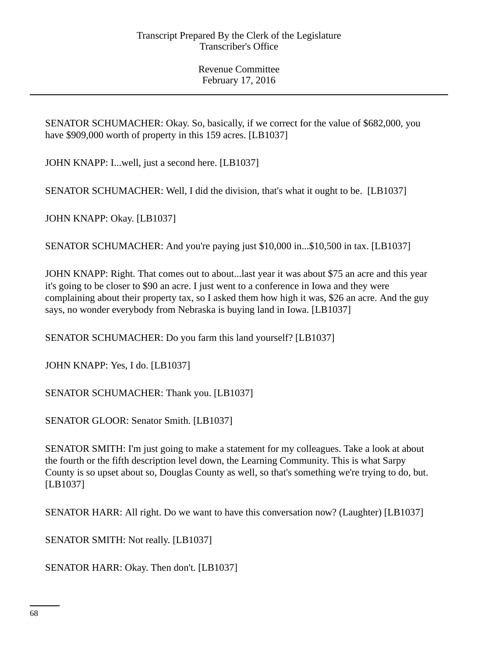SENATOR SCHUMACHER: Okay. So, basically, if we correct for the value of \$682,000, you have \$909,000 worth of property in this 159 acres. [LB1037]

JOHN KNAPP: I...well, just a second here. [LB1037]

SENATOR SCHUMACHER: Well, I did the division, that's what it ought to be. [LB1037]

JOHN KNAPP: Okay. [LB1037]

SENATOR SCHUMACHER: And you're paying just \$10,000 in...\$10,500 in tax. [LB1037]

JOHN KNAPP: Right. That comes out to about...last year it was about \$75 an acre and this year it's going to be closer to \$90 an acre. I just went to a conference in Iowa and they were complaining about their property tax, so I asked them how high it was, \$26 an acre. And the guy says, no wonder everybody from Nebraska is buying land in Iowa. [LB1037]

SENATOR SCHUMACHER: Do you farm this land yourself? [LB1037]

JOHN KNAPP: Yes, I do. [LB1037]

SENATOR SCHUMACHER: Thank you. [LB1037]

SENATOR GLOOR: Senator Smith. [LB1037]

SENATOR SMITH: I'm just going to make a statement for my colleagues. Take a look at about the fourth or the fifth description level down, the Learning Community. This is what Sarpy County is so upset about so, Douglas County as well, so that's something we're trying to do, but. [LB1037]

SENATOR HARR: All right. Do we want to have this conversation now? (Laughter) [LB1037]

SENATOR SMITH: Not really. [LB1037]

SENATOR HARR: Okay. Then don't. [LB1037]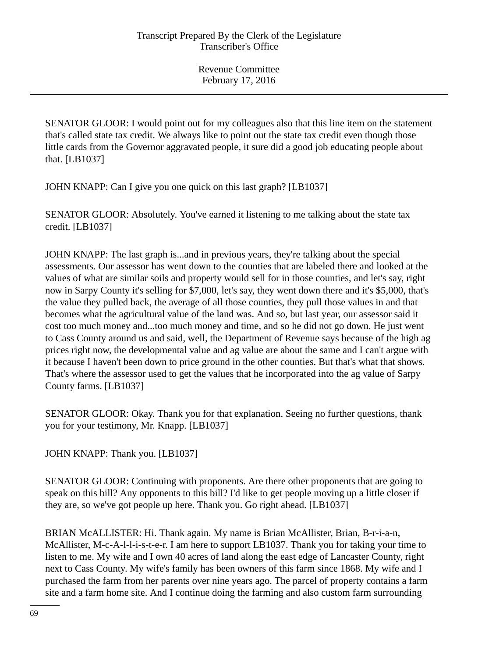SENATOR GLOOR: I would point out for my colleagues also that this line item on the statement that's called state tax credit. We always like to point out the state tax credit even though those little cards from the Governor aggravated people, it sure did a good job educating people about that. [LB1037]

JOHN KNAPP: Can I give you one quick on this last graph? [LB1037]

SENATOR GLOOR: Absolutely. You've earned it listening to me talking about the state tax credit. [LB1037]

JOHN KNAPP: The last graph is...and in previous years, they're talking about the special assessments. Our assessor has went down to the counties that are labeled there and looked at the values of what are similar soils and property would sell for in those counties, and let's say, right now in Sarpy County it's selling for \$7,000, let's say, they went down there and it's \$5,000, that's the value they pulled back, the average of all those counties, they pull those values in and that becomes what the agricultural value of the land was. And so, but last year, our assessor said it cost too much money and...too much money and time, and so he did not go down. He just went to Cass County around us and said, well, the Department of Revenue says because of the high ag prices right now, the developmental value and ag value are about the same and I can't argue with it because I haven't been down to price ground in the other counties. But that's what that shows. That's where the assessor used to get the values that he incorporated into the ag value of Sarpy County farms. [LB1037]

SENATOR GLOOR: Okay. Thank you for that explanation. Seeing no further questions, thank you for your testimony, Mr. Knapp. [LB1037]

JOHN KNAPP: Thank you. [LB1037]

SENATOR GLOOR: Continuing with proponents. Are there other proponents that are going to speak on this bill? Any opponents to this bill? I'd like to get people moving up a little closer if they are, so we've got people up here. Thank you. Go right ahead. [LB1037]

BRIAN McALLISTER: Hi. Thank again. My name is Brian McAllister, Brian, B-r-i-a-n, McAllister, M-c-A-l-l-i-s-t-e-r. I am here to support LB1037. Thank you for taking your time to listen to me. My wife and I own 40 acres of land along the east edge of Lancaster County, right next to Cass County. My wife's family has been owners of this farm since 1868. My wife and I purchased the farm from her parents over nine years ago. The parcel of property contains a farm site and a farm home site. And I continue doing the farming and also custom farm surrounding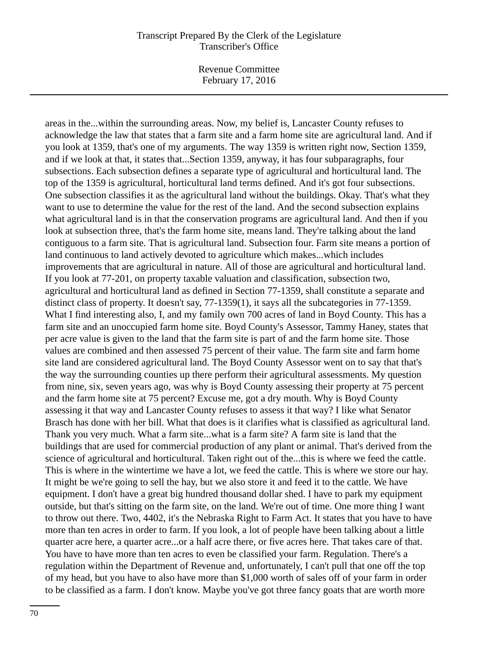Revenue Committee February 17, 2016

areas in the...within the surrounding areas. Now, my belief is, Lancaster County refuses to acknowledge the law that states that a farm site and a farm home site are agricultural land. And if you look at 1359, that's one of my arguments. The way 1359 is written right now, Section 1359, and if we look at that, it states that...Section 1359, anyway, it has four subparagraphs, four subsections. Each subsection defines a separate type of agricultural and horticultural land. The top of the 1359 is agricultural, horticultural land terms defined. And it's got four subsections. One subsection classifies it as the agricultural land without the buildings. Okay. That's what they want to use to determine the value for the rest of the land. And the second subsection explains what agricultural land is in that the conservation programs are agricultural land. And then if you look at subsection three, that's the farm home site, means land. They're talking about the land contiguous to a farm site. That is agricultural land. Subsection four. Farm site means a portion of land continuous to land actively devoted to agriculture which makes...which includes improvements that are agricultural in nature. All of those are agricultural and horticultural land. If you look at 77-201, on property taxable valuation and classification, subsection two, agricultural and horticultural land as defined in Section 77-1359, shall constitute a separate and distinct class of property. It doesn't say, 77-1359(1), it says all the subcategories in 77-1359. What I find interesting also, I, and my family own 700 acres of land in Boyd County. This has a farm site and an unoccupied farm home site. Boyd County's Assessor, Tammy Haney, states that per acre value is given to the land that the farm site is part of and the farm home site. Those values are combined and then assessed 75 percent of their value. The farm site and farm home site land are considered agricultural land. The Boyd County Assessor went on to say that that's the way the surrounding counties up there perform their agricultural assessments. My question from nine, six, seven years ago, was why is Boyd County assessing their property at 75 percent and the farm home site at 75 percent? Excuse me, got a dry mouth. Why is Boyd County assessing it that way and Lancaster County refuses to assess it that way? I like what Senator Brasch has done with her bill. What that does is it clarifies what is classified as agricultural land. Thank you very much. What a farm site...what is a farm site? A farm site is land that the buildings that are used for commercial production of any plant or animal. That's derived from the science of agricultural and horticultural. Taken right out of the...this is where we feed the cattle. This is where in the wintertime we have a lot, we feed the cattle. This is where we store our hay. It might be we're going to sell the hay, but we also store it and feed it to the cattle. We have equipment. I don't have a great big hundred thousand dollar shed. I have to park my equipment outside, but that's sitting on the farm site, on the land. We're out of time. One more thing I want to throw out there. Two, 4402, it's the Nebraska Right to Farm Act. It states that you have to have more than ten acres in order to farm. If you look, a lot of people have been talking about a little quarter acre here, a quarter acre...or a half acre there, or five acres here. That takes care of that. You have to have more than ten acres to even be classified your farm. Regulation. There's a regulation within the Department of Revenue and, unfortunately, I can't pull that one off the top of my head, but you have to also have more than \$1,000 worth of sales off of your farm in order to be classified as a farm. I don't know. Maybe you've got three fancy goats that are worth more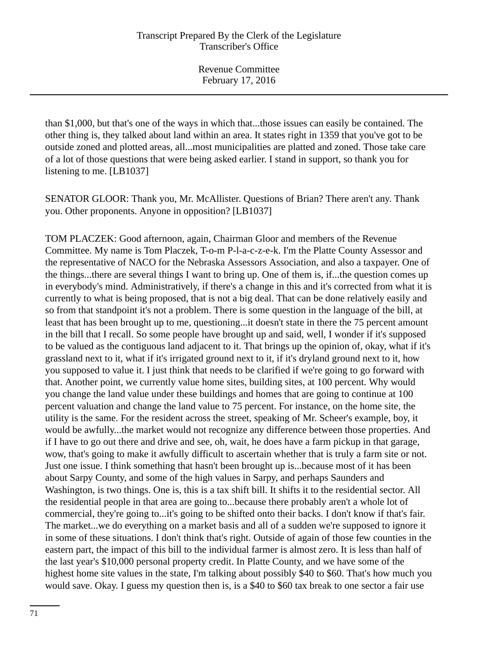than \$1,000, but that's one of the ways in which that...those issues can easily be contained. The other thing is, they talked about land within an area. It states right in 1359 that you've got to be outside zoned and plotted areas, all...most municipalities are platted and zoned. Those take care of a lot of those questions that were being asked earlier. I stand in support, so thank you for listening to me. [LB1037]

SENATOR GLOOR: Thank you, Mr. McAllister. Questions of Brian? There aren't any. Thank you. Other proponents. Anyone in opposition? [LB1037]

TOM PLACZEK: Good afternoon, again, Chairman Gloor and members of the Revenue Committee. My name is Tom Placzek, T-o-m P-l-a-c-z-e-k. I'm the Platte County Assessor and the representative of NACO for the Nebraska Assessors Association, and also a taxpayer. One of the things...there are several things I want to bring up. One of them is, if...the question comes up in everybody's mind. Administratively, if there's a change in this and it's corrected from what it is currently to what is being proposed, that is not a big deal. That can be done relatively easily and so from that standpoint it's not a problem. There is some question in the language of the bill, at least that has been brought up to me, questioning...it doesn't state in there the 75 percent amount in the bill that I recall. So some people have brought up and said, well, I wonder if it's supposed to be valued as the contiguous land adjacent to it. That brings up the opinion of, okay, what if it's grassland next to it, what if it's irrigated ground next to it, if it's dryland ground next to it, how you supposed to value it. I just think that needs to be clarified if we're going to go forward with that. Another point, we currently value home sites, building sites, at 100 percent. Why would you change the land value under these buildings and homes that are going to continue at 100 percent valuation and change the land value to 75 percent. For instance, on the home site, the utility is the same. For the resident across the street, speaking of Mr. Scheer's example, boy, it would be awfully...the market would not recognize any difference between those properties. And if I have to go out there and drive and see, oh, wait, he does have a farm pickup in that garage, wow, that's going to make it awfully difficult to ascertain whether that is truly a farm site or not. Just one issue. I think something that hasn't been brought up is...because most of it has been about Sarpy County, and some of the high values in Sarpy, and perhaps Saunders and Washington, is two things. One is, this is a tax shift bill. It shifts it to the residential sector. All the residential people in that area are going to...because there probably aren't a whole lot of commercial, they're going to...it's going to be shifted onto their backs. I don't know if that's fair. The market...we do everything on a market basis and all of a sudden we're supposed to ignore it in some of these situations. I don't think that's right. Outside of again of those few counties in the eastern part, the impact of this bill to the individual farmer is almost zero. It is less than half of the last year's \$10,000 personal property credit. In Platte County, and we have some of the highest home site values in the state, I'm talking about possibly \$40 to \$60. That's how much you would save. Okay. I guess my question then is, is a \$40 to \$60 tax break to one sector a fair use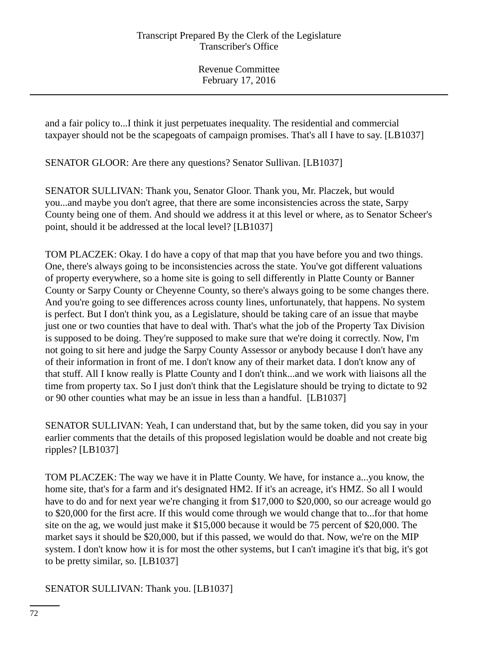and a fair policy to...I think it just perpetuates inequality. The residential and commercial taxpayer should not be the scapegoats of campaign promises. That's all I have to say. [LB1037]

SENATOR GLOOR: Are there any questions? Senator Sullivan. [LB1037]

SENATOR SULLIVAN: Thank you, Senator Gloor. Thank you, Mr. Placzek, but would you...and maybe you don't agree, that there are some inconsistencies across the state, Sarpy County being one of them. And should we address it at this level or where, as to Senator Scheer's point, should it be addressed at the local level? [LB1037]

TOM PLACZEK: Okay. I do have a copy of that map that you have before you and two things. One, there's always going to be inconsistencies across the state. You've got different valuations of property everywhere, so a home site is going to sell differently in Platte County or Banner County or Sarpy County or Cheyenne County, so there's always going to be some changes there. And you're going to see differences across county lines, unfortunately, that happens. No system is perfect. But I don't think you, as a Legislature, should be taking care of an issue that maybe just one or two counties that have to deal with. That's what the job of the Property Tax Division is supposed to be doing. They're supposed to make sure that we're doing it correctly. Now, I'm not going to sit here and judge the Sarpy County Assessor or anybody because I don't have any of their information in front of me. I don't know any of their market data. I don't know any of that stuff. All I know really is Platte County and I don't think...and we work with liaisons all the time from property tax. So I just don't think that the Legislature should be trying to dictate to 92 or 90 other counties what may be an issue in less than a handful. [LB1037]

SENATOR SULLIVAN: Yeah, I can understand that, but by the same token, did you say in your earlier comments that the details of this proposed legislation would be doable and not create big ripples? [LB1037]

TOM PLACZEK: The way we have it in Platte County. We have, for instance a...you know, the home site, that's for a farm and it's designated HM2. If it's an acreage, it's HMZ. So all I would have to do and for next year we're changing it from \$17,000 to \$20,000, so our acreage would go to \$20,000 for the first acre. If this would come through we would change that to...for that home site on the ag, we would just make it \$15,000 because it would be 75 percent of \$20,000. The market says it should be \$20,000, but if this passed, we would do that. Now, we're on the MIP system. I don't know how it is for most the other systems, but I can't imagine it's that big, it's got to be pretty similar, so. [LB1037]

SENATOR SULLIVAN: Thank you. [LB1037]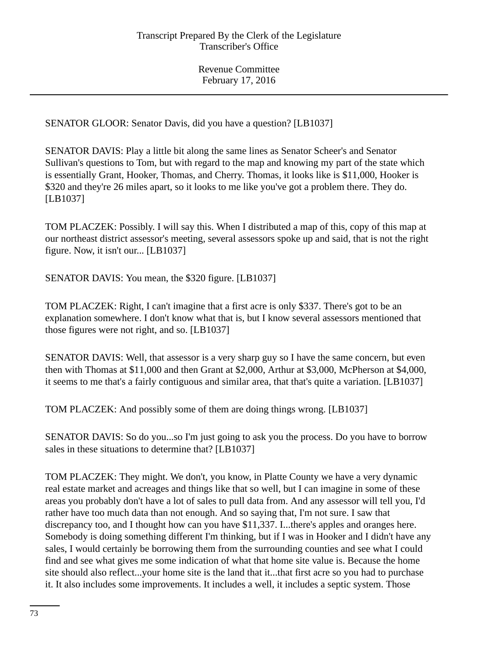Revenue Committee February 17, 2016

SENATOR GLOOR: Senator Davis, did you have a question? [LB1037]

SENATOR DAVIS: Play a little bit along the same lines as Senator Scheer's and Senator Sullivan's questions to Tom, but with regard to the map and knowing my part of the state which is essentially Grant, Hooker, Thomas, and Cherry. Thomas, it looks like is \$11,000, Hooker is \$320 and they're 26 miles apart, so it looks to me like you've got a problem there. They do. [LB1037]

TOM PLACZEK: Possibly. I will say this. When I distributed a map of this, copy of this map at our northeast district assessor's meeting, several assessors spoke up and said, that is not the right figure. Now, it isn't our... [LB1037]

SENATOR DAVIS: You mean, the \$320 figure. [LB1037]

TOM PLACZEK: Right, I can't imagine that a first acre is only \$337. There's got to be an explanation somewhere. I don't know what that is, but I know several assessors mentioned that those figures were not right, and so. [LB1037]

SENATOR DAVIS: Well, that assessor is a very sharp guy so I have the same concern, but even then with Thomas at \$11,000 and then Grant at \$2,000, Arthur at \$3,000, McPherson at \$4,000, it seems to me that's a fairly contiguous and similar area, that that's quite a variation. [LB1037]

TOM PLACZEK: And possibly some of them are doing things wrong. [LB1037]

SENATOR DAVIS: So do you...so I'm just going to ask you the process. Do you have to borrow sales in these situations to determine that? [LB1037]

TOM PLACZEK: They might. We don't, you know, in Platte County we have a very dynamic real estate market and acreages and things like that so well, but I can imagine in some of these areas you probably don't have a lot of sales to pull data from. And any assessor will tell you, I'd rather have too much data than not enough. And so saying that, I'm not sure. I saw that discrepancy too, and I thought how can you have \$11,337. I...there's apples and oranges here. Somebody is doing something different I'm thinking, but if I was in Hooker and I didn't have any sales, I would certainly be borrowing them from the surrounding counties and see what I could find and see what gives me some indication of what that home site value is. Because the home site should also reflect...your home site is the land that it...that first acre so you had to purchase it. It also includes some improvements. It includes a well, it includes a septic system. Those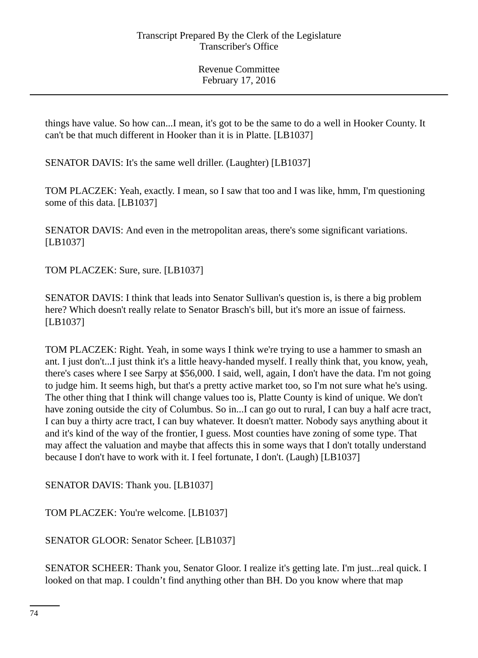Revenue Committee February 17, 2016

things have value. So how can...I mean, it's got to be the same to do a well in Hooker County. It can't be that much different in Hooker than it is in Platte. [LB1037]

SENATOR DAVIS: It's the same well driller. (Laughter) [LB1037]

TOM PLACZEK: Yeah, exactly. I mean, so I saw that too and I was like, hmm, I'm questioning some of this data. [LB1037]

SENATOR DAVIS: And even in the metropolitan areas, there's some significant variations. [LB1037]

TOM PLACZEK: Sure, sure. [LB1037]

SENATOR DAVIS: I think that leads into Senator Sullivan's question is, is there a big problem here? Which doesn't really relate to Senator Brasch's bill, but it's more an issue of fairness. [LB1037]

TOM PLACZEK: Right. Yeah, in some ways I think we're trying to use a hammer to smash an ant. I just don't...I just think it's a little heavy-handed myself. I really think that, you know, yeah, there's cases where I see Sarpy at \$56,000. I said, well, again, I don't have the data. I'm not going to judge him. It seems high, but that's a pretty active market too, so I'm not sure what he's using. The other thing that I think will change values too is, Platte County is kind of unique. We don't have zoning outside the city of Columbus. So in...I can go out to rural, I can buy a half acre tract, I can buy a thirty acre tract, I can buy whatever. It doesn't matter. Nobody says anything about it and it's kind of the way of the frontier, I guess. Most counties have zoning of some type. That may affect the valuation and maybe that affects this in some ways that I don't totally understand because I don't have to work with it. I feel fortunate, I don't. (Laugh) [LB1037]

SENATOR DAVIS: Thank you. [LB1037]

TOM PLACZEK: You're welcome. [LB1037]

SENATOR GLOOR: Senator Scheer. [LB1037]

SENATOR SCHEER: Thank you, Senator Gloor. I realize it's getting late. I'm just...real quick. I looked on that map. I couldn't find anything other than BH. Do you know where that map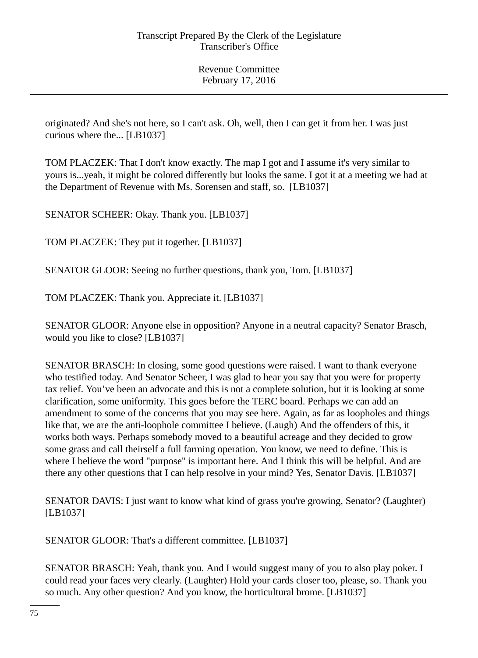Revenue Committee February 17, 2016

originated? And she's not here, so I can't ask. Oh, well, then I can get it from her. I was just curious where the... [LB1037]

TOM PLACZEK: That I don't know exactly. The map I got and I assume it's very similar to yours is...yeah, it might be colored differently but looks the same. I got it at a meeting we had at the Department of Revenue with Ms. Sorensen and staff, so. [LB1037]

SENATOR SCHEER: Okay. Thank you. [LB1037]

TOM PLACZEK: They put it together. [LB1037]

SENATOR GLOOR: Seeing no further questions, thank you, Tom. [LB1037]

TOM PLACZEK: Thank you. Appreciate it. [LB1037]

SENATOR GLOOR: Anyone else in opposition? Anyone in a neutral capacity? Senator Brasch, would you like to close? [LB1037]

SENATOR BRASCH: In closing, some good questions were raised. I want to thank everyone who testified today. And Senator Scheer, I was glad to hear you say that you were for property tax relief. You've been an advocate and this is not a complete solution, but it is looking at some clarification, some uniformity. This goes before the TERC board. Perhaps we can add an amendment to some of the concerns that you may see here. Again, as far as loopholes and things like that, we are the anti-loophole committee I believe. (Laugh) And the offenders of this, it works both ways. Perhaps somebody moved to a beautiful acreage and they decided to grow some grass and call theirself a full farming operation. You know, we need to define. This is where I believe the word "purpose" is important here. And I think this will be helpful. And are there any other questions that I can help resolve in your mind? Yes, Senator Davis. [LB1037]

SENATOR DAVIS: I just want to know what kind of grass you're growing, Senator? (Laughter) [LB1037]

SENATOR GLOOR: That's a different committee. [LB1037]

SENATOR BRASCH: Yeah, thank you. And I would suggest many of you to also play poker. I could read your faces very clearly. (Laughter) Hold your cards closer too, please, so. Thank you so much. Any other question? And you know, the horticultural brome. [LB1037]